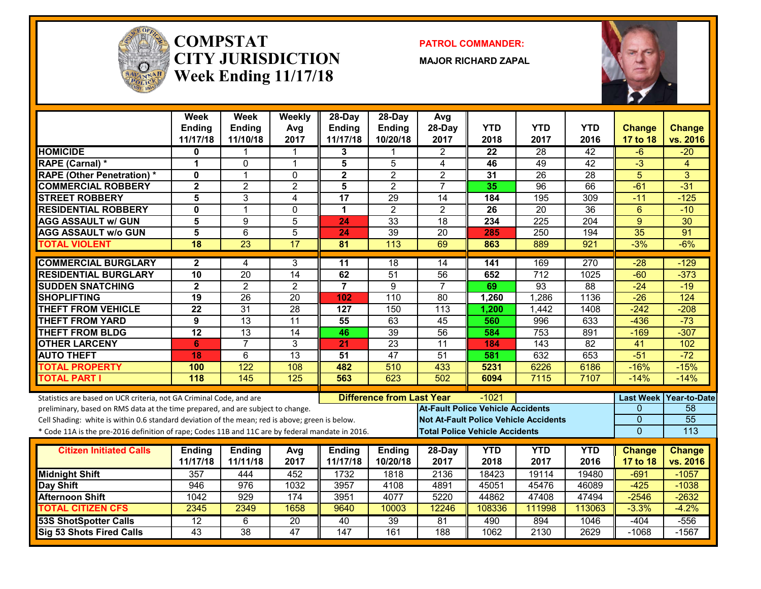

#### **COMPSTATCITY JURISDICTIONWeek Ending 11/17/18**

**PATROL COMMANDER:**

**MAJOR RICHARD ZAPAL**



|                                                                                                  | <b>Week</b>               | <b>Week</b>               | Weekly          | $28$ -Day                 | $28-Day$                         | Avg                                          |                    |                    |                    |                           |                           |
|--------------------------------------------------------------------------------------------------|---------------------------|---------------------------|-----------------|---------------------------|----------------------------------|----------------------------------------------|--------------------|--------------------|--------------------|---------------------------|---------------------------|
|                                                                                                  | <b>Ending</b><br>11/17/18 | <b>Ending</b><br>11/10/18 | Avg<br>2017     | <b>Ending</b><br>11/17/18 | Ending<br>10/20/18               | 28-Day<br>2017                               | <b>YTD</b><br>2018 | <b>YTD</b><br>2017 | <b>YTD</b><br>2016 | <b>Change</b><br>17 to 18 | <b>Change</b><br>vs. 2016 |
| <b>HOMICIDE</b>                                                                                  | 0                         |                           |                 | 3                         |                                  | 2                                            | 22                 | 28                 | $\overline{42}$    | -6                        | $-20$                     |
| <b>RAPE (Carnal) *</b>                                                                           | 1                         | $\Omega$                  | $\mathbf 1$     | 5                         | 5                                | $\overline{4}$                               | 46                 | 49                 | $\overline{42}$    | $\overline{3}$            | $\overline{4}$            |
| <b>RAPE (Other Penetration) *</b>                                                                | $\mathbf{0}$              | $\overline{1}$            | $\mathbf 0$     | $\overline{\mathbf{2}}$   | $\overline{2}$                   | $\overline{2}$                               | 31                 | $\overline{26}$    | $\overline{28}$    | $\overline{5}$            | $\overline{3}$            |
| <b>COMMERCIAL ROBBERY</b>                                                                        | $\overline{2}$            | $\overline{2}$            | $\overline{2}$  | 5                         | $\overline{2}$                   | $\overline{7}$                               | 35                 | $\overline{96}$    | 66                 | $-61$                     | $-31$                     |
| <b>STREET ROBBERY</b>                                                                            | 5                         | 3                         | 4               | 17                        | 29                               | 14                                           | 184                | 195                | 309                | $-11$                     | $-125$                    |
| <b>RESIDENTIAL ROBBERY</b>                                                                       | 0                         | $\mathbf 1$               | $\Omega$        | 1                         | $\overline{2}$                   | $\mathbf{2}$                                 | 26                 | 20                 | 36                 | $6\phantom{1}6$           | $-10$                     |
| <b>AGG ASSAULT w/ GUN</b>                                                                        | 5                         | 9                         | 5               | 24                        | 33                               | 18                                           | 234                | 225                | 204                | 9                         | $\overline{30}$           |
| <b>AGG ASSAULT w/o GUN</b>                                                                       | 5                         | $6\phantom{1}$            | 5               | 24                        | 39                               | 20                                           | 285                | 250                | 194                | 35                        | $\overline{91}$           |
| <b>TOTAL VIOLENT</b>                                                                             | 18                        | $\overline{23}$           | $\overline{17}$ | 81                        | $\overline{113}$                 | 69                                           | 863                | 889                | 921                | $-3%$                     | $-6%$                     |
| <b>COMMERCIAL BURGLARY</b>                                                                       | $\mathbf{2}$              | 4                         | 3               | $\overline{11}$           | $\overline{18}$                  | 14                                           | 141                | 169                | 270                | $-28$                     | $-129$                    |
| <b>RESIDENTIAL BURGLARY</b>                                                                      | $\overline{10}$           | $\overline{20}$           | $\overline{14}$ | 62                        | 51                               | 56                                           | 652                | $\overline{712}$   | 1025               | $-60$                     | $-373$                    |
| <b>SUDDEN SNATCHING</b>                                                                          | $\overline{\mathbf{2}}$   | $\overline{2}$            | $\overline{2}$  | $\overline{7}$            | 9                                | $\overline{7}$                               | 69                 | 93                 | 88                 | $-24$                     | $-19$                     |
| <b>SHOPLIFTING</b>                                                                               | $\overline{19}$           | $\overline{26}$           | $\overline{20}$ | 102                       | 110                              | 80                                           | 1,260              | 1,286              | 1136               | $-26$                     | 124                       |
| <b>THEFT FROM VEHICLE</b>                                                                        | $\overline{22}$           | $\overline{31}$           | $\overline{28}$ | 127                       | 150                              | 113                                          | 1,200              | 1,442              | 1408               | $-242$                    | $-208$                    |
| <b>THEFT FROM YARD</b>                                                                           | 9                         | $\overline{13}$           | $\overline{11}$ | 55                        | 63                               | 45                                           | 560                | 996                | 633                | $-436$                    | $-73$                     |
| <b>THEFT FROM BLDG</b>                                                                           | $\overline{12}$           | $\overline{13}$           | $\overline{14}$ | 46                        | 39                               | 56                                           | 584                | 753                | 891                | $-169$                    | $-307$                    |
| <b>OTHER LARCENY</b>                                                                             | 6                         | $\overline{7}$            | 3               | 21                        | 23                               | 11                                           | 184                | $\overline{143}$   | $\overline{82}$    | $\overline{41}$           | 102                       |
| <b>AUTO THEFT</b>                                                                                | 18                        | $\overline{6}$            | $\overline{13}$ | $\overline{51}$           | 47                               | 51                                           | 581                | 632                | 653                | $-51$                     | $-72$                     |
| <b>TOTAL PROPERTY</b>                                                                            | 100                       | 122                       | 108             | 482                       | 510                              | 433                                          | 5231               | 6226               | 6186               | $-16%$                    | $-15%$                    |
| <b>TOTAL PART I</b>                                                                              | 118                       | 145                       | 125             | 563                       | 623                              | 502                                          | 6094               | 7115               | 7107               | $-14%$                    | $-14%$                    |
| Statistics are based on UCR criteria, not GA Criminal Code, and are                              |                           |                           |                 |                           | <b>Difference from Last Year</b> |                                              | $-1021$            |                    |                    | <b>Last Week</b>          | <b>Year-to-Date</b>       |
| preliminary, based on RMS data at the time prepared, and are subject to change.                  |                           |                           |                 |                           |                                  | <b>At-Fault Police Vehicle Accidents</b>     |                    |                    |                    | $\Omega$                  | 58                        |
| Cell Shading: white is within 0.6 standard deviation of the mean; red is above; green is below.  |                           |                           |                 |                           |                                  | <b>Not At-Fault Police Vehicle Accidents</b> |                    |                    |                    | $\overline{0}$            | 55                        |
| * Code 11A is the pre-2016 definition of rape; Codes 11B and 11C are by federal mandate in 2016. |                           |                           |                 |                           |                                  | <b>Total Police Vehicle Accidents</b>        |                    |                    |                    | $\overline{0}$            | 113                       |
| <b>Citizen Initiated Calls</b>                                                                   | <b>Ending</b>             | <b>Ending</b>             | Avg             | <b>Ending</b>             | <b>Ending</b>                    | 28-Day                                       | <b>YTD</b>         | <b>YTD</b>         | <b>YTD</b>         | <b>Change</b>             | <b>Change</b>             |
|                                                                                                  | 11/17/18                  | 11/11/18                  | 2017            | 11/17/18                  | 10/20/18                         | 2017                                         | 2018               | 2017               | 2016               | 17 to 18                  | vs. 2016                  |
| <b>Midnight Shift</b>                                                                            | 357                       | 444                       | 452             | 1732                      | 1818                             | 2136                                         | 18423              | 19114              | 19480              | $-691$                    | $-1057$                   |
| Day Shift                                                                                        | 946                       | 976                       | 1032            | 3957                      | 4108                             | 4891                                         | 45051              | 45476              | 46089              | $-425$                    | $-1038$                   |
| <b>Afternoon Shift</b>                                                                           | 1042                      | 929                       | 174             | 3951                      | 4077                             | 5220                                         | 44862              | 47408              | 47494              | $-2546$                   | $-2632$                   |
| <b>TOTAL CITIZEN CFS</b>                                                                         | 2345                      | 2349                      | 1658            | 9640                      | 10003                            | 12246                                        | 108336             | 111998             | 113063             | $-3.3%$                   | $-4.2%$                   |
| <b>53S ShotSpotter Calls</b>                                                                     | 12                        | 6                         | 20              | 40                        | 39                               | 81                                           | 490                | 894                | 1046               | $-404$                    | $-556$                    |
| Sig 53 Shots Fired Calls                                                                         | $\overline{43}$           | $\overline{38}$           | 47              | $\overline{147}$          | 161                              | 188                                          | 1062               | 2130               | 2629               | $-1068$                   | $-1567$                   |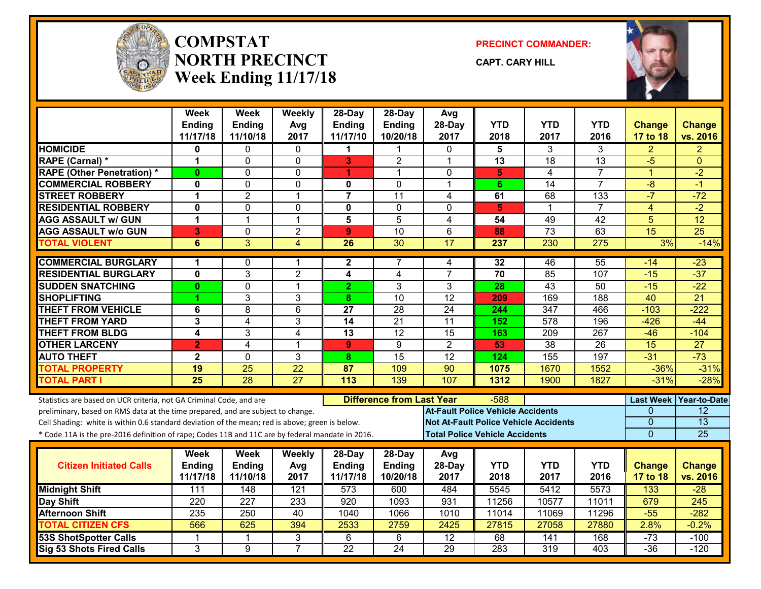

#### **COMPSTATNORTH PRECINCTWeek Ending 11/17/18**

**PRECINCT COMMANDER:**

**CAPT. CARY HILL**



|                                                                                                  | <b>Week</b><br>Ending<br>11/17/18 | <b>Week</b><br><b>Ending</b><br>11/10/18 | Weekly<br>Avg<br>2017 | 28-Day<br><b>Ending</b><br>11/17/10 | 28-Day<br>Ending<br>10/20/18     | Avg<br>28-Day<br>2017                    | <b>YTD</b><br>2018 | <b>YTD</b><br>2017                           | YTD<br>2016     | <b>Change</b>              | <b>Change</b><br>vs. 2016 |
|--------------------------------------------------------------------------------------------------|-----------------------------------|------------------------------------------|-----------------------|-------------------------------------|----------------------------------|------------------------------------------|--------------------|----------------------------------------------|-----------------|----------------------------|---------------------------|
| <b>HOMICIDE</b>                                                                                  | 0                                 | $\Omega$                                 | $\Omega$              | 1                                   | 1                                | $\Omega$                                 | 5                  | 3                                            | 3               | 17 to 18<br>$\overline{2}$ | $\overline{2}$            |
| <b>RAPE (Carnal) *</b>                                                                           | 1                                 | $\Omega$                                 | $\Omega$              | 3                                   | $\overline{2}$                   | $\mathbf 1$                              | 13                 | $\overline{18}$                              | 13              | $-5$                       | $\Omega$                  |
| <b>RAPE (Other Penetration) *</b>                                                                | $\mathbf{0}$                      | $\Omega$                                 | 0                     | 1                                   | 1                                | $\mathbf{0}$                             | 5                  | 4                                            | $\overline{7}$  | 1                          | $-2$                      |
| <b>COMMERCIAL ROBBERY</b>                                                                        | 0                                 | $\mathbf 0$                              | 0                     | 0                                   | $\Omega$                         | $\mathbf 1$                              | 6                  | $\overline{14}$                              | $\overline{7}$  | $-8$                       | $-1$                      |
| <b>STREET ROBBERY</b>                                                                            | 1                                 | $\overline{2}$                           | 1                     | $\overline{7}$                      | $\overline{11}$                  | 4                                        | 61                 | 68                                           | 133             | $-7$                       | $-72$                     |
| <b>RESIDENTIAL ROBBERY</b>                                                                       | $\bf{0}$                          | $\Omega$                                 | 0                     | $\mathbf{0}$                        | $\Omega$                         | $\Omega$                                 | 5                  | 1                                            | $\overline{7}$  | 4                          | $-2$                      |
| <b>AGG ASSAULT w/ GUN</b>                                                                        | 1                                 | $\mathbf{1}$                             | $\mathbf{1}$          | $\overline{\mathbf{5}}$             | $\overline{5}$                   | $\overline{4}$                           | $\overline{54}$    | 49                                           | 42              | $\overline{5}$             | $\overline{12}$           |
| <b>AGG ASSAULT w/o GUN</b>                                                                       | 3                                 | 0                                        | $\overline{2}$        | $\boldsymbol{9}$                    | 10                               | 6                                        | 88                 | $\overline{73}$                              | 63              | 15                         | 25                        |
| <b>TOTAL VIOLENT</b>                                                                             | 6                                 | $\overline{3}$                           | $\overline{4}$        | $\overline{26}$                     | $\overline{30}$                  | 17                                       | 237                | 230                                          | 275             | 3%                         | $-14%$                    |
| <b>COMMERCIAL BURGLARY</b>                                                                       | 1                                 | $\mathbf{0}$                             | 1                     | $\mathbf{2}$                        | 7                                | 4                                        | 32                 | 46                                           | $\overline{55}$ | $-14$                      | $-23$                     |
| <b>RESIDENTIAL BURGLARY</b>                                                                      | $\mathbf 0$                       | 3                                        | $\overline{2}$        | 4                                   | 4                                | $\overline{7}$                           | 70                 | 85                                           | 107             | $-15$                      | $-37$                     |
| <b>SUDDEN SNATCHING</b>                                                                          | $\bf{0}$                          | $\mathbf 0$                              | $\mathbf{1}$          | $\overline{2}$                      | 3                                | 3                                        | 28                 | $\overline{43}$                              | 50              | $-15$                      | $-22$                     |
| <b>SHOPLIFTING</b>                                                                               |                                   | 3                                        | 3                     | 8                                   | $\overline{10}$                  | $\overline{12}$                          | 209                | 169                                          | 188             | $\overline{40}$            | $\overline{21}$           |
| <b>THEFT FROM VEHICLE</b>                                                                        | 6                                 | $\overline{8}$                           | 6                     | $\overline{27}$                     | $\overline{28}$                  | $\overline{24}$                          | 244                | $\overline{347}$                             | 466             | $-103$                     | $-222$                    |
| <b>THEFT FROM YARD</b>                                                                           | 3                                 | 4                                        | $\overline{3}$        | $\overline{14}$                     | $\overline{21}$                  | 11                                       | 152                | $\overline{578}$                             | 196             | $-426$                     | $-44$                     |
| <b>THEFT FROM BLDG</b>                                                                           | 4                                 | 3                                        | 4                     | $\overline{13}$                     | 12                               | $\overline{15}$                          | 163                | 209                                          | 267             | $-46$                      | $-104$                    |
| <b>OTHER LARCENY</b>                                                                             | $\mathbf{2}$                      | 4                                        | $\overline{1}$        | $\mathbf{9}$                        | 9                                | $\overline{2}$                           | 53                 | $\overline{38}$                              | $\overline{26}$ | $\overline{15}$            | $\overline{27}$           |
| <b>AUTO THEFT</b>                                                                                | $\overline{2}$                    | $\Omega$                                 | 3                     | 8                                   | $\overline{15}$                  | $\overline{12}$                          | 124                | 155                                          | 197             | $-31$                      | $-73$                     |
| <b>TOTAL PROPERTY</b>                                                                            | 19                                | $\overline{25}$                          | $\overline{22}$       | $\overline{\overline{87}}$          | 109                              | $\overline{90}$                          | 1075               | 1670                                         | 1552            | $-36%$                     | $-31%$                    |
| <b>TOTAL PART I</b>                                                                              | $\overline{25}$                   | $\overline{28}$                          | $\overline{27}$       | $\overline{113}$                    | 139                              | 107                                      | 1312               | 1900                                         | 1827            | $-31%$                     | $-28%$                    |
| Statistics are based on UCR criteria, not GA Criminal Code, and are                              |                                   |                                          |                       |                                     | <b>Difference from Last Year</b> |                                          | -588               |                                              |                 | <b>Last Week</b>           | Year-to-Date              |
| preliminary, based on RMS data at the time prepared, and are subject to change.                  |                                   |                                          |                       |                                     |                                  | <b>At-Fault Police Vehicle Accidents</b> |                    |                                              |                 | $\Omega$                   | 12                        |
| Cell Shading: white is within 0.6 standard deviation of the mean; red is above; green is below.  |                                   |                                          |                       |                                     |                                  |                                          |                    | <b>Not At-Fault Police Vehicle Accidents</b> |                 | $\overline{0}$             | $\overline{13}$           |
| * Code 11A is the pre-2016 definition of rape; Codes 11B and 11C are by federal mandate in 2016. |                                   |                                          |                       |                                     |                                  | <b>Total Police Vehicle Accidents</b>    |                    |                                              |                 | $\overline{0}$             | 25                        |
|                                                                                                  | Week                              | Week                                     | <b>Weekly</b>         | 28-Day                              | 28-Day                           | Avg                                      |                    |                                              |                 |                            |                           |
| <b>Citizen Initiated Calls</b>                                                                   | Ending                            | <b>Ending</b>                            | Avg                   | Ending                              | Ending                           | 28-Day                                   | <b>YTD</b>         | <b>YTD</b>                                   | <b>YTD</b>      | <b>Change</b>              | <b>Change</b>             |
|                                                                                                  | 11/17/18                          | 11/10/18                                 | 2017                  | 11/17/18                            | 10/20/18                         | 2017                                     | 2018               | 2017                                         | 2016            | 17 to 18                   | vs. 2016                  |
| <b>Midnight Shift</b>                                                                            | 111                               | 148                                      | 121                   | 573                                 | 600                              | 484                                      | 5545               | 5412                                         | 5573            | 133                        | $-28$                     |
| <b>Day Shift</b>                                                                                 | 220                               | 227                                      | 233                   | 920                                 | 1093                             | 931                                      | 11256              | 10577                                        | 11011           | 679                        | 245                       |
| <b>Afternoon Shift</b>                                                                           | 235                               | 250                                      | 40                    | 1040                                | 1066                             | 1010                                     | 11014              | 11069                                        | 11296           | $-55$                      | $-282$                    |
| <b>TOTAL CITIZEN CFS</b>                                                                         | 566                               | 625                                      | 394                   | 2533                                | 2759                             | 2425                                     | 27815              | 27058                                        | 27880           | 2.8%                       | $-0.2%$                   |
| <b>53S ShotSpotter Calls</b>                                                                     | 1                                 | 1                                        | 3                     | 6                                   | 6                                | $\overline{12}$                          | 68                 | 141                                          | 168             | $-73$                      | $-100$                    |
| Sig 53 Shots Fired Calls                                                                         | 3                                 | 9                                        | $\overline{7}$        | $\overline{22}$                     | $\overline{24}$                  | 29                                       | 283                | 319                                          | 403             | $-36$                      | $-120$                    |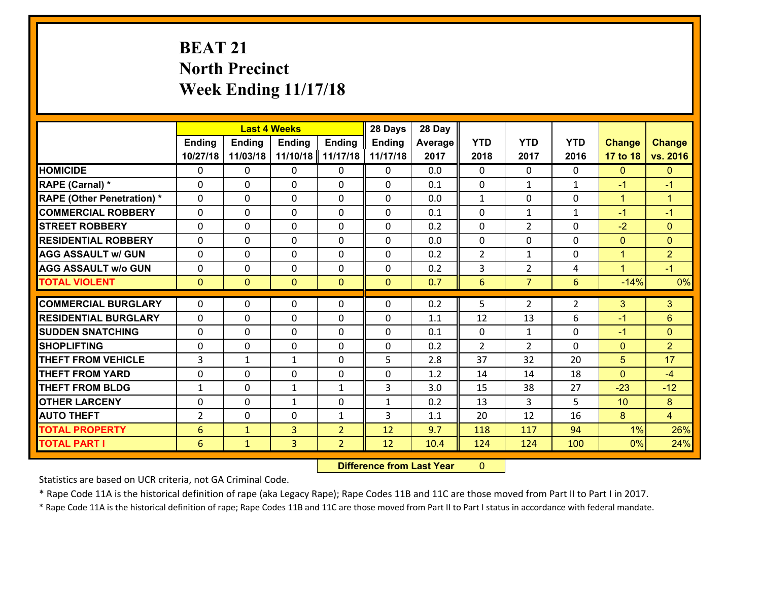# **BEAT 21 North Precinct Week Ending 11/17/18**

|                                   |                          |                | <b>Last 4 Weeks</b> |                | 28 Days       | 28 Day  |              |                |              |               |                      |
|-----------------------------------|--------------------------|----------------|---------------------|----------------|---------------|---------|--------------|----------------|--------------|---------------|----------------------|
|                                   | <b>Ending</b>            | <b>Ending</b>  | <b>Ending</b>       | <b>Ending</b>  | <b>Ending</b> | Average | <b>YTD</b>   | <b>YTD</b>     | <b>YTD</b>   | <b>Change</b> | <b>Change</b>        |
|                                   | 10/27/18                 | 11/03/18       | 11/10/18            | 11/17/18       | 11/17/18      | 2017    | 2018         | 2017           | 2016         | 17 to 18      | vs. 2016             |
| <b>HOMICIDE</b>                   | $\Omega$                 | 0              | 0                   | 0              | 0             | 0.0     | $\Omega$     | $\Omega$       | 0            | $\mathbf{0}$  | $\mathbf{0}$         |
| RAPE (Carnal) *                   | $\Omega$                 | 0              | $\mathbf 0$         | 0              | 0             | 0.1     | $\mathbf 0$  | $\mathbf{1}$   | $\mathbf{1}$ | $-1$          | $-1$                 |
| <b>RAPE (Other Penetration) *</b> | $\Omega$                 | 0              | $\mathbf{0}$        | $\Omega$       | 0             | 0.0     | 1            | $\Omega$       | $\Omega$     | $\mathbf{1}$  | $\blacktriangleleft$ |
| <b>COMMERCIAL ROBBERY</b>         | $\Omega$                 | 0              | $\mathbf{0}$        | $\Omega$       | $\Omega$      | 0.1     | $\Omega$     | $\mathbf{1}$   | $\mathbf{1}$ | $-1$          | $-1$                 |
| <b>STREET ROBBERY</b>             | $\Omega$                 | 0              | $\mathbf{0}$        | $\Omega$       | 0             | 0.2     | $\Omega$     | $\overline{2}$ | $\Omega$     | $-2$          | $\mathbf{0}$         |
| <b>RESIDENTIAL ROBBERY</b>        | $\Omega$                 | 0              | $\mathbf{0}$        | $\Omega$       | $\Omega$      | 0.0     | $\Omega$     | $\Omega$       | $\Omega$     | $\mathbf{0}$  | $\mathbf{0}$         |
| <b>AGG ASSAULT w/ GUN</b>         | 0                        | 0              | $\mathbf 0$         | $\Omega$       | 0             | 0.2     | 2            | $\mathbf{1}$   | 0            | $\mathbf{1}$  | $\overline{2}$       |
| <b>AGG ASSAULT w/o GUN</b>        | 0                        | 0              | 0                   | 0              | 0             | 0.2     | $\mathbf{3}$ | $\overline{2}$ | 4            | $\mathbf{1}$  | $-1$                 |
| <b>TOTAL VIOLENT</b>              | $\mathbf{0}$             | $\overline{0}$ | $\mathbf{0}$        | $\overline{0}$ | $\mathbf{0}$  | 0.7     | 6            | 7 <sup>1</sup> | 6            | $-14%$        | 0%                   |
| <b>COMMERCIAL BURGLARY</b>        |                          |                |                     |                |               |         |              |                |              |               |                      |
|                                   | $\mathbf{0}$<br>$\Omega$ | 0              | 0                   | 0              | $\Omega$      | 0.2     | 5            | $\overline{2}$ | 2            | 3             | 3                    |
|                                   |                          |                | $\mathbf 0$         | $\Omega$       | 0             | 1.1     | 12           | 13             | 6            | $-1$          | $6\phantom{a}$       |
| <b>RESIDENTIAL BURGLARY</b>       |                          | 0              |                     |                |               |         |              |                |              |               |                      |
| <b>SUDDEN SNATCHING</b>           | 0                        | 0              | $\mathbf{0}$        | 0              | $\Omega$      | 0.1     | $\mathbf{0}$ | $\mathbf{1}$   | $\Omega$     | $-1$          | $\mathbf{0}$         |
| <b>SHOPLIFTING</b>                | $\Omega$                 | 0              | $\mathbf 0$         | $\Omega$       | 0             | 0.2     | 2            | $\overline{2}$ | $\Omega$     | $\mathbf{0}$  | $\overline{2}$       |
| <b>THEFT FROM VEHICLE</b>         | 3                        | 1              | $\mathbf{1}$        | 0              | 5             | 2.8     | 37           | 32             | 20           | 5             | 17                   |
| <b>THEFT FROM YARD</b>            | 0                        | 0              | $\mathbf{0}$        | $\Omega$       | $\Omega$      | 1.2     | 14           | 14             | 18           | $\mathbf{0}$  | $-4$                 |
| <b>THEFT FROM BLDG</b>            | $\mathbf{1}$             | 0              | $\mathbf{1}$        | $\mathbf{1}$   | 3             | 3.0     | 15           | 38             | 27           | $-23$         | $-12$                |
| <b>OTHER LARCENY</b>              | 0                        | 0              | $\mathbf{1}$        | 0              | $\mathbf{1}$  | 0.2     | 13           | 3              | 5.           | 10            | 8                    |
| <b>AUTO THEFT</b>                 | $\overline{2}$           | 0              | $\mathbf{0}$        | $\mathbf{1}$   | 3             | 1.1     | 20           | 12             | 16           | 8             | $\overline{4}$       |
| <b>TOTAL PROPERTY</b>             | 6                        | $\mathbf{1}$   | $\overline{3}$      | $\overline{2}$ | 12            | 9.7     | 118          | 117            | 94           | 1%            | 26%                  |
| <b>TOTAL PART I</b>               | 6                        | $\mathbf{1}$   | 3                   | $\overline{2}$ | 12            | 10.4    | 124          | 124            | 100          | 0%            | 24%                  |

 **Difference from Last Year**r 0

Statistics are based on UCR criteria, not GA Criminal Code.

\* Rape Code 11A is the historical definition of rape (aka Legacy Rape); Rape Codes 11B and 11C are those moved from Part II to Part I in 2017.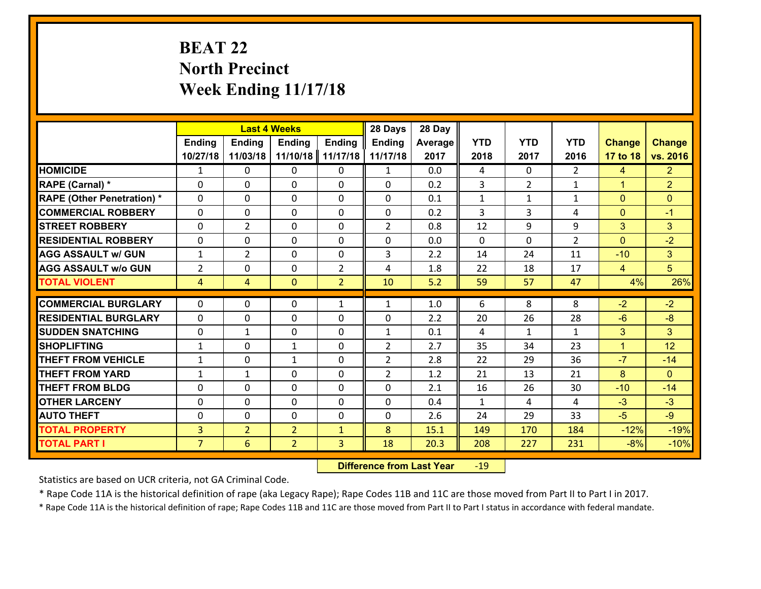# **BEAT 22 North Precinct Week Ending 11/17/18**

|                                   |                |                | <b>Last 4 Weeks</b> |                | 28 Days        | 28 Day  |              |                    |                |                |                |
|-----------------------------------|----------------|----------------|---------------------|----------------|----------------|---------|--------------|--------------------|----------------|----------------|----------------|
|                                   | <b>Ending</b>  | <b>Ending</b>  | <b>Ending</b>       | <b>Ending</b>  | <b>Ending</b>  | Average | <b>YTD</b>   | <b>YTD</b>         | <b>YTD</b>     | <b>Change</b>  | <b>Change</b>  |
|                                   | 10/27/18       | 11/03/18       | 11/10/18            | 11/17/18       | 11/17/18       | 2017    | 2018         | 2017               | 2016           | 17 to 18       | vs. 2016       |
| <b>HOMICIDE</b>                   | $\mathbf{1}$   | 0              | 0                   | 0              | $\mathbf{1}$   | 0.0     | 4            | 0                  | $\overline{2}$ | $\overline{4}$ | 2 <sup>1</sup> |
| <b>RAPE (Carnal) *</b>            | 0              | 0              | $\mathbf{0}$        | 0              | $\Omega$       | 0.2     | 3            | $\overline{2}$     | $\mathbf{1}$   | $\mathbf{1}$   | $\overline{2}$ |
| <b>RAPE (Other Penetration) *</b> | $\Omega$       | 0              | $\Omega$            | $\Omega$       | $\Omega$       | 0.1     | $\mathbf{1}$ | $\mathbf{1}$       | $\mathbf{1}$   | $\mathbf{0}$   | $\mathbf{0}$   |
| <b>COMMERCIAL ROBBERY</b>         | $\Omega$       | 0              | $\mathbf 0$         | $\Omega$       | 0              | 0.2     | 3            | 3                  | 4              | $\mathbf{0}$   | $-1$           |
| <b>STREET ROBBERY</b>             | 0              | $\overline{2}$ | $\mathbf 0$         | 0              | $\overline{2}$ | 0.8     | 12           | 9                  | 9              | 3              | 3              |
| <b>RESIDENTIAL ROBBERY</b>        | 0              | 0              | $\mathbf 0$         | 0              | 0              | 0.0     | $\mathbf{0}$ | $\mathbf{0}$       | $\overline{2}$ | $\mathbf{0}$   | $-2$           |
| <b>AGG ASSAULT w/ GUN</b>         | $\mathbf{1}$   | $\overline{2}$ | $\mathbf 0$         | 0              | 3              | 2.2     | 14           | 24                 | 11             | $-10$          | 3 <sup>1</sup> |
| <b>AGG ASSAULT w/o GUN</b>        | $\overline{2}$ | 0              | $\mathbf 0$         | $\overline{2}$ | 4              | 1.8     | 22           | 18                 | 17             | $\overline{4}$ | 5 <sup>5</sup> |
| <b>TOTAL VIOLENT</b>              | $\overline{4}$ | $\overline{4}$ | $\mathbf{0}$        | $\overline{2}$ | 10             | 5.2     | 59           | 57                 | 47             | 4%             | 26%            |
| <b>COMMERCIAL BURGLARY</b>        | $\Omega$       | 0              | 0                   | $\mathbf{1}$   | $\mathbf{1}$   | 1.0     | 6            | 8                  | 8              | $-2$           | $-2$           |
| <b>RESIDENTIAL BURGLARY</b>       | $\Omega$       | 0              | $\mathbf{0}$        | $\Omega$       | 0              | 2.2     | 20           | 26                 | 28             | $-6$           | $-8$           |
| <b>SUDDEN SNATCHING</b>           | $\Omega$       | 1              | $\mathbf 0$         | $\Omega$       | $\mathbf{1}$   | 0.1     | 4            |                    | $\mathbf{1}$   | 3              | 3              |
| <b>SHOPLIFTING</b>                | $\mathbf{1}$   | 0              | 1                   | $\Omega$       | $\overline{2}$ | 2.7     | 35           | $\mathbf{1}$<br>34 | 23             | $\mathbf{1}$   | 12             |
| <b>THEFT FROM VEHICLE</b>         | 1              | 0              | 1                   | 0              | $\overline{2}$ | 2.8     | 22           | 29                 | 36             | $-7$           | $-14$          |
| <b>THEFT FROM YARD</b>            | $\mathbf{1}$   | $\mathbf{1}$   | $\mathbf 0$         | 0              | $\overline{2}$ | 1.2     | 21           | 13                 | 21             | 8              | $\Omega$       |
| <b>THEFT FROM BLDG</b>            | 0              | 0              | $\mathbf 0$         | 0              | 0              | 2.1     | 16           | 26                 | 30             | $-10$          | $-14$          |
| <b>OTHER LARCENY</b>              |                |                |                     |                |                |         |              | 4                  | 4              |                | $-3$           |
|                                   | 0              | 0              | $\mathbf 0$         | 0              | 0              | 0.4     | $\mathbf{1}$ |                    |                | $-3$           |                |
| <b>AUTO THEFT</b>                 | 0              | 0              | 0                   | 0              | 0              | 2.6     | 24           | 29                 | 33             | $-5$           | $-9$           |
| <b>TOTAL PROPERTY</b>             | $\overline{3}$ | $\overline{2}$ | $\overline{2}$      | $\mathbf{1}$   | 8              | 15.1    | 149          | 170                | 184            | $-12%$         | $-19%$         |
| <b>TOTAL PART I</b>               | $\overline{7}$ | 6              | $\overline{2}$      | 3              | 18             | 20.3    | 208          | 227                | 231            | $-8%$          | $-10%$         |

 **Difference from Last Year**r -19

Statistics are based on UCR criteria, not GA Criminal Code.

\* Rape Code 11A is the historical definition of rape (aka Legacy Rape); Rape Codes 11B and 11C are those moved from Part II to Part I in 2017.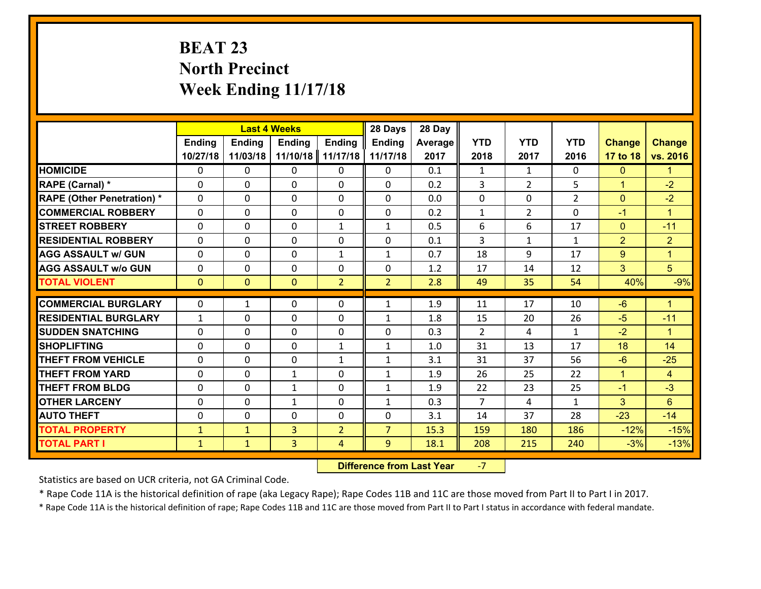# **BEAT 23 North Precinct Week Ending 11/17/18**

|                                               |               |                | <b>Last 4 Weeks</b> |                | 28 Days        | 28 Day  |                      |                |                    |                |                            |
|-----------------------------------------------|---------------|----------------|---------------------|----------------|----------------|---------|----------------------|----------------|--------------------|----------------|----------------------------|
|                                               | <b>Ending</b> | <b>Ending</b>  | <b>Ending</b>       | <b>Ending</b>  | <b>Ending</b>  | Average | <b>YTD</b>           | <b>YTD</b>     | <b>YTD</b>         | <b>Change</b>  | <b>Change</b>              |
|                                               | 10/27/18      | 11/03/18       | 11/10/18            | 11/17/18       | 11/17/18       | 2017    | 2018                 | 2017           | 2016               | 17 to 18       | vs. 2016                   |
| <b>HOMICIDE</b>                               | 0             | 0              | $\Omega$            | 0              | $\Omega$       | 0.1     | 1                    | $\mathbf{1}$   | 0                  | $\mathbf{0}$   | $\mathbf{1}$               |
| RAPE (Carnal) *                               | 0             | 0              | $\mathbf{0}$        | 0              | 0              | 0.2     | 3                    | $\overline{2}$ | 5                  | $\mathbf{1}$   | $-2$                       |
| <b>RAPE (Other Penetration) *</b>             | $\Omega$      | 0              | $\mathbf{0}$        | $\Omega$       | 0              | 0.0     | 0                    | $\Omega$       | $\overline{2}$     | $\mathbf{0}$   | $-2$                       |
| <b>COMMERCIAL ROBBERY</b>                     | 0             | 0              | 0                   | 0              | 0              | 0.2     | $\mathbf{1}$         | $\overline{2}$ | $\Omega$           | $-1$           | $\mathbf{1}$               |
| <b>STREET ROBBERY</b>                         | $\Omega$      | 0              | $\mathbf 0$         | $\mathbf{1}$   | $\mathbf{1}$   | 0.5     | 6                    | 6              | 17                 | $\overline{0}$ | $-11$                      |
| <b>RESIDENTIAL ROBBERY</b>                    | $\Omega$      | $\Omega$       | $\mathbf 0$         | $\Omega$       | 0              | 0.1     | $\overline{3}$       | $\mathbf{1}$   | $\mathbf{1}$       | 2              | $\overline{2}$             |
| <b>AGG ASSAULT w/ GUN</b>                     | $\Omega$      | 0              | $\mathbf 0$         | $\mathbf{1}$   | $\mathbf{1}$   | 0.7     | 18                   | 9              | 17                 | 9              | $\mathbf{1}$               |
| <b>AGG ASSAULT w/o GUN</b>                    | 0             | 0              | $\mathbf 0$         | 0              | 0              | 1.2     | 17                   | 14             | 12                 | 3              | 5 <sup>5</sup>             |
| <b>TOTAL VIOLENT</b>                          | $\mathbf{0}$  | $\overline{0}$ | $\mathbf{O}$        | $\overline{2}$ | $\overline{2}$ | 2.8     | 49                   | 35             | 54                 | 40%            | $-9%$                      |
| <b>COMMERCIAL BURGLARY</b>                    | $\Omega$      | 1              | $\mathbf{0}$        | $\Omega$       | $\mathbf{1}$   | 1.9     | 11                   | 17             | 10                 | $-6$           | $\blacktriangleleft$       |
|                                               |               |                |                     |                |                |         |                      |                |                    |                |                            |
| <b>RESIDENTIAL BURGLARY</b>                   | $\mathbf{1}$  | 0              | $\mathbf 0$         | 0              | $\mathbf{1}$   | 1.8     | 15                   | 20             | 26                 | $-5$           | $-11$                      |
| <b>SUDDEN SNATCHING</b><br><b>SHOPLIFTING</b> | 0<br>$\Omega$ | 0              | $\mathbf 0$         | 0              | 0              | 0.3     | $\overline{2}$<br>31 | 4<br>13        | $\mathbf{1}$<br>17 | $-2$<br>18     | $\blacktriangleleft$<br>14 |
|                                               |               | 0              | $\mathbf 0$         | $\mathbf{1}$   | $\mathbf{1}$   | 1.0     |                      |                |                    |                |                            |
| <b>THEFT FROM VEHICLE</b>                     | $\Omega$      | 0              | $\mathbf 0$         | $\mathbf{1}$   | $\mathbf{1}$   | 3.1     | 31                   | 37             | 56                 | $-6$           | $-25$                      |
| <b>THEFT FROM YARD</b>                        | 0             | 0              | 1                   | 0              | $\mathbf{1}$   | 1.9     | 26                   | 25             | 22                 | $\mathbf{1}$   | $\overline{4}$             |
| <b>THEFT FROM BLDG</b>                        | 0             | 0              | 1                   | 0              | $\mathbf{1}$   | 1.9     | 22                   | 23             | 25                 | $-1$           | $-3$                       |
| <b>OTHER LARCENY</b>                          | 0             | 0              | $\mathbf{1}$        | 0              | $\mathbf{1}$   | 0.3     | $\overline{7}$       | $\overline{4}$ | $\mathbf{1}$       | 3              | $6\phantom{1}$             |
| <b>AUTO THEFT</b>                             | 0             | 0              | $\mathbf{0}$        | 0              | 0              | 3.1     | 14                   | 37             | 28                 | $-23$          | $-14$                      |
| <b>TOTAL PROPERTY</b>                         | $\mathbf{1}$  | $\mathbf{1}$   | $\overline{3}$      | $\overline{2}$ | $\overline{7}$ | 15.3    | 159                  | 180            | 186                | $-12%$         | $-15%$                     |
| <b>TOTAL PART I</b>                           | $\mathbf{1}$  | $\mathbf{1}$   | 3                   | 4              | 9              | 18.1    | 208                  | 215            | 240                | $-3%$          | $-13%$                     |

 **Difference from Last Year**‐7

Statistics are based on UCR criteria, not GA Criminal Code.

\* Rape Code 11A is the historical definition of rape (aka Legacy Rape); Rape Codes 11B and 11C are those moved from Part II to Part I in 2017.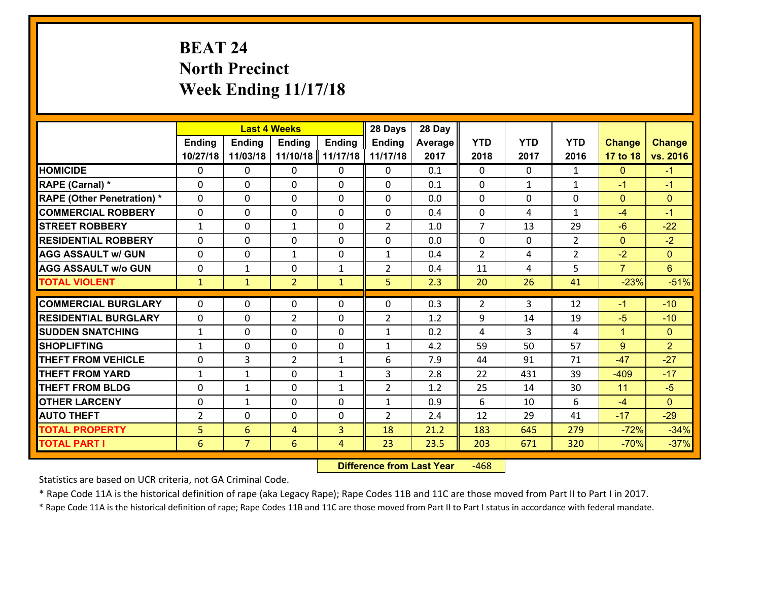# **BEAT 24 North Precinct Week Ending 11/17/18**

|                                   |               | <b>Last 4 Weeks</b> |                 |              | 28 Days        | 28 Day  |                |              |                |                |                 |
|-----------------------------------|---------------|---------------------|-----------------|--------------|----------------|---------|----------------|--------------|----------------|----------------|-----------------|
|                                   | <b>Ending</b> | <b>Ending</b>       | <b>Ending</b>   | Ending       | <b>Ending</b>  | Average | <b>YTD</b>     | <b>YTD</b>   | <b>YTD</b>     | <b>Change</b>  | <b>Change</b>   |
|                                   | 10/27/18      | 11/03/18            | 11/10/18        | 11/17/18     | 11/17/18       | 2017    | 2018           | 2017         | 2016           | 17 to 18       | vs. 2016        |
| <b>HOMICIDE</b>                   | $\Omega$      | 0                   | 0               | 0            | 0              | 0.1     | $\Omega$       | $\Omega$     | $\mathbf{1}$   | $\mathbf{0}$   | $-1$            |
| RAPE (Carnal) *                   | $\Omega$      | 0                   | $\Omega$        | 0            | $\Omega$       | 0.1     | $\Omega$       | $\mathbf{1}$ | $\mathbf{1}$   | $-1$           | $-1$            |
| <b>RAPE (Other Penetration) *</b> | $\Omega$      | 0                   | $\mathbf 0$     | 0            | 0              | 0.0     | 0              | 0            | 0              | $\mathbf{0}$   | $\mathbf{0}$    |
| <b>COMMERCIAL ROBBERY</b>         | 0             | 0                   | $\mathbf 0$     | 0            | 0              | 0.4     | $\mathbf 0$    | 4            | $\mathbf{1}$   | $-4$           | $-1$            |
| <b>STREET ROBBERY</b>             | $\mathbf{1}$  | 0                   | $\mathbf{1}$    | 0            | $\overline{2}$ | 1.0     | $\overline{7}$ | 13           | 29             | $-6$           | $-22$           |
| <b>RESIDENTIAL ROBBERY</b>        | $\Omega$      | 0                   | $\mathbf 0$     | 0            | 0              | 0.0     | $\mathbf 0$    | $\mathbf{0}$ | $\overline{2}$ | $\mathbf{0}$   | $-2$            |
| <b>AGG ASSAULT w/ GUN</b>         | 0             | 0                   | 1               | 0            | $\mathbf{1}$   | 0.4     | $\overline{2}$ | 4            | $\overline{2}$ | $-2$           | $\overline{0}$  |
| <b>AGG ASSAULT w/o GUN</b>        | 0             | 1                   | $\mathbf 0$     | $\mathbf{1}$ | $\overline{2}$ | 0.4     | 11             | 4            | 5              | $\overline{7}$ | $6\overline{6}$ |
| <b>TOTAL VIOLENT</b>              | $\mathbf{1}$  | $\mathbf{1}$        | $\overline{2}$  | $\mathbf{1}$ | 5              | 2.3     | 20             | 26           | 41             | $-23%$         | $-51%$          |
| <b>COMMERCIAL BURGLARY</b>        | $\Omega$      | 0                   | $\mathbf{0}$    | 0            | 0              | 0.3     | 2              | 3            | 12             | $-1$           | $-10$           |
|                                   |               |                     |                 |              |                |         |                |              |                |                |                 |
| <b>RESIDENTIAL BURGLARY</b>       | 0             | 0                   | $\overline{2}$  | 0            | $\overline{2}$ | 1.2     | 9              | 14           | 19             | $-5$           | $-10$           |
| <b>SUDDEN SNATCHING</b>           | $\mathbf{1}$  | 0                   | $\mathbf 0$     | 0            | $\mathbf{1}$   | 0.2     | 4              | 3            | 4              | $\mathbf{1}$   | $\overline{0}$  |
| <b>SHOPLIFTING</b>                | $\mathbf{1}$  | 0                   | $\mathbf 0$     | 0            | $\mathbf{1}$   | 4.2     | 59             | 50           | 57             | 9              | $\overline{2}$  |
| <b>THEFT FROM VEHICLE</b>         | 0             | 3                   | $\overline{2}$  | $\mathbf{1}$ | 6              | 7.9     | 44             | 91           | 71             | $-47$          | $-27$           |
| <b>THEFT FROM YARD</b>            | $\mathbf{1}$  | $\mathbf{1}$        | $\mathbf 0$     | $\mathbf{1}$ | 3              | 2.8     | 22             | 431          | 39             | $-409$         | $-17$           |
| <b>THEFT FROM BLDG</b>            | 0             | 1                   | $\mathbf 0$     | $\mathbf{1}$ | $\overline{2}$ | 1.2     | 25             | 14           | 30             | 11             | $-5$            |
| <b>OTHER LARCENY</b>              | $\mathbf 0$   | $\mathbf{1}$        | $\mathbf 0$     | 0            | $\mathbf{1}$   | 0.9     | 6              | 10           | 6              | $-4$           | $\overline{0}$  |
| <b>AUTO THEFT</b>                 | 2             | 0                   | $\mathbf 0$     | $\mathbf 0$  | $\overline{2}$ | 2.4     | 12             | 29           | 41             | $-17$          | $-29$           |
| <b>TOTAL PROPERTY</b>             | 5             | $6\overline{6}$     | 4               | 3            | 18             | 21.2    | 183            | 645          | 279            | $-72%$         | $-34%$          |
| <b>TOTAL PART I</b>               | 6             | $\overline{7}$      | $6\overline{6}$ | 4            | 23             | 23.5    | 203            | 671          | 320            | $-70%$         | $-37%$          |

 **Difference from Last Year**‐468

Statistics are based on UCR criteria, not GA Criminal Code.

\* Rape Code 11A is the historical definition of rape (aka Legacy Rape); Rape Codes 11B and 11C are those moved from Part II to Part I in 2017.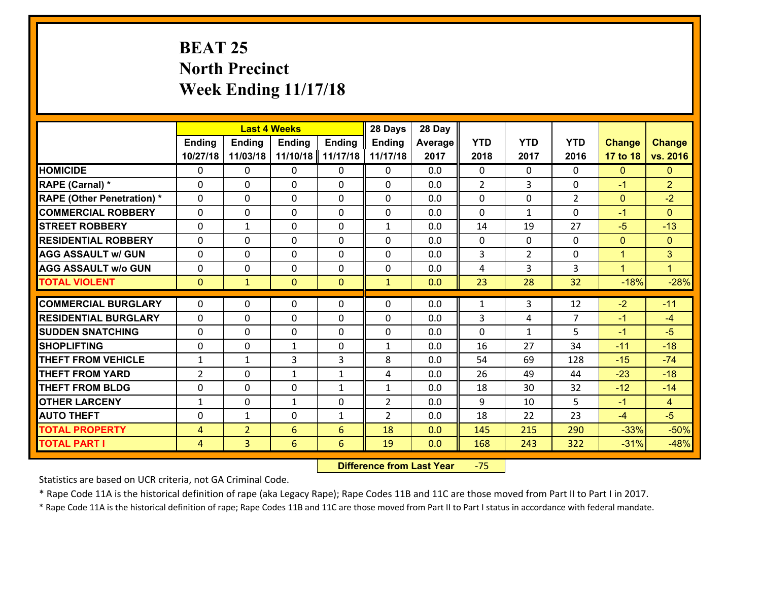# **BEAT 25 North Precinct Week Ending 11/17/18**

|                                   |                | <b>Last 4 Weeks</b> |                             |               | 28 Days           | 28 Day     |                |                    |                |               |                |
|-----------------------------------|----------------|---------------------|-----------------------------|---------------|-------------------|------------|----------------|--------------------|----------------|---------------|----------------|
|                                   | Ending         | <b>Ending</b>       | <b>Ending</b>               | <b>Ending</b> | <b>Ending</b>     | Average    | <b>YTD</b>     | <b>YTD</b>         | <b>YTD</b>     | <b>Change</b> | <b>Change</b>  |
|                                   | 10/27/18       | 11/03/18            | 11/10/18                    | 11/17/18      | 11/17/18          | 2017       | 2018           | 2017               | 2016           | 17 to 18      | vs. 2016       |
| <b>HOMICIDE</b>                   | 0              | 0                   | 0                           | 0             | 0                 | 0.0        | $\mathbf 0$    | $\Omega$           | 0              | $\mathbf{0}$  | $\mathbf{0}$   |
| RAPE (Carnal) *                   | $\Omega$       | 0                   | 0                           | $\Omega$      | 0                 | 0.0        | $\overline{2}$ | 3                  | $\Omega$       | $-1$          | $\overline{2}$ |
| <b>RAPE (Other Penetration) *</b> | $\Omega$       | $\Omega$            | $\Omega$                    | $\Omega$      | $\Omega$          | 0.0        | $\Omega$       | $\Omega$           | $\mathcal{L}$  | $\mathbf{0}$  | $-2$           |
| <b>COMMERCIAL ROBBERY</b>         | $\Omega$       | $\Omega$            | $\mathbf 0$                 | $\Omega$      | 0                 | 0.0        | $\Omega$       | $\mathbf{1}$       | $\Omega$       | $-1$          | $\Omega$       |
| <b>STREET ROBBERY</b>             | 0              | 1                   | $\mathbf{0}$                | 0             | $\mathbf{1}$      | 0.0        | 14             | 19                 | 27             | $-5$          | $-13$          |
| <b>RESIDENTIAL ROBBERY</b>        | $\mathbf{0}$   | 0                   | $\mathbf{0}$                | 0             | 0                 | 0.0        | $\mathbf 0$    | $\mathbf{0}$       | 0              | $\mathbf{0}$  | $\mathbf{0}$   |
| <b>AGG ASSAULT w/ GUN</b>         | 0              | 0                   | $\mathbf 0$                 | 0             | 0                 | 0.0        | 3              | $\overline{2}$     | 0              | $\mathbf{1}$  | 3              |
| <b>AGG ASSAULT w/o GUN</b>        | 0              | 0                   | $\mathbf 0$                 | 0             | 0                 | 0.0        | 4              | 3                  | 3              | $\mathbf{1}$  | $\blacksquare$ |
| <b>TOTAL VIOLENT</b>              | $\mathbf{0}$   | $\mathbf{1}$        | $\overline{0}$              | $\mathbf{0}$  | $\mathbf{1}$      | 0.0        | 23             | 28                 | 32             | $-18%$        | $-28%$         |
| <b>COMMERCIAL BURGLARY</b>        | $\Omega$       | 0                   | $\mathbf{0}$                | $\Omega$      | $\Omega$          | 0.0        | $\mathbf{1}$   | 3                  | 12             | $-2$          | $-11$          |
| <b>RESIDENTIAL BURGLARY</b>       | $\Omega$       | 0                   | $\mathbf 0$                 | $\Omega$      | 0                 | 0.0        | 3              | 4                  | $\overline{7}$ | $-1$          | $-4$           |
| <b>SUDDEN SNATCHING</b>           | $\Omega$       |                     |                             | $\Omega$      |                   |            | $\Omega$       |                    | 5              | $-1$          | $-5$           |
| <b>SHOPLIFTING</b>                | 0              | 0<br>0              | $\mathbf 0$<br>$\mathbf{1}$ | 0             | 0<br>$\mathbf{1}$ | 0.0<br>0.0 | 16             | $\mathbf{1}$<br>27 | 34             | $-11$         | $-18$          |
| <b>THEFT FROM VEHICLE</b>         | $\mathbf{1}$   | $\mathbf{1}$        | 3                           | 3             | 8                 | 0.0        | 54             | 69                 | 128            | $-15$         | $-74$          |
| <b>THEFT FROM YARD</b>            |                |                     |                             |               |                   |            | 26             | 49                 |                | $-23$         | $-18$          |
| <b>THEFT FROM BLDG</b>            | $\overline{2}$ | 0                   | $\mathbf{1}$                | $\mathbf{1}$  | 4                 | 0.0        |                |                    | 44             | $-12$         | $-14$          |
|                                   | $\mathbf 0$    | 0                   | $\mathbf 0$                 | $\mathbf{1}$  | $\mathbf{1}$      | 0.0        | 18             | 30                 | 32             |               |                |
| <b>OTHER LARCENY</b>              | $\mathbf{1}$   | 0                   | 1                           | 0             | $\overline{2}$    | 0.0        | 9              | 10                 | 5              | $-1$          | $\overline{4}$ |
| <b>AUTO THEFT</b>                 | 0              | 1                   | 0                           | $\mathbf{1}$  | $\overline{2}$    | 0.0        | 18             | 22                 | 23             | $-4$          | $-5$           |
| <b>TOTAL PROPERTY</b>             | $\overline{4}$ | $\overline{2}$      | 6                           | 6             | 18                | 0.0        | 145            | 215                | 290            | $-33%$        | $-50%$         |
| <b>TOTAL PART I</b>               | $\overline{4}$ | $\overline{3}$      | $6\phantom{a}$              | 6             | 19                | 0.0        | 168            | 243                | 322            | $-31%$        | $-48%$         |

 **Difference from Last Year**‐75

Statistics are based on UCR criteria, not GA Criminal Code.

\* Rape Code 11A is the historical definition of rape (aka Legacy Rape); Rape Codes 11B and 11C are those moved from Part II to Part I in 2017.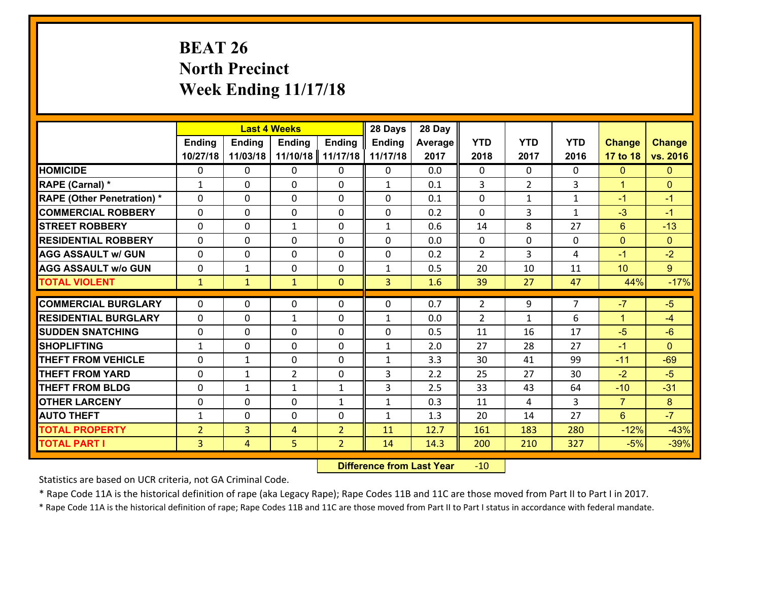# **BEAT 26 North Precinct Week Ending 11/17/18**

|                                   |                | <b>Last 4 Weeks</b> |                |                | 28 Days        | 28 Day  |                |                |                |                |                |
|-----------------------------------|----------------|---------------------|----------------|----------------|----------------|---------|----------------|----------------|----------------|----------------|----------------|
|                                   | Ending         | <b>Ending</b>       | <b>Ending</b>  | <b>Ending</b>  | <b>Ending</b>  | Average | <b>YTD</b>     | <b>YTD</b>     | <b>YTD</b>     | <b>Change</b>  | <b>Change</b>  |
|                                   | 10/27/18       | 11/03/18            | 11/10/18       | 11/17/18       | 11/17/18       | 2017    | 2018           | 2017           | 2016           | 17 to 18       | vs. 2016       |
| <b>HOMICIDE</b>                   | $\Omega$       | 0                   | 0              | $\Omega$       | 0              | 0.0     | $\Omega$       | $\Omega$       | 0              | $\mathbf{0}$   | $\Omega$       |
| RAPE (Carnal) *                   | $\mathbf{1}$   | 0                   | $\mathbf{0}$   | 0              | $\mathbf{1}$   | 0.1     | 3              | $\overline{2}$ | 3              | $\mathbf{1}$   | $\mathbf{0}$   |
| <b>RAPE (Other Penetration) *</b> | $\Omega$       | 0                   | $\mathbf{0}$   | $\Omega$       | $\Omega$       | 0.1     | $\Omega$       | $\mathbf{1}$   | $\mathbf{1}$   | $-1$           | $-1$           |
| <b>COMMERCIAL ROBBERY</b>         | 0              | 0                   | 0              | 0              | 0              | 0.2     | $\mathbf{0}$   | 3              | $\mathbf{1}$   | $-3$           | $-1$           |
| <b>STREET ROBBERY</b>             | $\Omega$       | 0                   | $\mathbf{1}$   | 0              | $\mathbf{1}$   | 0.6     | 14             | 8              | 27             | 6              | $-13$          |
| <b>RESIDENTIAL ROBBERY</b>        | $\Omega$       | 0                   | 0              | $\Omega$       | $\Omega$       | 0.0     | $\mathbf 0$    | $\Omega$       | 0              | $\mathbf{0}$   | $\overline{0}$ |
| <b>AGG ASSAULT w/ GUN</b>         | $\Omega$       | 0                   | 0              | 0              | 0              | 0.2     | $\overline{2}$ | 3              | 4              | $-1$           | $-2$           |
| <b>AGG ASSAULT w/o GUN</b>        | 0              | $\mathbf{1}$        | 0              | 0              | $\mathbf{1}$   | 0.5     | 20             | 10             | 11             | 10             | 9 <sup>°</sup> |
| <b>TOTAL VIOLENT</b>              | $\mathbf{1}$   | $\mathbf{1}$        | $\mathbf{1}$   | $\overline{0}$ | $\overline{3}$ | 1.6     | 39             | 27             | 47             | 44%            | $-17%$         |
| <b>COMMERCIAL BURGLARY</b>        | $\Omega$       | 0                   | $\mathbf{0}$   | $\Omega$       | $\Omega$       | 0.7     | $\overline{2}$ | 9              | $\overline{7}$ | $-7$           | $-5$           |
| <b>RESIDENTIAL BURGLARY</b>       | $\Omega$       | 0                   | $\mathbf{1}$   | 0              | $\mathbf{1}$   | 0.0     | $\overline{2}$ | $\mathbf{1}$   | 6              | $\mathbf{1}$   | $-4$           |
| <b>SUDDEN SNATCHING</b>           | 0              | 0                   | 0              | 0              | 0              | 0.5     | 11             | 16             | 17             | $-5$           | $-6$           |
| <b>SHOPLIFTING</b>                | $\mathbf{1}$   | 0                   | 0              | 0              | $\mathbf{1}$   | 2.0     | 27             | 28             | 27             | $-1$           | $\Omega$       |
| <b>THEFT FROM VEHICLE</b>         | 0              | $\mathbf{1}$        | 0              | 0              | $\mathbf{1}$   | 3.3     | 30             | 41             | 99             | $-11$          | $-69$          |
| <b>THEFT FROM YARD</b>            | 0              | $\mathbf{1}$        | $\overline{2}$ | 0              | 3              | 2.2     | 25             | 27             | 30             | $-2$           | $-5$           |
| <b>THEFT FROM BLDG</b>            | 0              | $\mathbf{1}$        | $\mathbf{1}$   | $\mathbf{1}$   | 3              | 2.5     | 33             | 43             | 64             | $-10$          | $-31$          |
| <b>OTHER LARCENY</b>              | 0              | 0                   | 0              | $\mathbf{1}$   | $\mathbf{1}$   | 0.3     | 11             | 4              | 3              | $\overline{7}$ | 8              |
| <b>AUTO THEFT</b>                 | $\mathbf{1}$   | 0                   | $\mathbf{0}$   | 0              | $\mathbf{1}$   | 1.3     | 20             | 14             | 27             | $6^{\circ}$    | $-7$           |
| <b>TOTAL PROPERTY</b>             | $\overline{2}$ | 3                   | 4              | $\overline{2}$ | 11             | 12.7    | 161            | 183            | 280            | $-12%$         | $-43%$         |
| <b>TOTAL PART I</b>               | $\overline{3}$ | $\overline{4}$      | 5              | $\overline{2}$ | 14             | 14.3    | 200            | 210            | 327            | $-5%$          | $-39%$         |
|                                   |                |                     |                |                |                |         |                |                |                |                |                |

 **Difference from Last Year**r -10

Statistics are based on UCR criteria, not GA Criminal Code.

\* Rape Code 11A is the historical definition of rape (aka Legacy Rape); Rape Codes 11B and 11C are those moved from Part II to Part I in 2017.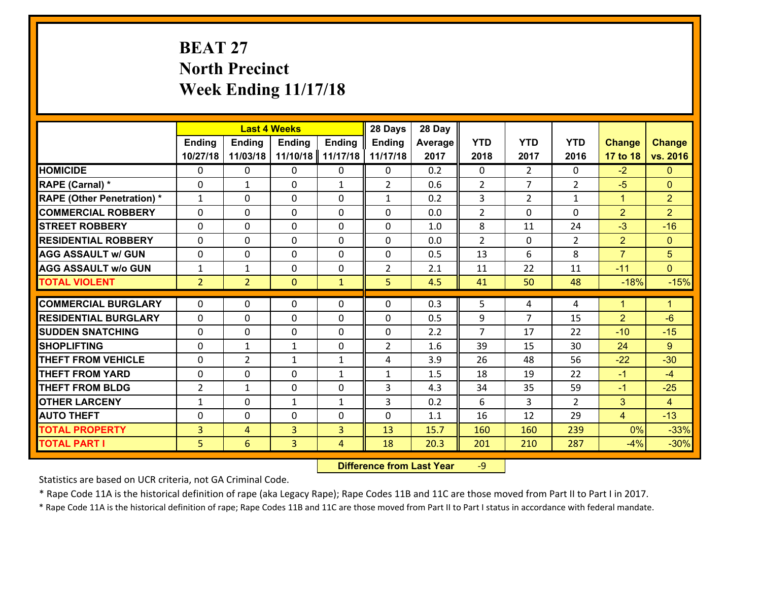# **BEAT 27 North Precinct Week Ending 11/17/18**

|                                   |                |                | <b>Last 4 Weeks</b> |               | 28 Days        | 28 Day  |                |                |                |                      |                |
|-----------------------------------|----------------|----------------|---------------------|---------------|----------------|---------|----------------|----------------|----------------|----------------------|----------------|
|                                   | <b>Ending</b>  | Ending         | <b>Ending</b>       | <b>Ending</b> | Ending         | Average | <b>YTD</b>     | <b>YTD</b>     | <b>YTD</b>     | <b>Change</b>        | <b>Change</b>  |
|                                   | 10/27/18       | 11/03/18       | 11/10/18            | 11/17/18      | 11/17/18       | 2017    | 2018           | 2017           | 2016           | 17 to 18             | vs. 2016       |
| <b>HOMICIDE</b>                   | $\Omega$       | 0              | $\mathbf{0}$        | $\Omega$      | 0              | 0.2     | 0              | $\overline{2}$ | $\Omega$       | $-2$                 | $\mathbf{0}$   |
| RAPE (Carnal) *                   | $\Omega$       | $\mathbf{1}$   | $\mathbf{0}$        | $\mathbf{1}$  | $\overline{2}$ | 0.6     | 2              | $\overline{7}$ | $\overline{2}$ | $-5$                 | $\mathbf{0}$   |
| <b>RAPE (Other Penetration) *</b> | $\mathbf{1}$   | 0              | $\mathbf 0$         | 0             | $\mathbf{1}$   | 0.2     | 3              | $\overline{2}$ | $\mathbf{1}$   | $\mathbf{1}$         | $\overline{2}$ |
| <b>COMMERCIAL ROBBERY</b>         | 0              | 0              | 0                   | 0             | 0              | 0.0     | $\overline{2}$ | $\mathbf{0}$   | $\Omega$       | $\overline{2}$       | $\overline{2}$ |
| <b>STREET ROBBERY</b>             | $\Omega$       | 0              | $\mathbf 0$         | $\Omega$      | 0              | 1.0     | 8              | 11             | 24             | $-3$                 | $-16$          |
| <b>RESIDENTIAL ROBBERY</b>        | 0              | 0              | $\mathbf 0$         | 0             | 0              | 0.0     | $\overline{2}$ | $\mathbf 0$    | $\overline{2}$ | $\overline{2}$       | $\overline{0}$ |
| <b>AGG ASSAULT w/ GUN</b>         | 0              | 0              | $\mathbf 0$         | 0             | 0              | 0.5     | 13             | 6              | 8              | $\overline{7}$       | 5              |
| <b>AGG ASSAULT w/o GUN</b>        | $\mathbf{1}$   | 1              | $\mathbf 0$         | 0             | $\overline{2}$ | 2.1     | 11             | 22             | 11             | $-11$                | $\overline{0}$ |
| <b>TOTAL VIOLENT</b>              | 2 <sup>1</sup> | $\overline{2}$ | $\mathbf{0}$        | $\mathbf{1}$  | 5              | 4.5     | 41             | 50             | 48             | $-18%$               | $-15%$         |
| <b>COMMERCIAL BURGLARY</b>        | $\Omega$       | 0              | $\mathbf{0}$        | 0             | $\Omega$       | 0.3     | 5              |                |                | $\blacktriangleleft$ | $\mathbf{1}$   |
|                                   |                |                |                     |               |                |         |                | 4              | 4              |                      |                |
| <b>RESIDENTIAL BURGLARY</b>       | $\Omega$       | 0              | $\mathbf 0$         | 0             | 0              | 0.5     | 9              | 7              | 15             | $\overline{2}$       | $-6$           |
| <b>SUDDEN SNATCHING</b>           | 0              | 0              | $\mathbf{0}$        | $\Omega$      | 0              | 2.2     | 7              | 17             | 22             | $-10$                | $-15$          |
| <b>SHOPLIFTING</b>                | $\Omega$       | 1              | $\mathbf{1}$        | $\Omega$      | $\overline{2}$ | 1.6     | 39             | 15             | 30             | 24                   | 9              |
| <b>THEFT FROM VEHICLE</b>         | 0              | $\overline{2}$ | $\mathbf{1}$        | $\mathbf{1}$  | 4              | 3.9     | 26             | 48             | 56             | $-22$                | $-30$          |
| <b>THEFT FROM YARD</b>            | 0              | 0              | 0                   | $\mathbf{1}$  | $\mathbf{1}$   | 1.5     | 18             | 19             | 22             | $-1$                 | $-4$           |
| <b>THEFT FROM BLDG</b>            | $\overline{2}$ | 1              | $\mathbf 0$         | 0             | 3              | 4.3     | 34             | 35             | 59             | $-1$                 | $-25$          |
| <b>OTHER LARCENY</b>              | $\mathbf{1}$   | 0              | $\mathbf{1}$        | $\mathbf{1}$  | 3              | 0.2     | 6              | 3              | $\overline{2}$ | 3                    | $\overline{4}$ |
| <b>AUTO THEFT</b>                 | $\mathbf{0}$   | 0              | 0                   | 0             | 0              | 1.1     | 16             | 12             | 29             | $\overline{4}$       | $-13$          |
| <b>TOTAL PROPERTY</b>             | $\overline{3}$ | 4              | 3                   | 3             | 13             | 15.7    | 160            | 160            | 239            | 0%                   | $-33%$         |
| <b>TOTAL PART I</b>               | 5              | 6              | 3                   | 4             | 18             | 20.3    | 201            | 210            | 287            | $-4%$                | $-30%$         |

 **Difference from Last Year**r -9

Statistics are based on UCR criteria, not GA Criminal Code.

\* Rape Code 11A is the historical definition of rape (aka Legacy Rape); Rape Codes 11B and 11C are those moved from Part II to Part I in 2017.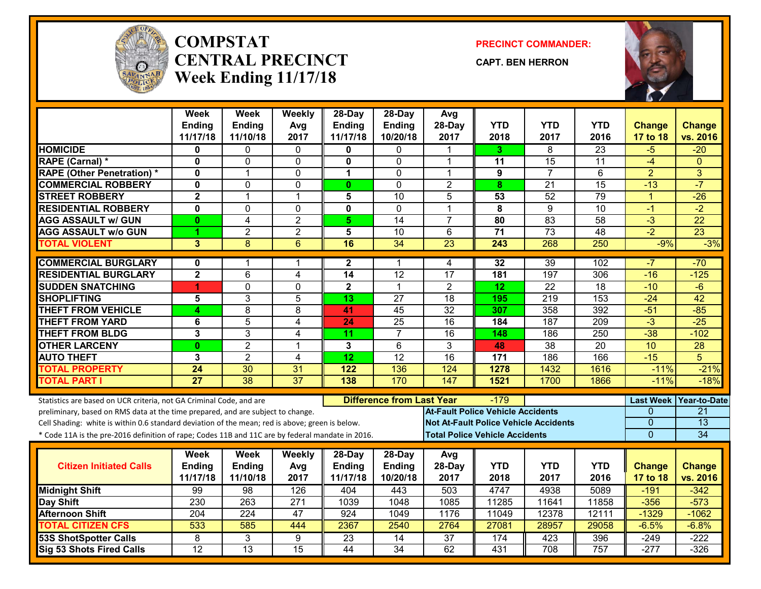

#### **COMPSTATCENTRAL PRECINCTWeek Ending 11/17/18**

**PRECINCT COMMANDER:**

**CAPT. BEN HERRON**



|                                                                                                  | <b>Week</b>             | <b>Week</b>     | Weekly          | 28-Day                  | 28-Day                           | Avg                                      |                  |                                              |                 |                  |                     |
|--------------------------------------------------------------------------------------------------|-------------------------|-----------------|-----------------|-------------------------|----------------------------------|------------------------------------------|------------------|----------------------------------------------|-----------------|------------------|---------------------|
|                                                                                                  | <b>Ending</b>           | <b>Ending</b>   | Avg             | <b>Ending</b>           | <b>Ending</b>                    | 28-Day                                   | <b>YTD</b>       | <b>YTD</b>                                   | <b>YTD</b>      | <b>Change</b>    | <b>Change</b>       |
|                                                                                                  | 11/17/18                | 11/10/18        | 2017            | 11/17/18                | 10/20/18                         | 2017                                     | 2018             | 2017                                         | 2016            | 17 to 18         | vs. 2016            |
| <b>HOMICIDE</b>                                                                                  | 0                       | 0               | 0               | 0                       | 0                                |                                          | 3.               | 8                                            | $\overline{23}$ | -5               | $-20$               |
| RAPE (Carnal) *                                                                                  | $\mathbf 0$             | 0               | $\mathbf 0$     | $\mathbf{0}$            | $\Omega$                         | 1                                        | 11               | 15                                           | 11              | $-4$             | $\Omega$            |
| <b>RAPE (Other Penetration) *</b>                                                                | 0                       | 1               | 0               | 1                       | $\mathbf{0}$                     | 1                                        | 9                | $\overline{7}$                               | 6               | $\overline{2}$   | 3                   |
| <b>COMMERCIAL ROBBERY</b>                                                                        | $\mathbf 0$             | 0               | $\mathbf 0$     | $\mathbf{0}$            | $\Omega$                         | $\overline{2}$                           | 8                | $\overline{21}$                              | $\overline{15}$ | $-13$            | $-7$                |
| <b>STREET ROBBERY</b>                                                                            | $\overline{\mathbf{2}}$ | $\mathbf{1}$    | $\mathbf{1}$    | 5                       | 10                               | 5                                        | 53               | 52                                           | 79              | $\mathbf{1}$     | $-26$               |
| <b>RESIDENTIAL ROBBERY</b>                                                                       | $\overline{\mathbf{0}}$ | 0               | $\mathbf 0$     | $\overline{\mathbf{0}}$ | $\mathbf 0$                      | 1                                        | 8                | $\overline{9}$                               | $\overline{10}$ | $-1$             | $-2$                |
| <b>AGG ASSAULT w/ GUN</b>                                                                        | $\bf{0}$                | 4               | $\overline{2}$  | 5 <sup>5</sup>          | 14                               | $\overline{7}$                           | 80               | 83                                           | 58              | $\overline{3}$   | $\overline{22}$     |
| <b>AGG ASSAULT W/o GUN</b>                                                                       | 4                       | $\overline{2}$  | $\overline{2}$  | $\overline{\mathbf{5}}$ | 10                               | 6                                        | $\overline{71}$  | 73                                           | 48              | $-2$             | $\overline{23}$     |
| <b>TOTAL VIOLENT</b>                                                                             | 3                       | 8               | 6               | 16                      | 34                               | 23                                       | $\overline{243}$ | 268                                          | 250             | $-9%$            | $-3%$               |
| <b>COMMERCIAL BURGLARY</b>                                                                       | $\mathbf 0$             | 1               | 1               | $\mathbf{2}$            | 1                                | 4                                        | 32               | 39                                           | 102             | $-7$             | $-70$               |
| <b>RESIDENTIAL BURGLARY</b>                                                                      | $\overline{\mathbf{2}}$ | 6               | 4               | 14                      | 12                               | $\overline{17}$                          | 181              | 197                                          | 306             | $-16$            | $-125$              |
| <b>SUDDEN SNATCHING</b>                                                                          | 4                       | $\overline{0}$  | $\overline{0}$  | $\overline{\mathbf{2}}$ | $\mathbf{1}$                     | $\overline{2}$                           | $\overline{12}$  | $\overline{22}$                              | $\overline{18}$ | $-10$            | $-6$                |
| <b>SHOPLIFTING</b>                                                                               | 5                       | 3               | 5               | 13                      | 27                               | 18                                       | 195              | 219                                          | 153             | $-24$            | 42                  |
| <b>THEFT FROM VEHICLE</b>                                                                        | 4                       | $\overline{8}$  | 8               | 41                      | $\overline{45}$                  | $\overline{32}$                          | 307              | 358                                          | 392             | $-51$            | $-85$               |
| <b>THEFT FROM YARD</b>                                                                           | 6                       | 5               | 4               | 24                      | $\overline{25}$                  | 16                                       | 184              | 187                                          | 209             | $\overline{3}$   | $-25$               |
| <b>THEFT FROM BLDG</b>                                                                           | 3                       | $\overline{3}$  | $\overline{4}$  | 11                      | $\overline{7}$                   | 16                                       | 148              | 186                                          | 250             | $-38$            | $-102$              |
| <b>OTHER LARCENY</b>                                                                             | $\bf{0}$                | $\overline{2}$  | $\mathbf 1$     | 3                       | 6                                | 3                                        | 48               | 38                                           | 20              | 10               | $\overline{28}$     |
| <b>AUTO THEFT</b>                                                                                | 3                       | $\overline{2}$  | 4               | $\overline{12}$         | $\overline{12}$                  | $\overline{16}$                          | 171              | 186                                          | 166             | $-15$            | 5                   |
| <b>TOTAL PROPERTY</b>                                                                            | 24                      | 30              | 31              | 122                     | 136                              | 124                                      | 1278             | 1432                                         | 1616            | $-11%$           | $-21%$              |
| <b>TOTAL PART I</b>                                                                              | $\overline{27}$         | $\overline{38}$ | $\overline{37}$ | $\overline{138}$        | 170                              | $\overline{147}$                         | 1521             | 1700                                         | 1866            | $-11%$           | $-18%$              |
| Statistics are based on UCR criteria, not GA Criminal Code, and are                              |                         |                 |                 |                         | <b>Difference from Last Year</b> |                                          | -179             |                                              |                 | <b>Last Week</b> | <b>Year-to-Date</b> |
| preliminary, based on RMS data at the time prepared, and are subject to change.                  |                         |                 |                 |                         |                                  | <b>At-Fault Police Vehicle Accidents</b> |                  |                                              |                 | $\Omega$         | 21                  |
| Cell Shading: white is within 0.6 standard deviation of the mean; red is above; green is below.  |                         |                 |                 |                         |                                  |                                          |                  | <b>Not At-Fault Police Vehicle Accidents</b> |                 | $\Omega$         | 13                  |
| * Code 11A is the pre-2016 definition of rape; Codes 11B and 11C are by federal mandate in 2016. |                         |                 |                 |                         |                                  | <b>Total Police Vehicle Accidents</b>    |                  |                                              |                 | $\overline{0}$   | 34                  |
|                                                                                                  | Week                    | Week            | <b>Weekly</b>   | $28-Day$                | 28-Day                           | Avg                                      |                  |                                              |                 |                  |                     |
| <b>Citizen Initiated Calls</b>                                                                   | <b>Ending</b>           | Ending          | Avg             | <b>Ending</b>           | <b>Ending</b>                    | 28-Day                                   | <b>YTD</b>       | <b>YTD</b>                                   | <b>YTD</b>      | <b>Change</b>    | <b>Change</b>       |
|                                                                                                  | 11/17/18                | 11/10/18        | 2017            | 11/17/18                | 10/20/18                         | 2017                                     | 2018             | 2017                                         | 2016            | 17 to 18         | vs. 2016            |
| <b>Midnight Shift</b>                                                                            | 99                      | $\overline{98}$ | 126             | 404                     | 443                              | 503                                      | 4747             | 4938                                         | 5089            | $-191$           | $-342$              |
| Day Shift                                                                                        | 230                     | 263             | 271             | 1039                    | 1048                             | 1085                                     | 11285            | 11641                                        | 11858           | $-356$           | $-573$              |
| <b>Afternoon Shift</b>                                                                           | 204                     | 224             | 47              | 924                     | 1049                             | 1176                                     | 11049            | 12378                                        | 12111           | $-1329$          | $-1062$             |
| <b>TOTAL CITIZEN CFS</b>                                                                         | 533                     | 585             | 444             | 2367                    | 2540                             | 2764                                     | 27081            | 28957                                        | 29058           | $-6.5%$          | $-6.8%$             |
| <b>53S ShotSpotter Calls</b>                                                                     | $\overline{8}$          | 3               | 9               | $\overline{23}$         | $\overline{14}$                  | $\overline{37}$                          | 174              | 423                                          | 396             | $-249$           | $-222$              |
| <b>Sig 53 Shots Fired Calls</b>                                                                  | $\overline{12}$         | $\overline{13}$ | $\overline{15}$ | 44                      | $\overline{34}$                  | 62                                       | 431              | 708                                          | 757             | $-277$           | $-326$              |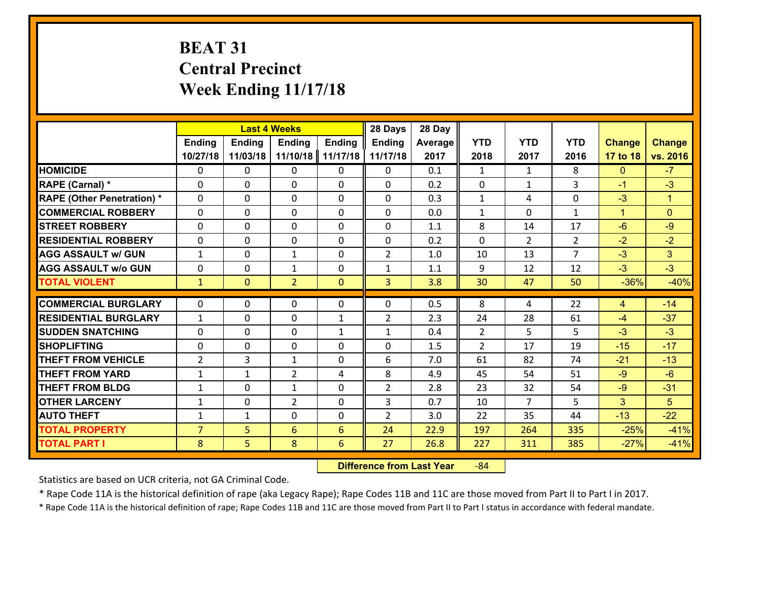# **BEAT 31 Central Precinct Week Ending 11/17/18**

|                                   |                |                | <b>Last 4 Weeks</b> |               | 28 Days        | 28 Day  |                |                |                |                |                      |
|-----------------------------------|----------------|----------------|---------------------|---------------|----------------|---------|----------------|----------------|----------------|----------------|----------------------|
|                                   | <b>Ending</b>  | <b>Ending</b>  | <b>Ending</b>       | <b>Ending</b> | <b>Ending</b>  | Average | <b>YTD</b>     | <b>YTD</b>     | <b>YTD</b>     | <b>Change</b>  | <b>Change</b>        |
|                                   | 10/27/18       | 11/03/18       | 11/10/18            | 11/17/18      | 11/17/18       | 2017    | 2018           | 2017           | 2016           | 17 to 18       | vs. 2016             |
| <b>HOMICIDE</b>                   | $\Omega$       | 0              | 0                   | 0             | 0              | 0.1     | 1              | $\mathbf{1}$   | 8              | $\mathbf{0}$   | $-7$                 |
| RAPE (Carnal) *                   | $\Omega$       | 0              | $\Omega$            | 0             | $\Omega$       | 0.2     | $\Omega$       | $\mathbf{1}$   | 3              | $-1$           | $-3$                 |
| <b>RAPE (Other Penetration) *</b> | 0              | 0              | $\mathbf 0$         | 0             | 0              | 0.3     | $\mathbf{1}$   | 4              | 0              | $-3$           | $\blacktriangleleft$ |
| <b>COMMERCIAL ROBBERY</b>         | 0              | 0              | $\mathbf 0$         | 0             | 0              | 0.0     | $\mathbf{1}$   | $\mathbf 0$    | $\mathbf{1}$   | $\mathbf{1}$   | $\mathbf{0}$         |
| <b>STREET ROBBERY</b>             | 0              | 0              | $\mathbf 0$         | 0             | $\mathbf 0$    | 1.1     | 8              | 14             | 17             | $-6$           | $-9$                 |
| <b>RESIDENTIAL ROBBERY</b>        | 0              | 0              | $\mathbf 0$         | 0             | 0              | 0.2     | $\mathbf 0$    | $\overline{2}$ | $\overline{2}$ | $-2$           | $-2$                 |
| <b>AGG ASSAULT w/ GUN</b>         | $\mathbf{1}$   | 0              | 1                   | 0             | $\overline{2}$ | 1.0     | 10             | 13             | $\overline{7}$ | $-3$           | 3 <sup>1</sup>       |
| <b>AGG ASSAULT w/o GUN</b>        | 0              | 0              | 1                   | $\Omega$      | $\mathbf{1}$   | 1.1     | 9              | 12             | 12             | $-3$           | $-3$                 |
| <b>TOTAL VIOLENT</b>              | $\mathbf{1}$   | $\overline{0}$ | $\overline{2}$      | $\mathbf{0}$  | 3              | 3.8     | 30             | 47             | 50             | $-36%$         | $-40%$               |
|                                   |                |                |                     |               |                |         |                |                |                |                |                      |
| <b>COMMERCIAL BURGLARY</b>        | $\Omega$       | 0              | $\mathbf{0}$        | 0             | $\Omega$       | 0.5     | 8              | 4              | 22             | $\overline{4}$ | $-14$                |
| <b>RESIDENTIAL BURGLARY</b>       | $\mathbf{1}$   | 0              | 0                   | $\mathbf{1}$  | $\overline{2}$ | 2.3     | 24             | 28             | 61             | $-4$           | $-37$                |
| <b>SUDDEN SNATCHING</b>           | 0              | 0              | $\mathbf 0$         | $\mathbf{1}$  | $\mathbf{1}$   | 0.4     | $\overline{2}$ | 5              | 5              | $-3$           | $-3$                 |
| <b>SHOPLIFTING</b>                | 0              | 0              | $\mathbf 0$         | 0             | 0              | 1.5     | $\overline{2}$ | 17             | 19             | $-15$          | $-17$                |
| <b>THEFT FROM VEHICLE</b>         | $\overline{2}$ | 3              | $\mathbf{1}$        | 0             | 6              | 7.0     | 61             | 82             | 74             | $-21$          | $-13$                |
| <b>THEFT FROM YARD</b>            | $\mathbf{1}$   | $\mathbf 1$    | $\overline{2}$      | 4             | 8              | 4.9     | 45             | 54             | 51             | $-9$           | $-6$                 |
| <b>THEFT FROM BLDG</b>            | $\mathbf{1}$   | 0              | $\mathbf{1}$        | $\mathbf{0}$  | $\overline{2}$ | 2.8     | 23             | 32             | 54             | $-9$           | $-31$                |
| <b>OTHER LARCENY</b>              | $\mathbf{1}$   | 0              | $\overline{2}$      | 0             | 3              | 0.7     | 10             | $\overline{7}$ | 5              | 3              | 5                    |
| <b>AUTO THEFT</b>                 | $\mathbf{1}$   | 1              | $\mathbf 0$         | 0             | $\overline{2}$ | 3.0     | 22             | 35             | 44             | $-13$          | $-22$                |
| <b>TOTAL PROPERTY</b>             | $\overline{7}$ | 5              | 6                   | 6             | 24             | 22.9    | 197            | 264            | 335            | $-25%$         | $-41%$               |
| <b>TOTAL PART I</b>               | 8              | 5              | 8                   | 6             | 27             | 26.8    | 227            | 311            | 385            | $-27%$         | $-41%$               |

 **Difference from Last Year**r -84

Statistics are based on UCR criteria, not GA Criminal Code.

\* Rape Code 11A is the historical definition of rape (aka Legacy Rape); Rape Codes 11B and 11C are those moved from Part II to Part I in 2017.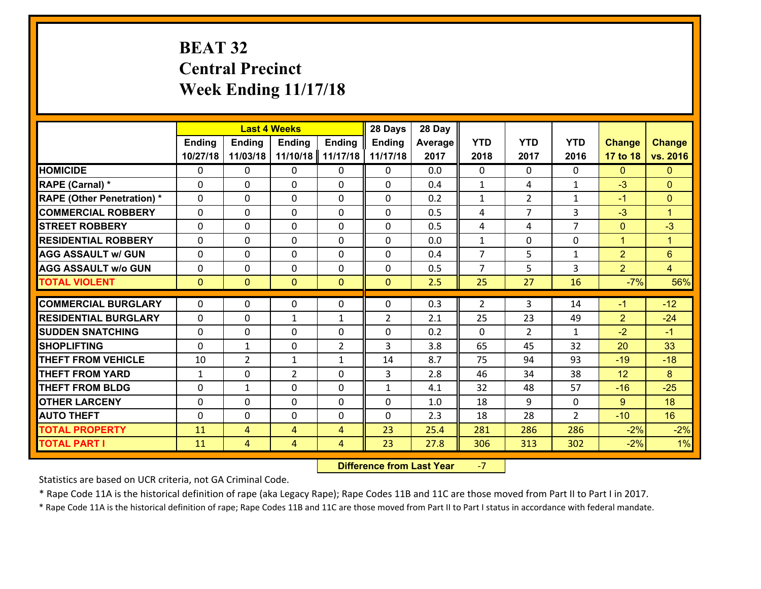# **BEAT 32 Central Precinct Week Ending 11/17/18**

|                                              |               | <b>Last 4 Weeks</b> |                |                     | 28 Days        | 28 Day       |                |                |                |                |                      |
|----------------------------------------------|---------------|---------------------|----------------|---------------------|----------------|--------------|----------------|----------------|----------------|----------------|----------------------|
|                                              | <b>Ending</b> | Ending              | <b>Ending</b>  | <b>Ending</b>       | <b>Ending</b>  | Average      | <b>YTD</b>     | <b>YTD</b>     | <b>YTD</b>     | <b>Change</b>  | <b>Change</b>        |
|                                              | 10/27/18      | 11/03/18            | 11/10/18       | 11/17/18            | 11/17/18       | 2017         | 2018           | 2017           | 2016           | 17 to 18       | vs. 2016             |
| <b>HOMICIDE</b>                              | $\mathbf{0}$  | 0                   | $\mathbf{0}$   | 0                   | 0              | 0.0          | $\Omega$       | $\Omega$       | $\Omega$       | $\mathbf{0}$   | $\mathbf{0}$         |
| RAPE (Carnal) *                              | $\Omega$      | 0                   | $\mathbf{0}$   | 0                   | $\Omega$       | 0.4          | 1              | 4              | $\mathbf{1}$   | $-3$           | $\mathbf{0}$         |
| <b>RAPE (Other Penetration) *</b>            | $\Omega$      | $\Omega$            | $\Omega$       | $\Omega$            | $\Omega$       | 0.2          | $\mathbf{1}$   | $\overline{2}$ | $\mathbf{1}$   | $-1$           | $\mathbf{0}$         |
| <b>COMMERCIAL ROBBERY</b>                    | 0             | 0                   | $\mathbf 0$    | 0                   | 0              | 0.5          | 4              | $\overline{7}$ | 3              | $-3$           | $\blacktriangleleft$ |
| <b>STREET ROBBERY</b>                        | $\Omega$      | 0                   | $\mathbf 0$    | $\Omega$            | 0              | 0.5          | 4              | 4              | $\overline{7}$ | $\mathbf 0$    | $-3$                 |
| <b>RESIDENTIAL ROBBERY</b>                   | $\Omega$      | $\Omega$            | $\mathbf 0$    | $\Omega$            | 0              | 0.0          | $\mathbf{1}$   | 0              | $\Omega$       | $\mathbf{1}$   | $\blacktriangleleft$ |
| <b>AGG ASSAULT w/ GUN</b>                    | $\Omega$      | 0                   | $\mathbf 0$    | $\Omega$            | $\Omega$       | 0.4          | $\overline{7}$ | 5              | $\mathbf{1}$   | $\overline{2}$ | $6\phantom{1}$       |
| <b>AGG ASSAULT w/o GUN</b>                   | 0             | 0                   | $\mathbf 0$    | 0                   | 0              | 0.5          | $\overline{7}$ | 5              | 3              | $\overline{2}$ | $\overline{4}$       |
| <b>TOTAL VIOLENT</b>                         | $\mathbf{0}$  | $\overline{0}$      | $\mathbf{0}$   | $\mathbf{0}$        | $\mathbf{0}$   | 2.5          | 25             | 27             | 16             | $-7%$          | 56%                  |
| <b>COMMERCIAL BURGLARY</b>                   | $\Omega$      | 0                   | 0              | 0                   | 0              | 0.3          | 2              | 3              | 14             | $-1$           | $-12$                |
| <b>RESIDENTIAL BURGLARY</b>                  | $\Omega$      | 0                   | 1              | $\mathbf{1}$        | $\overline{2}$ | 2.1          | 25             | 23             | 49             | $\overline{2}$ | $-24$                |
| <b>SUDDEN SNATCHING</b>                      | $\Omega$      | 0                   | $\mathbf{0}$   | $\Omega$            | 0              | 0.2          | $\Omega$       | $\mathfrak{D}$ | $\mathbf{1}$   | $-2$           | $-1$                 |
|                                              |               |                     |                |                     |                |              |                |                |                |                |                      |
|                                              |               |                     |                |                     |                |              |                |                |                |                |                      |
| <b>SHOPLIFTING</b>                           | $\Omega$      | $\mathbf{1}$        | $\mathbf 0$    | $\overline{2}$      | 3              | 3.8          | 65             | 45             | 32             | 20             | 33                   |
| <b>THEFT FROM VEHICLE</b>                    | 10            | $\overline{2}$      | $\mathbf{1}$   | $\mathbf{1}$        | 14             | 8.7          | 75             | 94             | 93             | $-19$          | $-18$                |
| <b>THEFT FROM YARD</b>                       | 1             | 0                   | $\overline{2}$ | $\Omega$            | 3              | 2.8          | 46             | 34             | 38             | 12             | 8                    |
| <b>THEFT FROM BLDG</b>                       | 0             | 1                   | $\mathbf 0$    | 0                   | $\mathbf{1}$   | 4.1          | 32             | 48             | 57             | $-16$          | $-25$                |
| <b>OTHER LARCENY</b>                         | 0             | 0                   | $\mathbf 0$    | 0                   | 0              | 1.0          | 18             | 9              | 0              | $9^{\circ}$    | 18                   |
| <b>AUTO THEFT</b>                            | 0             | 0                   | $\mathbf 0$    | 0                   | 0              | 2.3          | 18             | 28             | $\overline{2}$ | $-10$          | 16                   |
| <b>TOTAL PROPERTY</b><br><b>TOTAL PART I</b> | 11<br>11      | 4<br>4              | 4<br>4         | $\overline{4}$<br>4 | 23<br>23       | 25.4<br>27.8 | 281<br>306     | 286<br>313     | 286<br>302     | $-2%$<br>$-2%$ | $-2%$<br>1%          |

 **Difference from Last Year**‐7

Statistics are based on UCR criteria, not GA Criminal Code.

\* Rape Code 11A is the historical definition of rape (aka Legacy Rape); Rape Codes 11B and 11C are those moved from Part II to Part I in 2017.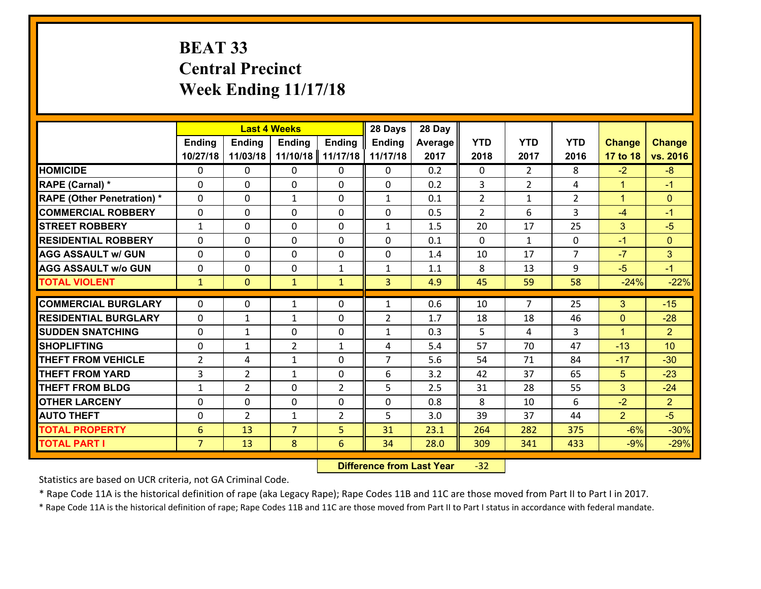# **BEAT 33 Central Precinct Week Ending 11/17/18**

|                                   |                 |                | <b>Last 4 Weeks</b> |                | 28 Days             | 28 Day  |                |                |                |                       |                                   |
|-----------------------------------|-----------------|----------------|---------------------|----------------|---------------------|---------|----------------|----------------|----------------|-----------------------|-----------------------------------|
|                                   | <b>Ending</b>   | <b>Ending</b>  | <b>Ending</b>       | <b>Ending</b>  | <b>Ending</b>       | Average | <b>YTD</b>     | <b>YTD</b>     | <b>YTD</b>     | <b>Change</b>         | <b>Change</b>                     |
|                                   | 10/27/18        | 11/03/18       | 11/10/18            | 11/17/18       | 11/17/18            | 2017    | 2018           | 2017           | 2016           | 17 to 18              | vs. 2016                          |
| <b>HOMICIDE</b>                   | $\Omega$        | 0              | $\Omega$            | 0              | $\Omega$            | 0.2     | $\Omega$       | $\overline{2}$ | 8              | $-2$                  | $-8$                              |
| RAPE (Carnal) *                   | 0               | 0              | $\mathbf{0}$        | 0              | $\Omega$            | 0.2     | 3              | $\overline{2}$ | 4              | $\mathbf{1}$          | $-1$                              |
| <b>RAPE (Other Penetration) *</b> | $\Omega$        | 0              | $\mathbf{1}$        | $\Omega$       | $\mathbf{1}$        | 0.1     | $\overline{2}$ | $\mathbf{1}$   | $\overline{2}$ | $\mathbf{1}$          | $\mathbf{0}$                      |
| <b>COMMERCIAL ROBBERY</b>         | 0               | 0              | 0                   | 0              | $\Omega$            | 0.5     | $\overline{2}$ | 6              | 3              | $-4$                  | $-1$                              |
| <b>STREET ROBBERY</b>             | $\mathbf{1}$    | 0              | $\mathbf 0$         | 0              | $\mathbf{1}$        | 1.5     | 20             | 17             | 25             | 3                     | $-5$                              |
| <b>RESIDENTIAL ROBBERY</b>        | $\Omega$        | $\Omega$       | $\mathbf 0$         | $\Omega$       | 0                   | 0.1     | $\Omega$       | $\mathbf{1}$   | 0              | $-1$                  | $\mathbf{0}$                      |
| <b>AGG ASSAULT w/ GUN</b>         | $\Omega$        | 0              | $\mathbf 0$         | $\Omega$       | 0                   | 1.4     | 10             | 17             | $\overline{7}$ | $-7$                  | 3                                 |
| <b>AGG ASSAULT w/o GUN</b>        | 0               | 0              | $\mathbf 0$         | $\mathbf{1}$   | $\mathbf{1}$        | 1.1     | 8              | 13             | 9              | $-5$                  | $-1$                              |
| <b>TOTAL VIOLENT</b>              | $\mathbf{1}$    | $\overline{0}$ | $\mathbf{1}$        | $\mathbf{1}$   | 3                   | 4.9     | 45             | 59             | 58             | $-24%$                | $-22%$                            |
| <b>COMMERCIAL BURGLARY</b>        | $\Omega$        | 0              | 1                   | $\Omega$       | $\mathbf{1}$        | 0.6     | 10             | $\overline{7}$ | 25             | 3                     | $-15$                             |
|                                   |                 |                |                     |                |                     |         |                |                |                |                       |                                   |
| <b>RESIDENTIAL BURGLARY</b>       | 0               | 1              | $\mathbf{1}$        | 0              | $\overline{2}$      | 1.7     | 18             | 18             | 46             | $\mathbf{0}$          | $-28$                             |
| <b>SUDDEN SNATCHING</b>           | 0               | 1              | $\mathbf 0$         | 0              | $\mathbf{1}$        | 0.3     | 5<br>57        | 4<br>70        | 3<br>47        | $\mathbf{1}$<br>$-13$ | $\overline{2}$<br>10 <sup>1</sup> |
| <b>SHOPLIFTING</b>                | 0               | 1              | $\overline{2}$      | $\mathbf{1}$   | 4<br>$\overline{7}$ | 5.4     |                |                |                |                       |                                   |
| <b>THEFT FROM VEHICLE</b>         | $\overline{2}$  | 4              | 1                   | 0              |                     | 5.6     | 54             | 71             | 84             | $-17$                 | $-30$                             |
| <b>THEFT FROM YARD</b>            | 3               | $\overline{2}$ | 1                   | 0              | 6                   | 3.2     | 42             | 37             | 65             | 5                     | $-23$                             |
| <b>THEFT FROM BLDG</b>            | $\mathbf{1}$    | $\overline{2}$ | $\mathbf 0$         | $\overline{2}$ | 5                   | 2.5     | 31             | 28             | 55             | 3                     | $-24$                             |
| <b>OTHER LARCENY</b>              | 0               | 0              | $\mathbf 0$         | 0              | 0                   | 0.8     | 8              | 10             | 6              | $-2$                  | $\overline{2}$                    |
| <b>AUTO THEFT</b>                 | $\mathbf{0}$    | $\overline{2}$ | $\mathbf{1}$        | 2              | 5                   | 3.0     | 39             | 37             | 44             | $\overline{2}$        | $-5$                              |
| <b>TOTAL PROPERTY</b>             | $6\phantom{1}6$ | 13             | $\overline{7}$      | 5              | 31                  | 23.1    | 264            | 282            | 375            | $-6%$                 | $-30%$                            |
| <b>TOTAL PART I</b>               | $\overline{7}$  | 13             | 8                   | 6              | 34                  | 28.0    | 309            | 341            | 433            | $-9%$                 | $-29%$                            |

 **Difference from Last Year**r -32

Statistics are based on UCR criteria, not GA Criminal Code.

\* Rape Code 11A is the historical definition of rape (aka Legacy Rape); Rape Codes 11B and 11C are those moved from Part II to Part I in 2017.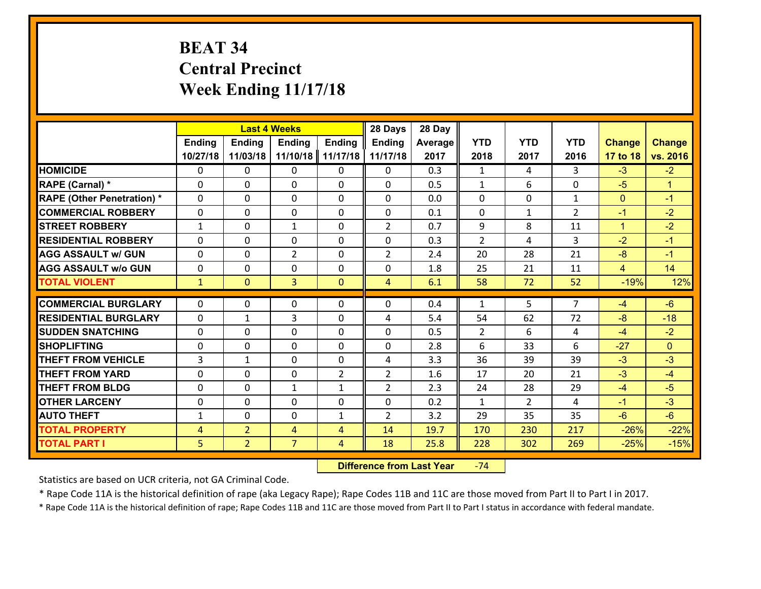# **BEAT 34 Central Precinct Week Ending 11/17/18**

|                                   | <b>Last 4 Weeks</b><br><b>Ending</b><br><b>Ending</b><br><b>Ending</b><br><b>Ending</b> |                |                | 28 Days        | 28 Day         |         |                     |                |                |                |                      |
|-----------------------------------|-----------------------------------------------------------------------------------------|----------------|----------------|----------------|----------------|---------|---------------------|----------------|----------------|----------------|----------------------|
|                                   |                                                                                         |                |                |                | <b>Ending</b>  | Average | <b>YTD</b>          | <b>YTD</b>     | <b>YTD</b>     | <b>Change</b>  | <b>Change</b>        |
|                                   | 10/27/18                                                                                | 11/03/18       | 11/10/18       | 11/17/18       | 11/17/18       | 2017    | 2018                | 2017           | 2016           | 17 to 18       | vs. 2016             |
| <b>HOMICIDE</b>                   | $\Omega$                                                                                | 0              | $\Omega$       | 0              | $\Omega$       | 0.3     | 1                   | 4              | 3              | $-3$           | $-2$                 |
| RAPE (Carnal) *                   | 0                                                                                       | 0              | $\mathbf{0}$   | 0              | 0              | 0.5     | $\mathbf{1}$        | 6              | 0              | $-5$           | $\blacktriangleleft$ |
| <b>RAPE (Other Penetration) *</b> | $\Omega$                                                                                | 0              | $\mathbf{0}$   | $\Omega$       | $\Omega$       | 0.0     | $\Omega$            | $\Omega$       | $\mathbf{1}$   | $\mathbf{0}$   | $-1$                 |
| <b>COMMERCIAL ROBBERY</b>         | 0                                                                                       | 0              | 0              | 0              | 0              | 0.1     | $\mathbf{0}$        | $\mathbf{1}$   | $\mathcal{L}$  | $-1$           | $-2$                 |
| <b>STREET ROBBERY</b>             | $\mathbf{1}$                                                                            | 0              | 1              | 0              | $\overline{2}$ | 0.7     | 9                   | 8              | 11             | $\mathbf{1}$   | $-2$                 |
| <b>RESIDENTIAL ROBBERY</b>        | $\Omega$                                                                                | $\Omega$       | $\mathbf 0$    | $\Omega$       | 0              | 0.3     | $\overline{2}$      | 4              | 3              | $-2$           | $-1$                 |
| <b>AGG ASSAULT w/ GUN</b>         | $\Omega$                                                                                | 0              | $\overline{2}$ | 0              | $\overline{2}$ | 2.4     | 20                  | 28             | 21             | $-8$           | $-1$                 |
| <b>AGG ASSAULT w/o GUN</b>        | 0                                                                                       | 0              | $\mathbf 0$    | 0              | 0              | 1.8     | 25                  | 21             | 11             | $\overline{4}$ | 14                   |
| <b>TOTAL VIOLENT</b>              | $\mathbf{1}$                                                                            | $\overline{0}$ | $\overline{3}$ | $\mathbf{0}$   | $\overline{4}$ | 6.1     | 58                  | 72             | 52             | $-19%$         | 12%                  |
| <b>COMMERCIAL BURGLARY</b>        | $\Omega$                                                                                | 0              | $\mathbf{0}$   | $\Omega$       | $\Omega$       | 0.4     | $\mathbf{1}$        | 5.             | $\overline{7}$ | $-4$           | $-6$                 |
|                                   |                                                                                         |                |                |                |                |         |                     |                |                |                |                      |
| <b>RESIDENTIAL BURGLARY</b>       | 0                                                                                       | 1              | 3              | 0              | 4              | 5.4     | 54                  | 62             | 72             | $-8$           | $-18$                |
| <b>SUDDEN SNATCHING</b>           | 0                                                                                       | 0              | $\mathbf 0$    | 0              | 0              | 0.5     | $\overline{2}$<br>6 | 6              | 4<br>6         | $-4$           | $-2$                 |
| <b>SHOPLIFTING</b>                | 0                                                                                       | 0              | $\mathbf 0$    | 0              | 0              | 2.8     |                     | 33             |                | $-27$          | $\overline{0}$       |
| <b>THEFT FROM VEHICLE</b>         | $\overline{3}$                                                                          | $\mathbf{1}$   | $\mathbf 0$    | 0              | 4              | 3.3     | 36                  | 39             | 39             | $-3$           | $-3$                 |
| <b>THEFT FROM YARD</b>            | 0                                                                                       | 0              | $\mathbf 0$    | $\overline{2}$ | $\overline{2}$ | 1.6     | 17                  | 20             | 21             | $-3$           | $-4$                 |
| <b>THEFT FROM BLDG</b>            | 0                                                                                       | 0              | 1              | $\mathbf{1}$   | $\overline{2}$ | 2.3     | 24                  | 28             | 29             | $-4$           | $-5$                 |
| <b>OTHER LARCENY</b>              | 0                                                                                       | 0              | $\mathbf 0$    | 0              | 0              | 0.2     | $\mathbf{1}$        | $\overline{2}$ | 4              | $-1$           | $-3$                 |
| <b>AUTO THEFT</b>                 | $\mathbf{1}$                                                                            | 0              | $\mathbf{0}$   | $\mathbf{1}$   | $\overline{2}$ | 3.2     | 29                  | 35             | 35             | $-6$           | $-6$                 |
| <b>TOTAL PROPERTY</b>             | $\overline{4}$                                                                          | $\overline{2}$ | 4              | 4              | 14             | 19.7    | 170                 | 230            | 217            | $-26%$         | $-22%$               |
| <b>TOTAL PART I</b>               | 5                                                                                       | $\overline{2}$ | $\overline{7}$ | 4              | 18             | 25.8    | 228                 | 302            | 269            | $-25%$         | $-15%$               |

 **Difference from Last Year**‐74

Statistics are based on UCR criteria, not GA Criminal Code.

\* Rape Code 11A is the historical definition of rape (aka Legacy Rape); Rape Codes 11B and 11C are those moved from Part II to Part I in 2017.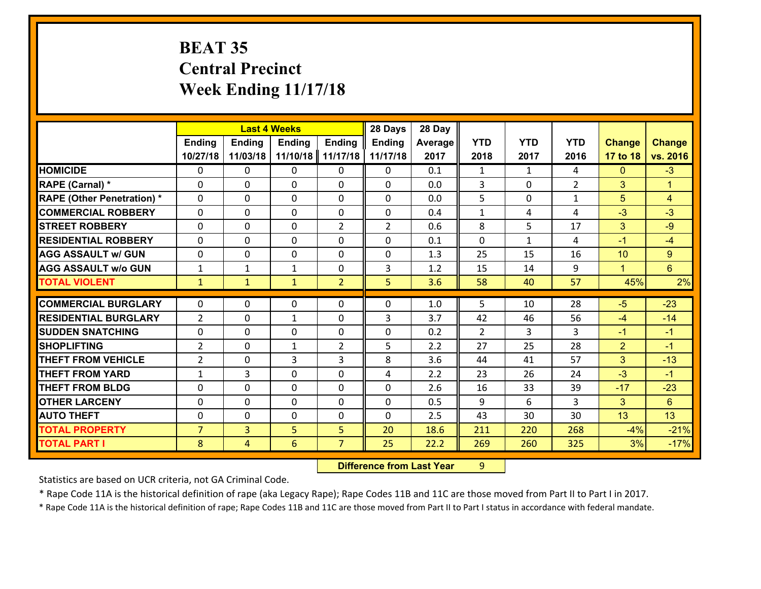# **BEAT 35 Central Precinct Week Ending 11/17/18**

|                                   |                | <b>Last 4 Weeks</b> |               |                | 28 Days        | 28 Day  |              |              |                |                |                      |
|-----------------------------------|----------------|---------------------|---------------|----------------|----------------|---------|--------------|--------------|----------------|----------------|----------------------|
|                                   | <b>Ending</b>  | <b>Ending</b>       | <b>Ending</b> | <b>Ending</b>  | <b>Ending</b>  | Average | <b>YTD</b>   | <b>YTD</b>   | <b>YTD</b>     | <b>Change</b>  | <b>Change</b>        |
|                                   | 10/27/18       | 11/03/18            | 11/10/18      | 11/17/18       | 11/17/18       | 2017    | 2018         | 2017         | 2016           | 17 to 18       | vs. 2016             |
| <b>HOMICIDE</b>                   | $\Omega$       | 0                   | 0             | $\Omega$       | 0              | 0.1     | $\mathbf{1}$ | $\mathbf{1}$ | 4              | $\mathbf{0}$   | $-3$                 |
| RAPE (Carnal) *                   | $\Omega$       | 0                   | $\mathbf{0}$  | 0              | 0              | 0.0     | 3            | 0            | $\overline{2}$ | 3              | $\blacktriangleleft$ |
| <b>RAPE (Other Penetration) *</b> | $\Omega$       | 0                   | $\mathbf{0}$  | 0              | 0              | 0.0     | 5            | $\Omega$     | $\mathbf{1}$   | 5              | 4                    |
| <b>COMMERCIAL ROBBERY</b>         | $\Omega$       | 0                   | $\mathbf{0}$  | $\Omega$       | 0              | 0.4     | $\mathbf{1}$ | 4            | 4              | $-3$           | $-3$                 |
| <b>STREET ROBBERY</b>             | $\Omega$       | 0                   | $\mathbf{0}$  | $\overline{2}$ | $\overline{2}$ | 0.6     | 8            | 5            | 17             | 3              | $-9$                 |
| <b>RESIDENTIAL ROBBERY</b>        | $\Omega$       | 0                   | $\mathbf{0}$  | $\Omega$       | $\Omega$       | 0.1     | $\Omega$     | $\mathbf{1}$ | 4              | $-1$           | $-4$                 |
| <b>AGG ASSAULT w/ GUN</b>         | 0              | 0                   | $\mathbf 0$   | $\Omega$       | 0              | 1.3     | 25           | 15           | 16             | 10             | 9                    |
| <b>AGG ASSAULT w/o GUN</b>        | $\mathbf{1}$   | 1                   | 1             | 0              | 3              | 1.2     | 15           | 14           | 9              | $\mathbf{1}$   | $6\phantom{a}$       |
| <b>TOTAL VIOLENT</b>              | $\mathbf{1}$   | $\mathbf{1}$        | $\mathbf{1}$  | $\overline{2}$ | 5              | 3.6     | 58           | 40           | 57             | 45%            | 2%                   |
| <b>COMMERCIAL BURGLARY</b>        | $\mathbf{0}$   | 0                   |               |                | 0              |         | 5            | 10           | 28             |                | $-23$                |
|                                   |                |                     | 0             | 0              |                | 1.0     |              |              |                | $-5$           |                      |
| <b>RESIDENTIAL BURGLARY</b>       | $\overline{2}$ | 0                   | $\mathbf{1}$  | $\Omega$       | 3              | 3.7     | 42           | 46           | 56             | $-4$           | $-14$                |
| <b>SUDDEN SNATCHING</b>           | 0              | 0                   | $\mathbf{0}$  | 0              |                |         | 2            | 3            |                |                | $-1$                 |
|                                   |                |                     |               |                | 0              | 0.2     |              |              | 3              | $-1$           |                      |
| <b>SHOPLIFTING</b>                | $\overline{2}$ | 0                   | $\mathbf{1}$  | $\overline{2}$ | 5              | 2.2     | 27           | 25           | 28             | $\overline{2}$ | $-1$                 |
| <b>THEFT FROM VEHICLE</b>         | $\overline{2}$ | 0                   | 3             | 3              | 8              | 3.6     | 44           | 41           | 57             | 3              | $-13$                |
| <b>THEFT FROM YARD</b>            | $\mathbf{1}$   | 3                   | $\mathbf{0}$  | $\Omega$       | 4              | 2.2     | 23           | 26           | 24             | $-3$           | $-1$                 |
| <b>THEFT FROM BLDG</b>            | $\Omega$       | $\Omega$            | $\Omega$      | $\Omega$       | $\Omega$       | 2.6     | 16           | 33           | 39             | $-17$          | $-23$                |
| <b>OTHER LARCENY</b>              | 0              | 0                   | $\mathbf{0}$  | $\Omega$       | 0              | 0.5     | 9            | 6            | 3              | 3              | 6                    |
| <b>AUTO THEFT</b>                 | 0              | 0                   | $\mathbf{0}$  | 0              | $\Omega$       | 2.5     | 43           | 30           | 30             | 13             | 13                   |
| <b>TOTAL PROPERTY</b>             | $\overline{7}$ | 3 <sup>1</sup>      | 5             | 5              | 20             | 18.6    | 211          | 220          | 268            | $-4%$          | $-21%$               |
| <b>TOTAL PART I</b>               | 8              | $\overline{4}$      | 6             | $\overline{7}$ | 25             | 22.2    | 269          | 260          | 325            | 3%             | $-17%$               |

 **Difference from Last Year**r 9

Statistics are based on UCR criteria, not GA Criminal Code.

\* Rape Code 11A is the historical definition of rape (aka Legacy Rape); Rape Codes 11B and 11C are those moved from Part II to Part I in 2017.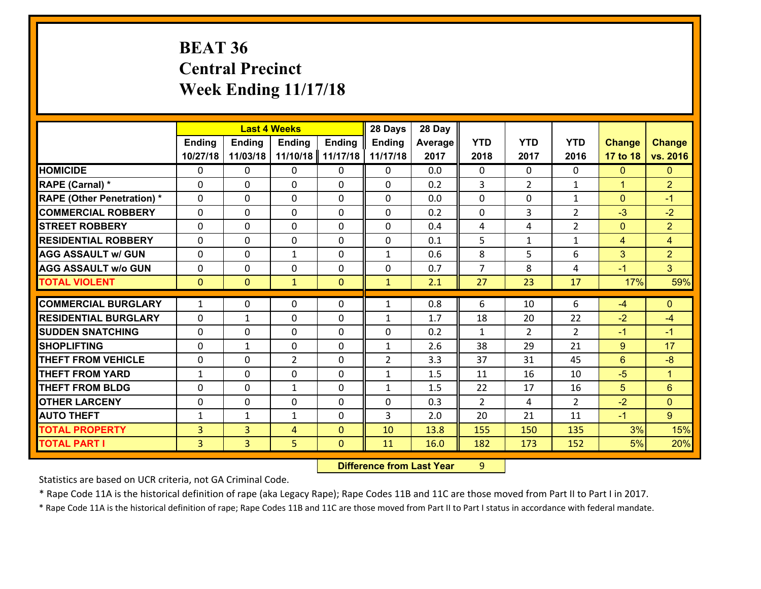# **BEAT 36 Central Precinct Week Ending 11/17/18**

|                                   |               |                | <b>Last 4 Weeks</b> |               | 28 Days        | 28 Day  |                |                |                |                |                      |
|-----------------------------------|---------------|----------------|---------------------|---------------|----------------|---------|----------------|----------------|----------------|----------------|----------------------|
|                                   | <b>Ending</b> | <b>Ending</b>  | <b>Ending</b>       | <b>Ending</b> | <b>Ending</b>  | Average | <b>YTD</b>     | <b>YTD</b>     | <b>YTD</b>     | <b>Change</b>  | <b>Change</b>        |
|                                   | 10/27/18      | 11/03/18       | 11/10/18            | 11/17/18      | 11/17/18       | 2017    | 2018           | 2017           | 2016           | 17 to 18       | vs. 2016             |
| <b>HOMICIDE</b>                   | $\Omega$      | 0              | 0                   | $\Omega$      | 0              | 0.0     | $\Omega$       | $\Omega$       | 0              | $\mathbf{0}$   | $\mathbf{0}$         |
| RAPE (Carnal) *                   | $\Omega$      | 0              | $\mathbf{0}$        | 0             | 0              | 0.2     | 3              | $\overline{2}$ | $\mathbf{1}$   | $\mathbf{1}$   | $\overline{2}$       |
| <b>RAPE (Other Penetration) *</b> | $\Omega$      | 0              | $\mathbf 0$         | $\Omega$      | $\Omega$       | 0.0     | $\Omega$       | $\Omega$       | $\mathbf{1}$   | $\mathbf{0}$   | $-1$                 |
| <b>COMMERCIAL ROBBERY</b>         | 0             | 0              | $\mathbf 0$         | 0             | 0              | 0.2     | 0              | 3              | $\overline{2}$ | $-3$           | $-2$                 |
| <b>STREET ROBBERY</b>             | $\Omega$      | 0              | $\Omega$            | $\Omega$      | $\Omega$       | 0.4     | 4              | 4              | $\overline{2}$ | $\mathbf{0}$   | $\overline{2}$       |
| <b>RESIDENTIAL ROBBERY</b>        | 0             | 0              | $\mathbf{0}$        | 0             | 0              | 0.1     | 5              | $\mathbf{1}$   | $\mathbf{1}$   | $\overline{4}$ | $\overline{4}$       |
| <b>AGG ASSAULT w/ GUN</b>         | $\Omega$      | 0              | $\mathbf{1}$        | $\Omega$      | $\mathbf{1}$   | 0.6     | 8              | 5              | 6              | 3              | $\overline{2}$       |
| <b>AGG ASSAULT w/o GUN</b>        | 0             | 0              | $\mathbf 0$         | $\Omega$      | 0              | 0.7     | $\overline{7}$ | 8              | 4              | $-1$           | 3 <sup>°</sup>       |
| <b>TOTAL VIOLENT</b>              | $\mathbf{0}$  | $\mathbf{0}$   | $\mathbf{1}$        | $\mathbf{0}$  | $\mathbf{1}$   | 2.1     | 27             | 23             | 17             | 17%            | 59%                  |
|                                   |               |                |                     |               |                |         |                |                |                |                |                      |
| <b>COMMERCIAL BURGLARY</b>        | $\mathbf{1}$  | 0              | 0                   | 0             | $\mathbf{1}$   | 0.8     | 6              | 10             | 6              | $-4$           | $\mathbf{0}$         |
| <b>RESIDENTIAL BURGLARY</b>       | $\Omega$      | 1              | $\mathbf{0}$        | $\Omega$      | 1              | 1.7     | 18             | 20             | 22             | $-2$           | $-4$                 |
|                                   |               |                |                     |               |                |         |                |                |                |                |                      |
| <b>SUDDEN SNATCHING</b>           | 0             | 0              | $\mathbf 0$         | 0             | 0              | 0.2     | $\mathbf{1}$   | $\overline{2}$ | $\overline{2}$ | $-1$           | $-1$                 |
| <b>SHOPLIFTING</b>                | $\Omega$      | 1              | $\mathbf 0$         | $\Omega$      | $\mathbf{1}$   | 2.6     | 38             | 29             | 21             | 9              | 17                   |
| <b>THEFT FROM VEHICLE</b>         | 0             | 0              | $\overline{2}$      | 0             | $\overline{2}$ | 3.3     | 37             | 31             | 45             | $6\phantom{1}$ | $-8$                 |
| <b>THEFT FROM YARD</b>            | $\mathbf{1}$  | 0              | $\mathbf{0}$        | $\Omega$      | $\mathbf{1}$   | 1.5     | 11             | 16             | 10             | $-5$           | $\blacktriangleleft$ |
| <b>THEFT FROM BLDG</b>            | $\Omega$      | 0              | $\mathbf{1}$        | $\Omega$      | $\mathbf{1}$   | 1.5     | 22             | 17             | 16             | 5              | 6                    |
| <b>OTHER LARCENY</b>              | 0             | 0              | $\mathbf{0}$        | 0             | $\Omega$       | 0.3     | 2              | 4              | $\overline{2}$ | $-2$           | $\mathbf{0}$         |
| <b>AUTO THEFT</b>                 | 1             | 1              | $\mathbf{1}$        | 0             | $\mathbf{3}$   | 2.0     | 20             | 21             | 11             | $-1$           | $9^{\circ}$          |
| <b>TOTAL PROPERTY</b>             | 3             | $\overline{3}$ | 4                   | $\Omega$      | 10             | 13.8    | 155            | 150            | 135            | 3%             | 15%                  |
| <b>TOTAL PART I</b>               | 3             | 3              | 5                   | $\mathbf{0}$  | 11             | 16.0    | 182            | 173            | 152            | 5%             | 20%                  |

 **Difference from Last Year**r 9

Statistics are based on UCR criteria, not GA Criminal Code.

\* Rape Code 11A is the historical definition of rape (aka Legacy Rape); Rape Codes 11B and 11C are those moved from Part II to Part I in 2017.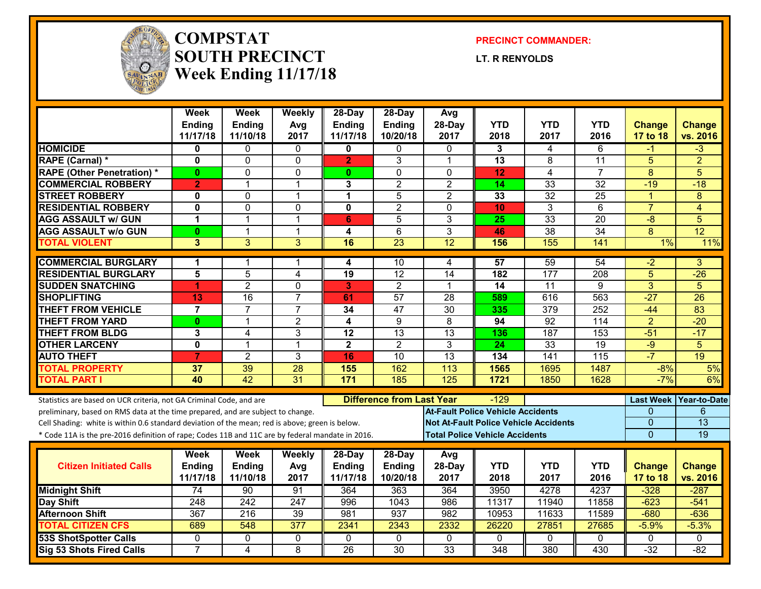

#### **COMPSTATSOUTH PRECINCTWeek Ending 11/17/18**

**PRECINCT COMMANDER:**

**LT. R RENYOLDS**

|                                                                                                  | Week<br><b>Ending</b><br>11/17/18 | Week<br><b>Ending</b><br>11/10/18 | Weekly<br>Avg<br>2017 | 28-Day<br><b>Ending</b><br>11/17/18 | 28-Day<br><b>Ending</b><br>10/20/18 | Avg<br>28-Day<br>2017                        | <b>YTD</b><br>2018 | <b>YTD</b><br>2017 | <b>YTD</b><br>2016 | <b>Change</b><br>17 to 18 | <b>Change</b><br>vs. 2016 |
|--------------------------------------------------------------------------------------------------|-----------------------------------|-----------------------------------|-----------------------|-------------------------------------|-------------------------------------|----------------------------------------------|--------------------|--------------------|--------------------|---------------------------|---------------------------|
| <b>HOMICIDE</b>                                                                                  | 0                                 | 0                                 | 0                     | 0                                   | $\mathbf{0}$                        | 0                                            | 3                  | 4                  | 6                  | -1                        | -3                        |
| RAPE (Carnal) *                                                                                  | $\mathbf{0}$                      | $\mathbf{0}$                      | $\mathbf{0}$          | $\overline{2}$                      | 3                                   | $\overline{1}$                               | 13                 | 8                  | 11                 | 5                         | $\overline{2}$            |
| <b>RAPE (Other Penetration) *</b>                                                                | $\mathbf{0}$                      | $\overline{0}$                    | $\mathbf 0$           | $\mathbf{0}$                        | $\mathbf 0$                         | $\overline{0}$                               | 12                 | $\overline{4}$     | $\overline{7}$     | $\overline{8}$            | 5                         |
| <b>COMMERCIAL ROBBERY</b>                                                                        | $\overline{2}$                    | 1                                 | $\mathbf{1}$          | 3                                   | $\overline{2}$                      | $\overline{2}$                               | 14                 | $\overline{33}$    | 32                 | $-19$                     | $-18$                     |
| <b>STREET ROBBERY</b>                                                                            | $\mathbf 0$                       | $\mathbf 0$                       | $\mathbf{1}$          | 1                                   | 5                                   | $\overline{2}$                               | 33                 | 32                 | 25                 | $\blacktriangleleft$      | 8                         |
| <b>RESIDENTIAL ROBBERY</b>                                                                       | $\mathbf 0$                       | $\mathbf 0$                       | $\mathbf 0$           | $\mathbf{0}$                        | $\overline{2}$                      | $\mathbf 0$                                  | 10                 | 3                  | 6                  | $\overline{7}$            | 4                         |
| <b>AGG ASSAULT w/ GUN</b>                                                                        | $\blacktriangleleft$              | 1                                 | $\mathbf 1$           | 6                                   | 5                                   | 3                                            | 25                 | 33                 | 20                 | -8                        | 5                         |
| <b>AGG ASSAULT w/o GUN</b>                                                                       | $\mathbf{0}$                      | 1                                 | $\mathbf{1}$          | 4                                   | 6                                   | 3                                            | 46                 | 38                 | 34                 | 8                         | 12                        |
| <b>TOTAL VIOLENT</b>                                                                             | 3                                 | $\overline{3}$                    | $\overline{3}$        | 16                                  | $\overline{23}$                     | 12                                           | 156                | 155                | 141                | $1\%$                     | 11%                       |
| <b>COMMERCIAL BURGLARY</b>                                                                       | $\blacktriangleleft$              |                                   | 1                     | 4                                   | 10                                  | 4                                            | 57                 | 59                 | 54                 | -2                        | 3                         |
| <b>RESIDENTIAL BURGLARY</b>                                                                      | 5                                 | 5                                 | 4                     | $\overline{19}$                     | $\overline{12}$                     | 14                                           | 182                | 177                | 208                | 5                         | $-26$                     |
| <b>SUDDEN SNATCHING</b>                                                                          | $\blacktriangleleft$              | $\overline{2}$                    | $\mathbf 0$           | 3                                   | $\overline{2}$                      | $\overline{1}$                               | 14                 | $\overline{11}$    | 9                  | $\overline{3}$            | 5                         |
| <b>SHOPLIFTING</b>                                                                               | 13                                | 16                                | $\overline{7}$        | 61                                  | 57                                  | 28                                           | 589                | 616                | 563                | $-27$                     | 26                        |
| <b>THEFT FROM VEHICLE</b>                                                                        | $\overline{7}$                    | $\overline{7}$                    | $\overline{7}$        | 34                                  | $\overline{47}$                     | $\overline{30}$                              | 335                | $\overline{379}$   | 252                | $-44$                     | $\overline{83}$           |
| <b>THEFT FROM YARD</b>                                                                           | $\mathbf{0}$                      | 1                                 | $\overline{2}$        | $\overline{4}$                      | $\overline{9}$                      | $\overline{8}$                               | 94                 | 92                 | 114                | $\overline{2}$            | $-20$                     |
| <b>THEFT FROM BLDG</b>                                                                           | 3                                 | 4                                 | 3                     | $\overline{12}$                     | $\overline{13}$                     | $\overline{13}$                              | 136                | 187                | 153                | $-51$                     | $-17$                     |
| <b>OTHER LARCENY</b>                                                                             | $\overline{\mathbf{0}}$           | 1                                 | $\mathbf{1}$          | $\overline{2}$                      | $\overline{2}$                      | $\overline{3}$                               | $\overline{24}$    | 33                 | 19                 | $-9$                      | 5                         |
| <b>AUTO THEFT</b>                                                                                | $\overline{7}$                    | $\overline{2}$                    | 3                     | 16                                  | 10                                  | 13                                           | 134                | 141                | 115                | $-7$                      | 19                        |
| <b>TOTAL PROPERTY</b>                                                                            | 37                                | 39                                | 28                    | 155                                 | 162                                 | 113                                          | 1565               | 1695               | 1487               | $-8%$                     | 5%                        |
| <b>TOTAL PART I</b>                                                                              | 40                                | 42                                | $\overline{31}$       | $\overline{171}$                    | 185                                 | 125                                          | 1721               | 1850               | 1628               | $-7%$                     | 6%                        |
| Statistics are based on UCR criteria, not GA Criminal Code, and are                              |                                   |                                   |                       |                                     | <b>Difference from Last Year</b>    |                                              | $-129$             |                    |                    |                           | Last Week Year-to-Date    |
| preliminary, based on RMS data at the time prepared, and are subject to change.                  |                                   |                                   |                       |                                     |                                     | <b>At-Fault Police Vehicle Accidents</b>     |                    |                    |                    | $\Omega$                  | 6                         |
| Cell Shading: white is within 0.6 standard deviation of the mean; red is above; green is below.  |                                   |                                   |                       |                                     |                                     | <b>Not At-Fault Police Vehicle Accidents</b> |                    |                    |                    | $\overline{0}$            | $\overline{13}$           |
| * Code 11A is the pre-2016 definition of rape; Codes 11B and 11C are by federal mandate in 2016. |                                   |                                   |                       |                                     |                                     | <b>Total Police Vehicle Accidents</b>        |                    |                    |                    | $\Omega$                  | 19                        |
|                                                                                                  | Week                              | <b>Week</b>                       | Weekly                | 28-Day                              | 28-Day                              | Avg                                          |                    |                    |                    |                           |                           |
| <b>Citizen Initiated Calls</b>                                                                   | <b>Ending</b>                     | <b>Ending</b>                     | Avg                   | <b>Ending</b>                       | Ending                              | 28-Day                                       | <b>YTD</b>         | <b>YTD</b>         | <b>YTD</b>         | <b>Change</b>             | <b>Change</b>             |
|                                                                                                  | 11/17/18                          | 11/10/18                          | 2017                  | 11/17/18                            | 10/20/18                            | 2017                                         | 2018               | 2017               | 2016               | 17 to 18                  | vs. 2016                  |
| <b>Midnight Shift</b>                                                                            | $\overline{74}$                   | 90                                | 91                    | 364                                 | 363                                 | 364                                          | 3950               | 4278               | 4237               | $-328$                    | $-287$                    |
| <b>Day Shift</b>                                                                                 | 248                               | 242                               | 247                   | 996                                 | 1043                                | 986                                          | 11317              | 11940              | 11858              | $-623$                    | $-541$                    |
| <b>Afternoon Shift</b>                                                                           | 367                               | 216                               | 39                    | 981                                 | 937                                 | 982                                          | 10953              | 11633              | 11589              | $-680$                    | $-636$                    |
| <b>TOTAL CITIZEN CFS</b>                                                                         | 689                               | 548                               | 377                   | 2341                                | 2343                                | 2332                                         | 26220              | 27851              | 27685              | $-5.9%$                   | $-5.3%$                   |
| <b>53S ShotSpotter Calls</b>                                                                     | 0                                 | 0                                 | 0                     | $\mathbf{0}$                        | $\mathbf{0}$                        | $\mathbf{0}$                                 | 0                  | $\Omega$           | 0                  | $\mathbf{0}$              | $\Omega$                  |
| <b>Sig 53 Shots Fired Calls</b>                                                                  | $\overline{7}$                    | 4                                 | 8                     | $\overline{26}$                     | $\overline{30}$                     | $\overline{33}$                              | 348                | 380                | 430                | $-32$                     | $-82$                     |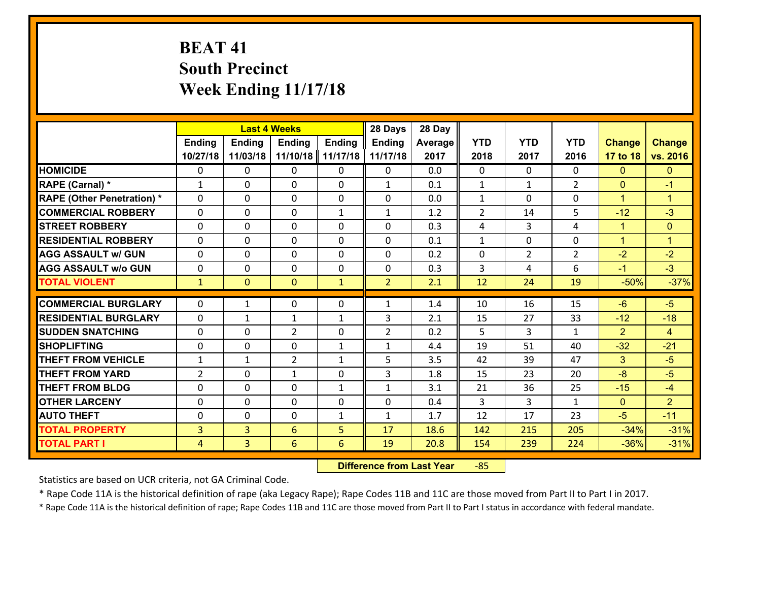# **BEAT 41 South Precinct Week Ending 11/17/18**

|                                   |                |                | <b>Last 4 Weeks</b> |               | 28 Days        | 28 Day  |                |                |                |                      |                      |
|-----------------------------------|----------------|----------------|---------------------|---------------|----------------|---------|----------------|----------------|----------------|----------------------|----------------------|
|                                   | <b>Ending</b>  | <b>Ending</b>  | <b>Ending</b>       | <b>Ending</b> | <b>Ending</b>  | Average | <b>YTD</b>     | <b>YTD</b>     | <b>YTD</b>     | <b>Change</b>        | <b>Change</b>        |
|                                   | 10/27/18       | 11/03/18       | 11/10/18            | 11/17/18      | 11/17/18       | 2017    | 2018           | 2017           | 2016           | 17 to 18             | vs. 2016             |
| <b>HOMICIDE</b>                   | $\Omega$       | 0              | $\Omega$            | 0             | 0              | 0.0     | $\Omega$       | $\Omega$       | 0              | $\Omega$             | $\mathbf{0}$         |
| RAPE (Carnal) *                   | $\mathbf{1}$   | 0              | $\mathbf{0}$        | 0             | $\mathbf{1}$   | 0.1     | $\mathbf{1}$   | $\mathbf{1}$   | $\overline{2}$ | $\mathbf{0}$         | $-1$                 |
| <b>RAPE (Other Penetration) *</b> | $\Omega$       | 0              | $\mathbf{0}$        | $\Omega$      | $\Omega$       | 0.0     | $\mathbf{1}$   | $\Omega$       | $\Omega$       | $\blacktriangleleft$ | $\blacktriangleleft$ |
| <b>COMMERCIAL ROBBERY</b>         | 0              | 0              | 0                   | $\mathbf{1}$  | $\mathbf{1}$   | 1.2     | $\overline{2}$ | 14             | 5              | $-12$                | $-3$                 |
| <b>STREET ROBBERY</b>             | $\Omega$       | 0              | $\mathbf 0$         | $\Omega$      | 0              | 0.3     | 4              | 3              | 4              | $\mathbf{1}$         | $\mathbf{0}$         |
| <b>RESIDENTIAL ROBBERY</b>        | $\Omega$       | $\Omega$       | $\mathbf 0$         | $\Omega$      | 0              | 0.1     | $\mathbf{1}$   | $\Omega$       | $\Omega$       | $\mathbf{1}$         | $\blacktriangleleft$ |
| <b>AGG ASSAULT w/ GUN</b>         | $\Omega$       | 0              | $\mathbf 0$         | $\Omega$      | 0              | 0.2     | $\mathbf 0$    | $\overline{2}$ | $\overline{2}$ | $-2$                 | $-2$                 |
| <b>AGG ASSAULT w/o GUN</b>        | 0              | 0              | $\mathbf 0$         | 0             | 0              | 0.3     | 3              | 4              | 6              | $-1$                 | $-3$                 |
| <b>TOTAL VIOLENT</b>              | $\mathbf{1}$   | $\overline{0}$ | $\mathbf{O}$        | $\mathbf{1}$  | $\overline{2}$ | 2.1     | 12             | 24             | 19             | $-50%$               | $-37%$               |
| <b>COMMERCIAL BURGLARY</b>        | $\Omega$       | 1              | $\mathbf{0}$        | $\Omega$      | $\mathbf{1}$   | 1.4     | 10             | 16             | 15             | $-6$                 | $-5$                 |
| <b>RESIDENTIAL BURGLARY</b>       | 0              | 1              | $\mathbf{1}$        | $\mathbf{1}$  | 3              | 2.1     | 15             | 27             | 33             | $-12$                | $-18$                |
| <b>SUDDEN SNATCHING</b>           | 0              | 0              | $\overline{2}$      | 0             | $\overline{2}$ | 0.2     | 5              | 3              | $\mathbf{1}$   | $\overline{2}$       | $\overline{4}$       |
| <b>SHOPLIFTING</b>                | 0              | 0              | $\mathbf 0$         | $\mathbf{1}$  | $\mathbf{1}$   | 4.4     | 19             | 51             | 40             | $-32$                | $-21$                |
| <b>THEFT FROM VEHICLE</b>         | $\mathbf{1}$   | $\mathbf{1}$   | $\overline{2}$      | $\mathbf{1}$  | 5              | 3.5     | 42             | 39             | 47             | $\overline{3}$       | $-5$                 |
| <b>THEFT FROM YARD</b>            | $\overline{2}$ | 0              | 1                   | 0             | 3              | 1.8     | 15             | 23             | 20             | $-8$                 | $-5$                 |
| <b>THEFT FROM BLDG</b>            | 0              | 0              | $\mathbf 0$         | $\mathbf{1}$  | $\mathbf{1}$   | 3.1     | 21             | 36             | 25             | $-15$                | $-4$                 |
| <b>OTHER LARCENY</b>              | 0              | 0              | $\mathbf 0$         | 0             | 0              | 0.4     | 3              | 3              | $\mathbf{1}$   | $\mathbf{0}$         | 2 <sup>1</sup>       |
| <b>AUTO THEFT</b>                 | $\mathbf{0}$   | 0              | $\mathbf{0}$        | $\mathbf{1}$  | $\mathbf{1}$   | 1.7     | 12             | 17             | 23             | $-5$                 | $-11$                |
| <b>TOTAL PROPERTY</b>             | $\overline{3}$ | 3              | 6                   | 5             | 17             | 18.6    | 142            | 215            | 205            | $-34%$               | $-31%$               |
|                                   |                | $\overline{3}$ |                     | 6             |                |         |                |                | 224            |                      | $-31%$               |
| <b>TOTAL PART I</b>               | $\overline{4}$ |                | 6                   |               | 19             | 20.8    | 154            | 239            |                | $-36%$               |                      |

 **Difference from Last Year**‐85

Statistics are based on UCR criteria, not GA Criminal Code.

\* Rape Code 11A is the historical definition of rape (aka Legacy Rape); Rape Codes 11B and 11C are those moved from Part II to Part I in 2017.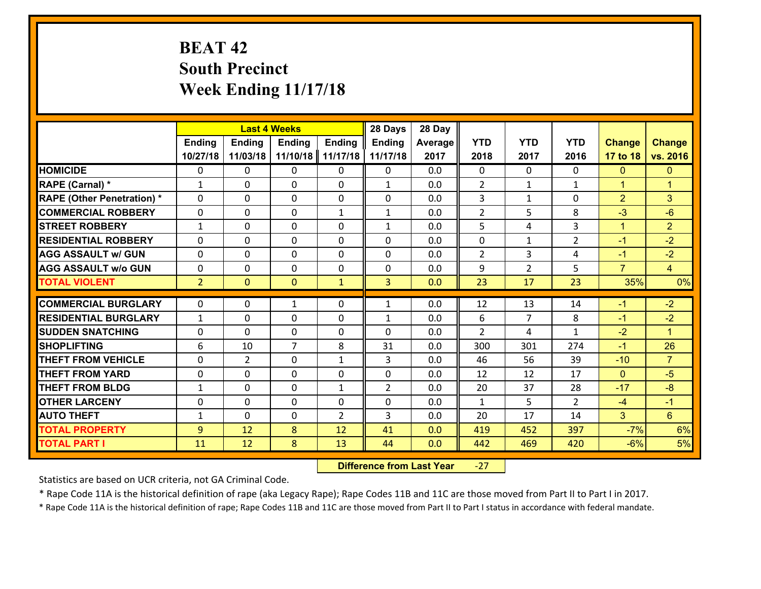# **BEAT 42 South Precinct Week Ending 11/17/18**

|                                   |                |                | <b>Last 4 Weeks</b>           |               | 28 Days        | 28 Day  |                |                |                     |                |                      |
|-----------------------------------|----------------|----------------|-------------------------------|---------------|----------------|---------|----------------|----------------|---------------------|----------------|----------------------|
|                                   | <b>Ending</b>  | <b>Ending</b>  | <b>Ending</b>                 | <b>Ending</b> | <b>Ending</b>  | Average | <b>YTD</b>     | <b>YTD</b>     | <b>YTD</b>          | <b>Change</b>  | <b>Change</b>        |
|                                   | 10/27/18       | 11/03/18       | 11/10/18                      | 11/17/18      | 11/17/18       | 2017    | 2018           | 2017           | 2016                | 17 to 18       | vs. 2016             |
| <b>HOMICIDE</b>                   | $\Omega$       | 0              | $\Omega$                      | 0             | 0              | 0.0     | $\Omega$       | $\Omega$       | 0                   | $\mathbf{0}$   | $\mathbf{0}$         |
| RAPE (Carnal) *                   | $\mathbf{1}$   | 0              | $\mathbf{0}$                  | 0             | $\mathbf{1}$   | 0.0     | 2              | $\mathbf{1}$   | $\mathbf{1}$        | $\mathbf{1}$   | $\blacktriangleleft$ |
| <b>RAPE (Other Penetration) *</b> | $\Omega$       | 0              | $\mathbf{0}$                  | $\Omega$      | $\Omega$       | 0.0     | 3              | $\mathbf{1}$   | $\Omega$            | $\overline{2}$ | 3                    |
| <b>COMMERCIAL ROBBERY</b>         | 0              | 0              | 0                             | $\mathbf{1}$  | $\mathbf{1}$   | 0.0     | $\overline{2}$ | 5              | 8                   | $-3$           | $-6$                 |
| <b>STREET ROBBERY</b>             | $\mathbf{1}$   | 0              | $\mathbf 0$                   | 0             | $\mathbf{1}$   | 0.0     | 5              | 4              | 3                   | $\mathbf{1}$   | $\overline{2}$       |
| <b>RESIDENTIAL ROBBERY</b>        | $\Omega$       | $\Omega$       | $\mathbf 0$                   | $\Omega$      | 0              | 0.0     | $\mathbf 0$    | $\mathbf{1}$   | $\overline{2}$      | $-1$           | $-2$                 |
| <b>AGG ASSAULT w/ GUN</b>         | $\Omega$       | 0              | $\mathbf 0$                   | $\Omega$      | 0              | 0.0     | $\overline{2}$ | 3              | 4                   | $-1$           | $-2$                 |
| <b>AGG ASSAULT w/o GUN</b>        | 0              | 0              | $\mathbf 0$                   | 0             | 0              | 0.0     | 9              | $\overline{2}$ | 5                   | $\overline{7}$ | $\overline{4}$       |
| <b>TOTAL VIOLENT</b>              | 2 <sup>1</sup> | $\overline{0}$ | $\mathbf{O}$                  | $\mathbf{1}$  | 3              | 0.0     | 23             | 17             | 23                  | 35%            | 0%                   |
| <b>COMMERCIAL BURGLARY</b>        | $\Omega$       | 0              | 1                             | $\Omega$      | $\mathbf{1}$   | 0.0     | 12             | 13             | 14                  | $-1$           | $-2$                 |
|                                   |                |                |                               |               |                |         |                | $\overline{7}$ |                     |                |                      |
| <b>RESIDENTIAL BURGLARY</b>       | $\mathbf{1}$   | 0              | $\mathbf 0$                   | 0             | $\mathbf{1}$   | 0.0     | 6              |                | 8                   | $-1$           | $-2$                 |
| <b>SUDDEN SNATCHING</b>           | 0              | 0              | $\mathbf 0$<br>$\overline{7}$ | 0             | 0              | 0.0     | $\overline{2}$ | 4              | $\mathbf{1}$<br>274 | $-2$<br>$-1$   | $\blacktriangleleft$ |
| <b>SHOPLIFTING</b>                | 6              | 10             |                               | 8             | 31             | 0.0     | 300            | 301            |                     |                | 26                   |
| <b>THEFT FROM VEHICLE</b>         | $\Omega$       | $\overline{2}$ | $\mathbf 0$                   | $\mathbf{1}$  | 3              | 0.0     | 46             | 56             | 39                  | $-10$          | $\overline{7}$       |
| <b>THEFT FROM YARD</b>            | 0              | 0              | $\mathbf 0$                   | 0             | 0              | 0.0     | 12             | 12             | 17                  | $\mathbf{0}$   | $-5$                 |
| <b>THEFT FROM BLDG</b>            | $\mathbf{1}$   | 0              | $\mathbf 0$                   | $\mathbf{1}$  | $\overline{2}$ | 0.0     | 20             | 37             | 28                  | $-17$          | $-8$                 |
| <b>OTHER LARCENY</b>              | 0              | 0              | $\mathbf 0$                   | 0             | 0              | 0.0     | $\mathbf{1}$   | 5              | $\overline{2}$      | $-4$           | $-1$                 |
| <b>AUTO THEFT</b>                 | $\mathbf{1}$   | 0              | $\mathbf{0}$                  | 2             | 3              | 0.0     | 20             | 17             | 14                  | 3 <sup>5</sup> | $6\overline{6}$      |
| <b>TOTAL PROPERTY</b>             | 9              | 12             | 8                             | 12            | 41             | 0.0     | 419            | 452            | 397                 | $-7%$          | 6%                   |
| <b>TOTAL PART I</b>               | 11             | 12             | 8                             | 13            | 44             | 0.0     | 442            | 469            | 420                 | $-6%$          | 5%                   |

 **Difference from Last Year**‐27

Statistics are based on UCR criteria, not GA Criminal Code.

\* Rape Code 11A is the historical definition of rape (aka Legacy Rape); Rape Codes 11B and 11C are those moved from Part II to Part I in 2017.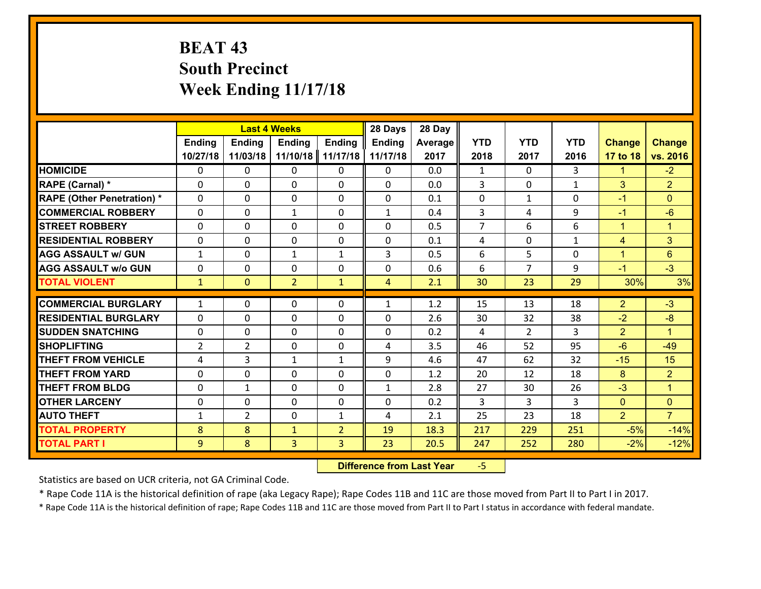# **BEAT 43 South Precinct Week Ending 11/17/18**

|                                   |                | <b>Last 4 Weeks</b> |                |                | 28 Days        | 28 Day  |                |                |              |                |                      |
|-----------------------------------|----------------|---------------------|----------------|----------------|----------------|---------|----------------|----------------|--------------|----------------|----------------------|
|                                   | Ending         | <b>Ending</b>       | <b>Ending</b>  | <b>Ending</b>  | <b>Ending</b>  | Average | <b>YTD</b>     | <b>YTD</b>     | <b>YTD</b>   | <b>Change</b>  | <b>Change</b>        |
|                                   | 10/27/18       | 11/03/18            | 11/10/18       | 11/17/18       | 11/17/18       | 2017    | 2018           | 2017           | 2016         | 17 to 18       | vs. 2016             |
| <b>HOMICIDE</b>                   | $\Omega$       | 0                   | 0              | $\Omega$       | 0              | 0.0     | $\mathbf{1}$   | $\Omega$       | 3            | 1              | $-2$                 |
| RAPE (Carnal) *                   | $\mathbf{0}$   | 0                   | $\mathbf{0}$   | 0              | $\Omega$       | 0.0     | 3              | $\Omega$       | $\mathbf{1}$ | 3              | $\overline{2}$       |
| <b>RAPE (Other Penetration) *</b> | $\Omega$       | 0                   | $\mathbf{0}$   | $\Omega$       | $\Omega$       | 0.1     | $\Omega$       | $\mathbf{1}$   | 0            | $-1$           | $\Omega$             |
| <b>COMMERCIAL ROBBERY</b>         | 0              | 0                   | $\mathbf{1}$   | 0              | $\mathbf{1}$   | 0.4     | 3              | 4              | 9            | $-1$           | $-6$                 |
| <b>STREET ROBBERY</b>             | $\Omega$       | 0                   | 0              | 0              | 0              | 0.5     | $\overline{7}$ | 6              | 6            | $\mathbf{1}$   | $\mathbf{1}$         |
| <b>RESIDENTIAL ROBBERY</b>        | $\Omega$       | 0                   | 0              | 0              | 0              | 0.1     | 4              | $\Omega$       | $\mathbf{1}$ | $\overline{4}$ | 3 <sup>1</sup>       |
| <b>AGG ASSAULT w/ GUN</b>         | $\mathbf{1}$   | 0                   | $\mathbf{1}$   | $\mathbf{1}$   | 3              | 0.5     | 6              | 5              | 0            | $\mathbf{1}$   | 6                    |
| <b>AGG ASSAULT w/o GUN</b>        | 0              | 0                   | 0              | 0              | 0              | 0.6     | 6              | $\overline{7}$ | 9            | $-1$           | $-3$                 |
| <b>TOTAL VIOLENT</b>              | $\mathbf{1}$   | $\mathbf{0}$        | $\overline{2}$ | $\mathbf{1}$   | $\overline{4}$ | 2.1     | 30             | 23             | 29           | 30%            | 3%                   |
| <b>COMMERCIAL BURGLARY</b>        | $\mathbf{1}$   | 0                   | $\mathbf{0}$   | $\Omega$       | $\mathbf{1}$   | 1.2     | 15             | 13             | 18           | $\overline{2}$ | $-3$                 |
| <b>RESIDENTIAL BURGLARY</b>       | $\Omega$       | 0                   | 0              | 0              | 0              | 2.6     | 30             | 32             | 38           | $-2$           | $-8$                 |
| <b>SUDDEN SNATCHING</b>           | 0              | 0                   | 0              | 0              | 0              | 0.2     | 4              | $\overline{2}$ | 3            | $\overline{2}$ | $\mathbf{1}$         |
| <b>SHOPLIFTING</b>                | $\overline{2}$ | $\overline{2}$      | 0              | 0              | 4              | 3.5     | 46             | 52             | 95           | $-6$           | $-49$                |
| <b>THEFT FROM VEHICLE</b>         | 4              | 3                   | $\mathbf{1}$   | $\mathbf{1}$   | 9              | 4.6     | 47             | 62             | 32           | $-15$          | 15                   |
| <b>THEFT FROM YARD</b>            | $\mathbf 0$    | 0                   | 0              | 0              | 0              | 1.2     | 20             | 12             | 18           | 8              | $\overline{2}$       |
| <b>THEFT FROM BLDG</b>            | 0              | $\mathbf{1}$        | 0              | 0              | 1              | 2.8     | 27             | 30             | 26           | $-3$           | $\blacktriangleleft$ |
| <b>OTHER LARCENY</b>              | 0              | 0                   | 0              | 0              | 0              | 0.2     | 3              | 3              | 3            | $\overline{0}$ | $\overline{0}$       |
| <b>AUTO THEFT</b>                 | $\mathbf{1}$   | $\overline{2}$      | $\mathbf{0}$   | $\mathbf{1}$   | 4              | 2.1     | 25             | 23             | 18           | $\overline{2}$ | $\overline{7}$       |
| <b>TOTAL PROPERTY</b>             | 8              | 8                   | $\mathbf{1}$   | $\overline{2}$ | 19             | 18.3    | 217            | 229            | 251          | $-5%$          | $-14%$               |
| <b>TOTAL PART I</b>               | 9              | 8                   | 3              | 3              | 23             | 20.5    |                | 252            | 280          | $-2%$          | $-12%$               |
|                                   |                |                     |                |                |                |         | 247            |                |              |                |                      |

 **Difference from Last Year**‐5

Statistics are based on UCR criteria, not GA Criminal Code.

\* Rape Code 11A is the historical definition of rape (aka Legacy Rape); Rape Codes 11B and 11C are those moved from Part II to Part I in 2017.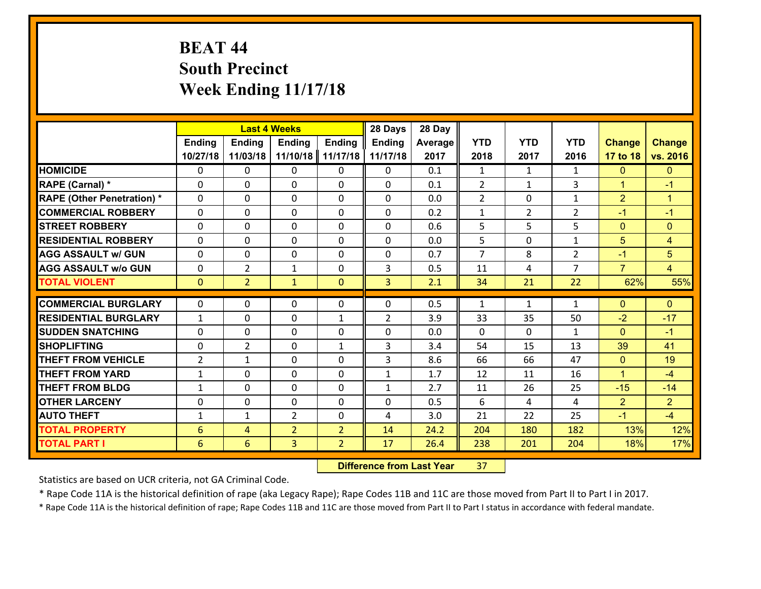# **BEAT 44 South Precinct Week Ending 11/17/18**

|                                   |                 | <b>Last 4 Weeks</b> |                |                | 28 Days        | 28 Day  |                |                |                |                |                      |
|-----------------------------------|-----------------|---------------------|----------------|----------------|----------------|---------|----------------|----------------|----------------|----------------|----------------------|
|                                   | <b>Ending</b>   | <b>Ending</b>       | <b>Ending</b>  | <b>Ending</b>  | <b>Ending</b>  | Average | <b>YTD</b>     | <b>YTD</b>     | <b>YTD</b>     | <b>Change</b>  | <b>Change</b>        |
|                                   | 10/27/18        | 11/03/18            | 11/10/18       | 11/17/18       | 11/17/18       | 2017    | 2018           | 2017           | 2016           | 17 to 18       | vs. 2016             |
| <b>HOMICIDE</b>                   | 0               | 0                   | $\mathbf{0}$   | 0              | 0              | 0.1     | 1              | $\mathbf{1}$   | $\mathbf{1}$   | $\mathbf{0}$   | $\mathbf{0}$         |
| RAPE (Carnal) *                   | $\Omega$        | 0                   | $\mathbf{0}$   | 0              | $\Omega$       | 0.1     | 2              | $\mathbf{1}$   | 3              | $\mathbf{1}$   | $-1$                 |
| <b>RAPE (Other Penetration) *</b> | $\Omega$        | 0                   | $\Omega$       | $\Omega$       | $\Omega$       | 0.0     | $\overline{2}$ | $\Omega$       | $\mathbf{1}$   | $\overline{2}$ | $\blacktriangleleft$ |
| <b>COMMERCIAL ROBBERY</b>         | $\Omega$        | $\Omega$            | $\mathbf 0$    | $\Omega$       | 0              | 0.2     | $\mathbf{1}$   | $\overline{2}$ | $\overline{2}$ | $-1$           | $-1$                 |
| <b>STREET ROBBERY</b>             | 0               | 0                   | $\mathbf 0$    | 0              | 0              | 0.6     | 5              | 5              | 5              | $\mathbf{0}$   | $\mathbf{0}$         |
| <b>RESIDENTIAL ROBBERY</b>        | $\Omega$        | 0                   | $\mathbf 0$    | 0              | 0              | 0.0     | 5              | 0              | $\mathbf{1}$   | 5              | $\overline{4}$       |
| <b>AGG ASSAULT w/ GUN</b>         | 0               | 0                   | $\mathbf 0$    | 0              | 0              | 0.7     | $\overline{7}$ | 8              | $\overline{2}$ | $-1$           | 5                    |
| <b>AGG ASSAULT w/o GUN</b>        | 0               | $\overline{2}$      | $\mathbf{1}$   | 0              | 3              | 0.5     | 11             | 4              | $\overline{7}$ | $\overline{7}$ | $\overline{4}$       |
| <b>TOTAL VIOLENT</b>              | $\mathbf{0}$    | $\overline{2}$      | $\mathbf{1}$   | $\mathbf{0}$   | $\overline{3}$ | 2.1     | 34             | 21             | 22             | 62%            | 55%                  |
|                                   |                 |                     |                |                |                |         |                |                |                |                |                      |
| <b>COMMERCIAL BURGLARY</b>        | $\Omega$        | 0                   | $\mathbf{0}$   | 0              | 0              | 0.5     | 1              | $\mathbf{1}$   | $\mathbf{1}$   | $\mathbf{0}$   | $\mathbf{0}$         |
| <b>RESIDENTIAL BURGLARY</b>       | $\mathbf{1}$    | 0                   | $\mathbf 0$    | $\mathbf{1}$   | $\overline{2}$ | 3.9     | 33             | 35             | 50             | $-2$           | $-17$                |
| <b>SUDDEN SNATCHING</b>           | $\Omega$        | $\Omega$            | $\mathbf 0$    | $\Omega$       | $\Omega$       | 0.0     | $\Omega$       | $\Omega$       | $\mathbf{1}$   | $\Omega$       | $-1$                 |
| <b>SHOPLIFTING</b>                | $\Omega$        | $\overline{2}$      | $\mathbf 0$    | $\mathbf{1}$   | 3              | 3.4     | 54             | 15             | 13             | 39             | 41                   |
| <b>THEFT FROM VEHICLE</b>         | $\overline{2}$  | 1                   | 0              | 0              | 3              | 8.6     | 66             | 66             | 47             | $\mathbf{0}$   | 19                   |
| <b>THEFT FROM YARD</b>            | $\mathbf{1}$    | 0                   | $\mathbf 0$    | 0              | $\mathbf{1}$   | 1.7     | 12             | 11             | 16             | $\mathbf{1}$   | $-4$                 |
| <b>THEFT FROM BLDG</b>            | $\mathbf{1}$    | 0                   | $\mathbf 0$    | 0              | $\mathbf{1}$   | 2.7     | 11             | 26             | 25             | $-15$          | $-14$                |
| <b>OTHER LARCENY</b>              | 0               | 0                   | $\mathbf 0$    | 0              | 0              | 0.5     | 6              | 4              | 4              | $\overline{2}$ | $\overline{2}$       |
| <b>AUTO THEFT</b>                 | $\mathbf{1}$    | 1                   | $\overline{2}$ | 0              | 4              | 3.0     | 21             | 22             | 25             | $-1$           | $-4$                 |
| <b>TOTAL PROPERTY</b>             | $6\phantom{1}6$ | 4                   | $\overline{2}$ | $\overline{2}$ | 14             | 24.2    | 204            | 180            | 182            | 13%            | 12%                  |
| <b>TOTAL PART I</b>               | 6               | 6                   | $\overline{3}$ | $\overline{2}$ | 17             | 26.4    | 238            | 201            | 204            | 18%            | 17%                  |

 **Difference from Last Year**r 37

Statistics are based on UCR criteria, not GA Criminal Code.

\* Rape Code 11A is the historical definition of rape (aka Legacy Rape); Rape Codes 11B and 11C are those moved from Part II to Part I in 2017.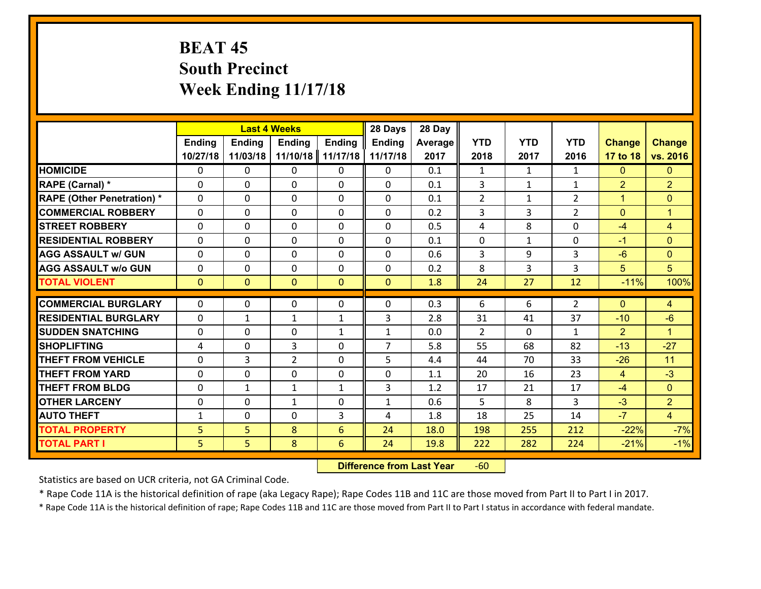# **BEAT 45 South Precinct Week Ending 11/17/18**

|                                   |                | <b>Last 4 Weeks</b> |                |               | 28 Days        | 28 Day  |                |              |                |                |                |
|-----------------------------------|----------------|---------------------|----------------|---------------|----------------|---------|----------------|--------------|----------------|----------------|----------------|
|                                   | <b>Ending</b>  | Ending              | <b>Ending</b>  | <b>Ending</b> | <b>Ending</b>  | Average | <b>YTD</b>     | <b>YTD</b>   | <b>YTD</b>     | <b>Change</b>  | <b>Change</b>  |
|                                   | 10/27/18       | 11/03/18            | 11/10/18       | 11/17/18      | 11/17/18       | 2017    | 2018           | 2017         | 2016           | 17 to 18       | vs. 2016       |
| <b>HOMICIDE</b>                   | $\Omega$       | 0                   | 0              | 0             | 0              | 0.1     | 1              | $\mathbf{1}$ | $\mathbf{1}$   | $\mathbf{0}$   | $\mathbf{0}$   |
| RAPE (Carnal) *                   | $\Omega$       | 0                   | $\Omega$       | $\Omega$      | $\Omega$       | 0.1     | 3              | $\mathbf{1}$ | $\mathbf{1}$   | $\overline{2}$ | $\overline{2}$ |
| <b>RAPE (Other Penetration) *</b> | $\Omega$       | 0                   | $\Omega$       | $\Omega$      | $\Omega$       | 0.1     | $\overline{2}$ | $\mathbf{1}$ | $\overline{2}$ | $\mathbf{1}$   | $\Omega$       |
| <b>COMMERCIAL ROBBERY</b>         | $\Omega$       | 0                   | $\Omega$       | $\Omega$      | $\Omega$       | 0.2     | 3              | 3            | $\overline{2}$ | $\Omega$       | $\mathbf{1}$   |
| <b>STREET ROBBERY</b>             | $\mathbf{0}$   | 0                   | $\mathbf{0}$   | $\Omega$      | 0              | 0.5     | 4              | 8            | 0              | $-4$           | $\overline{4}$ |
| <b>RESIDENTIAL ROBBERY</b>        | $\mathbf 0$    | 0                   | $\mathbf 0$    | 0             | 0              | 0.1     | $\mathbf 0$    | $\mathbf{1}$ | 0              | $-1$           | $\overline{0}$ |
| <b>AGG ASSAULT w/ GUN</b>         | $\mathbf 0$    | 0                   | $\mathbf 0$    | 0             | 0              | 0.6     | $\overline{3}$ | 9            | 3              | $-6$           | $\overline{0}$ |
| <b>AGG ASSAULT w/o GUN</b>        | $\mathbf 0$    | 0                   | $\mathbf 0$    | 0             | 0              | 0.2     | 8              | 3            | 3              | 5              | 5              |
| <b>TOTAL VIOLENT</b>              | $\overline{0}$ | $\overline{0}$      | $\mathbf{0}$   | $\mathbf{0}$  | $\mathbf{0}$   | 1.8     | 24             | 27           | 12             | $-11%$         | 100%           |
| <b>COMMERCIAL BURGLARY</b>        | $\Omega$       | 0                   | $\mathbf{0}$   | $\Omega$      | 0              | 0.3     | 6              | 6            | $\overline{2}$ | $\Omega$       | 4              |
| <b>RESIDENTIAL BURGLARY</b>       | $\mathbf{0}$   | 1                   | 1              | $\mathbf{1}$  | 3              | 2.8     | 31             | 41           | 37             | $-10$          | $-6$           |
| <b>SUDDEN SNATCHING</b>           | $\mathbf 0$    | 0                   | $\mathbf 0$    | $\mathbf{1}$  | $\mathbf{1}$   | 0.0     | $\overline{2}$ | $\Omega$     | $\mathbf{1}$   | $\overline{2}$ | $\mathbf{1}$   |
| <b>SHOPLIFTING</b>                | 4              | 0                   | 3              | 0             | $\overline{7}$ | 5.8     | 55             | 68           | 82             | $-13$          | $-27$          |
| <b>THEFT FROM VEHICLE</b>         | $\mathbf 0$    | $\overline{3}$      | $\overline{2}$ | 0             | 5              | 4.4     | 44             | 70           | 33             | $-26$          | 11             |
| <b>THEFT FROM YARD</b>            | $\mathbf 0$    | 0                   | $\mathbf 0$    | 0             | 0              | 1.1     | 20             | 16           | 23             | $\overline{4}$ | $-3$           |
| <b>THEFT FROM BLDG</b>            | $\mathbf{0}$   | $\mathbf{1}$        | $\mathbf{1}$   | $\mathbf{1}$  | 3              | 1.2     | 17             | 21           | 17             | $-4$           | $\overline{0}$ |
| <b>OTHER LARCENY</b>              | $\mathbf 0$    | 0                   | $\mathbf{1}$   | 0             | 1              | 0.6     | 5              | 8            | 3              | $-3$           | $\overline{2}$ |
| <b>AUTO THEFT</b>                 | $\mathbf 1$    | $\mathbf{0}$        | $\mathbf{0}$   | 3             | 4              | 1.8     | 18             | 25           | 14             | $-7$           | $\overline{4}$ |
| <b>TOTAL PROPERTY</b>             | 5              | 5                   | 8              | 6             | 24             | 18.0    | 198            | 255          | 212            | $-22%$         | $-7%$          |
| <b>TOTAL PART I</b>               | 5              | 5                   | 8              | 6             | 24             | 19.8    | 222            | 282          | 224            | $-21%$         | $-1%$          |
|                                   |                |                     |                |               |                |         |                |              |                |                |                |

 **Difference from Last Year**r -60

Statistics are based on UCR criteria, not GA Criminal Code.

\* Rape Code 11A is the historical definition of rape (aka Legacy Rape); Rape Codes 11B and 11C are those moved from Part II to Part I in 2017.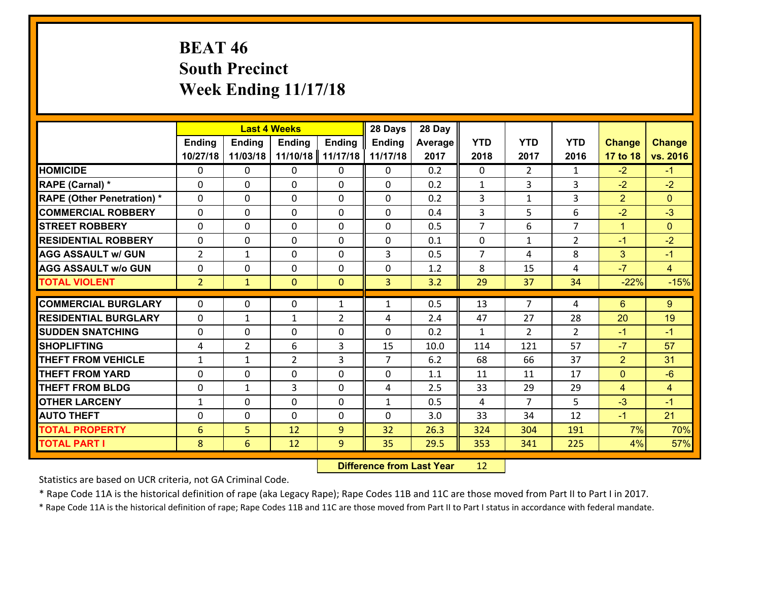# **BEAT 46 South Precinct Week Ending 11/17/18**

|                                   |                 |                | <b>Last 4 Weeks</b> |                | 28 Days        | 28 Day  |                |                |                |                |                |
|-----------------------------------|-----------------|----------------|---------------------|----------------|----------------|---------|----------------|----------------|----------------|----------------|----------------|
|                                   | <b>Ending</b>   | <b>Ending</b>  | <b>Ending</b>       | <b>Ending</b>  | <b>Ending</b>  | Average | <b>YTD</b>     | <b>YTD</b>     | <b>YTD</b>     | <b>Change</b>  | <b>Change</b>  |
|                                   | 10/27/18        | 11/03/18       | 11/10/18            | 11/17/18       | 11/17/18       | 2017    | 2018           | 2017           | 2016           | 17 to 18       | vs. 2016       |
| <b>HOMICIDE</b>                   | 0               | 0              | $\mathbf{0}$        | 0              | 0              | 0.2     | $\mathbf 0$    | $\overline{2}$ | $\mathbf{1}$   | $-2$           | $-1$           |
| RAPE (Carnal) *                   | $\Omega$        | 0              | $\mathbf{0}$        | 0              | 0              | 0.2     | 1              | 3              | 3              | $-2$           | $-2$           |
| <b>RAPE (Other Penetration) *</b> | $\Omega$        | 0              | $\Omega$            | $\Omega$       | $\Omega$       | 0.2     | 3              | $\mathbf{1}$   | 3              | $\overline{2}$ | $\Omega$       |
| <b>COMMERCIAL ROBBERY</b>         | $\Omega$        | 0              | $\mathbf 0$         | $\Omega$       | 0              | 0.4     | 3              | 5              | 6              | $-2$           | $-3$           |
| <b>STREET ROBBERY</b>             | 0               | 0              | $\mathbf 0$         | 0              | 0              | 0.5     | $\overline{7}$ | 6              | $\overline{7}$ | $\mathbf{1}$   | $\mathbf{0}$   |
| <b>RESIDENTIAL ROBBERY</b>        | 0               | 0              | $\mathbf 0$         | 0              | 0              | 0.1     | $\mathbf 0$    | $\mathbf{1}$   | $\overline{2}$ | $-1$           | $-2$           |
| <b>AGG ASSAULT w/ GUN</b>         | $\overline{2}$  | $\mathbf{1}$   | $\mathbf 0$         | 0              | 3              | 0.5     | $\overline{7}$ | 4              | 8              | 3              | $-1$           |
| <b>AGG ASSAULT w/o GUN</b>        | 0               | 0              | $\mathbf 0$         | 0              | $\mathbf 0$    | 1.2     | 8              | 15             | 4              | $-7$           | $\overline{4}$ |
| <b>TOTAL VIOLENT</b>              | 2 <sup>1</sup>  | $\mathbf{1}$   | $\mathbf{0}$        | $\mathbf{0}$   | 3              | 3.2     | 29             | 37             | 34             | $-22%$         | $-15%$         |
| <b>COMMERCIAL BURGLARY</b>        |                 |                |                     |                |                |         |                | $\overline{7}$ |                |                |                |
|                                   | $\Omega$        | 0              | 0                   | $\mathbf{1}$   | 1              | 0.5     | 13             |                | 4              | 6              | 9              |
| <b>RESIDENTIAL BURGLARY</b>       | $\Omega$        | 1              | 1                   | $\overline{2}$ | 4              | 2.4     | 47             | 27             | 28             | 20             | 19             |
| <b>SUDDEN SNATCHING</b>           | $\Omega$        | 0              | $\mathbf 0$         | $\Omega$       | $\Omega$       | 0.2     | $\mathbf{1}$   | $\overline{2}$ | $\mathcal{L}$  | $-1$           | $-1$           |
| <b>SHOPLIFTING</b>                | 4               | $\overline{2}$ | 6                   | 3              | 15             | 10.0    | 114            | 121            | 57             | $-7$           | 57             |
| <b>THEFT FROM VEHICLE</b>         | 1               | 1              | $\overline{2}$      | 3              | $\overline{7}$ | 6.2     | 68             | 66             | 37             | $\overline{2}$ | 31             |
| <b>THEFT FROM YARD</b>            | 0               | 0              | $\mathbf 0$         | 0              | 0              | 1.1     | 11             | 11             | 17             | $\mathbf{0}$   | $-6$           |
| <b>THEFT FROM BLDG</b>            | 0               | $\mathbf{1}$   | 3                   | 0              | 4              | 2.5     | 33             | 29             | 29             | $\overline{4}$ | $\overline{4}$ |
| <b>OTHER LARCENY</b>              | $\mathbf{1}$    | 0              | $\mathbf 0$         | 0              | $\mathbf{1}$   | 0.5     | 4              | $\overline{7}$ | 5              | $-3$           | $-1$           |
| <b>AUTO THEFT</b>                 | 0               | 0              | $\mathbf 0$         | 0              | 0              | 3.0     | 33             | 34             | 12             | $-1$           | 21             |
| <b>TOTAL PROPERTY</b>             | $6\phantom{1}6$ | 5              | 12                  | 9              | 32             | 26.3    | 324            | 304            | 191            | 7%             | 70%            |
| <b>TOTAL PART I</b>               | 8               | 6              | 12                  | 9              | 35             | 29.5    | 353            | 341            | 225            | 4%             | 57%            |

 **Difference from Last Year**r 12

Statistics are based on UCR criteria, not GA Criminal Code.

\* Rape Code 11A is the historical definition of rape (aka Legacy Rape); Rape Codes 11B and 11C are those moved from Part II to Part I in 2017.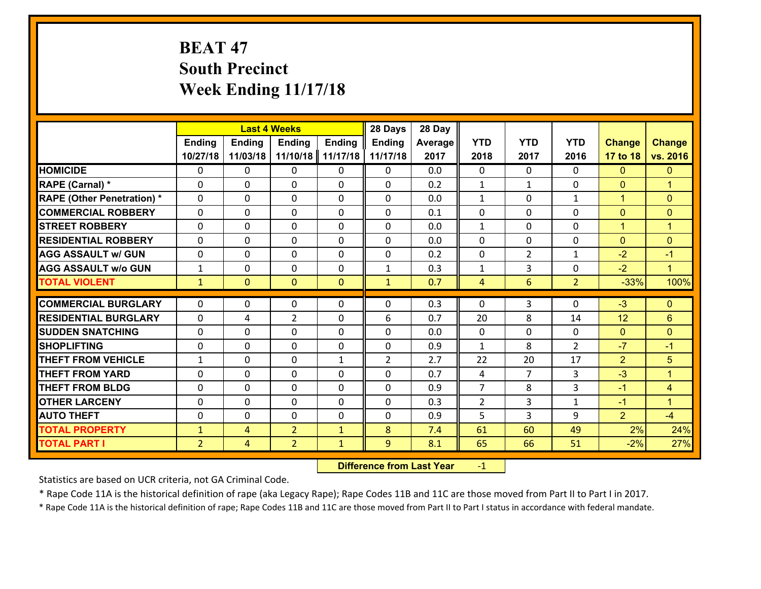# **BEAT 47 South Precinct Week Ending 11/17/18**

|                                   |                | <b>Last 4 Weeks</b><br><b>Ending</b><br>Ending<br><b>Ending</b><br>Ending |                |              | 28 Days        | 28 Day  |                |                |                    |                      |                      |
|-----------------------------------|----------------|---------------------------------------------------------------------------|----------------|--------------|----------------|---------|----------------|----------------|--------------------|----------------------|----------------------|
|                                   |                |                                                                           |                |              | <b>Ending</b>  | Average | <b>YTD</b>     | <b>YTD</b>     | <b>YTD</b>         | <b>Change</b>        | <b>Change</b>        |
|                                   | 10/27/18       | 11/03/18                                                                  | 11/10/18       | 11/17/18     | 11/17/18       | 2017    | 2018           | 2017           | 2016               | 17 to 18             | vs. 2016             |
| <b>HOMICIDE</b>                   | $\Omega$       | 0                                                                         | $\Omega$       | $\mathbf{0}$ | 0              | 0.0     | $\Omega$       | $\Omega$       | $\Omega$           | $\mathbf{0}$         | $\mathbf{0}$         |
| RAPE (Carnal) *                   | $\Omega$       | 0                                                                         | $\Omega$       | $\Omega$     | $\Omega$       | 0.2     | $\mathbf{1}$   | $\mathbf{1}$   | $\Omega$           | $\mathbf{0}$         | $\overline{1}$       |
| <b>RAPE (Other Penetration) *</b> | $\Omega$       | 0                                                                         | $\mathbf 0$    | 0            | 0              | 0.0     | $\mathbf{1}$   | 0              | $\mathbf{1}$       | $\mathbf{1}$         | $\mathbf{0}$         |
| <b>COMMERCIAL ROBBERY</b>         | $\mathbf{0}$   | 0                                                                         | 0              | 0            | 0              | 0.1     | 0              | 0              | 0                  | $\mathbf{0}$         | $\mathbf{0}$         |
| <b>STREET ROBBERY</b>             | $\mathbf{0}$   | 0                                                                         | $\mathbf 0$    | 0            | 0              | 0.0     | $\mathbf{1}$   | 0              | $\Omega$           | $\mathbf{1}$         | $\mathbf{1}$         |
| <b>RESIDENTIAL ROBBERY</b>        | $\mathbf 0$    | 0                                                                         | $\mathbf 0$    | 0            | 0              | 0.0     | $\mathbf 0$    | 0              | 0                  | $\mathbf{0}$         | $\mathbf{0}$         |
| <b>AGG ASSAULT w/ GUN</b>         | $\mathbf 0$    | 0                                                                         | $\mathbf 0$    | 0            | 0              | 0.2     | 0              | $\overline{2}$ | $\mathbf{1}$       | $-2$                 | $-1$                 |
| <b>AGG ASSAULT w/o GUN</b>        | $\mathbf{1}$   | 0                                                                         | $\mathbf 0$    | 0            | $\mathbf{1}$   | 0.3     | $\mathbf{1}$   | 3              | 0                  | $-2$                 | $\blacktriangleleft$ |
| <b>TOTAL VIOLENT</b>              | $\mathbf{1}$   | $\mathbf{O}$                                                              | $\mathbf{0}$   | $\mathbf{0}$ | $\mathbf{1}$   | 0.7     | $\overline{4}$ | 6              | $\overline{2}$     | $-33%$               | 100%                 |
| <b>COMMERCIAL BURGLARY</b>        | $\Omega$       | $\mathbf{0}$                                                              | 0              | $\mathbf{0}$ | 0              | 0.3     | $\Omega$       | 3              | $\Omega$           | $-3$                 | $\mathbf{0}$         |
| <b>RESIDENTIAL BURGLARY</b>       |                |                                                                           |                |              |                |         |                |                |                    |                      |                      |
|                                   | $\mathbf 0$    | 4                                                                         | $\overline{2}$ | 0            | 6              | 0.7     | 20             | 8              | 14                 | 12                   | 6                    |
| <b>SUDDEN SNATCHING</b>           | $\mathbf 0$    | 0                                                                         | $\mathbf{0}$   | 0            | 0<br>$\Omega$  | 0.0     | $\mathbf{0}$   | $\Omega$<br>8  | 0<br>$\mathcal{L}$ | $\mathbf{0}$<br>$-7$ | $\mathbf{0}$         |
| <b>SHOPLIFTING</b>                | $\Omega$       | 0                                                                         | $\Omega$       | $\Omega$     |                | 0.9     | $\mathbf{1}$   |                |                    |                      | $-1$                 |
| <b>THEFT FROM VEHICLE</b>         | $\mathbf{1}$   | 0                                                                         | $\mathbf{0}$   | $\mathbf{1}$ | $\overline{2}$ | 2.7     | 22             | 20             | 17                 | $\overline{2}$       | 5                    |
| <b>THEFT FROM YARD</b>            | $\mathbf{0}$   | 0                                                                         | $\mathbf{0}$   | 0            | 0              | 0.7     | 4              | $\overline{7}$ | 3                  | $-3$                 | $\overline{1}$       |
| <b>THEFT FROM BLDG</b>            | $\mathbf 0$    | 0                                                                         | $\mathbf 0$    | 0            | 0              | 0.9     | $\overline{7}$ | 8              | 3                  | $-1$                 | $\overline{4}$       |
| <b>OTHER LARCENY</b>              | $\mathbf 0$    | 0                                                                         | $\mathbf 0$    | 0            | 0              | 0.3     | $\overline{2}$ | 3              | $\mathbf{1}$       | $-1$                 | $\mathbf{1}$         |
| <b>AUTO THEFT</b>                 | $\mathbf{0}$   | $\mathbf{0}$                                                              | $\mathbf{0}$   | 0            | 0              | 0.9     | 5              | 3              | 9                  | $\overline{2}$       | $-4$                 |
| <b>TOTAL PROPERTY</b>             | $\mathbf{1}$   | 4                                                                         | $\overline{2}$ | $\mathbf{1}$ | 8              | 7.4     | 61             | 60             | 49                 | 2%                   | 24%                  |
| <b>TOTAL PART I</b>               | $\overline{2}$ | $\overline{4}$                                                            | $\overline{2}$ | $\mathbf{1}$ | 9              | 8.1     | 65             | 66             | 51                 | $-2%$                | 27%                  |

 **Difference from Last Year**r -1

Statistics are based on UCR criteria, not GA Criminal Code.

\* Rape Code 11A is the historical definition of rape (aka Legacy Rape); Rape Codes 11B and 11C are those moved from Part II to Part I in 2017.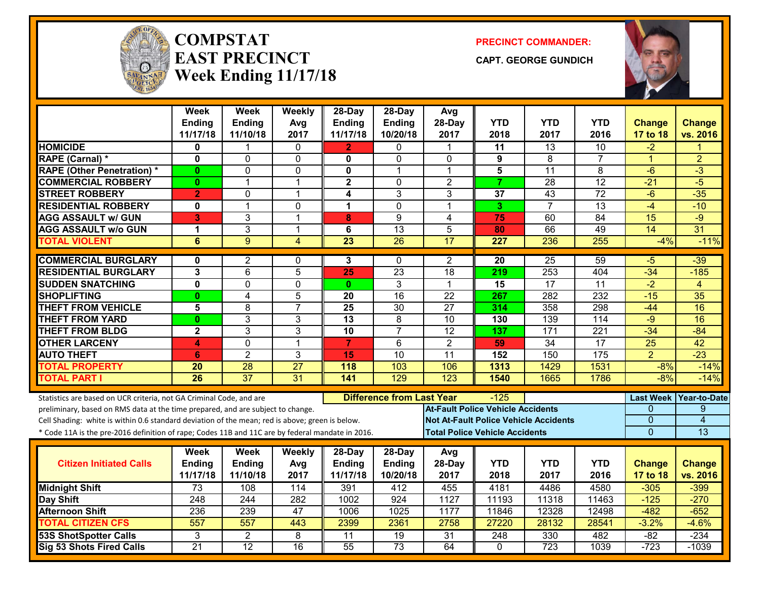

#### **COMPSTATEAST PRECINCTWeek Ending 11/17/18**

**PRECINCT COMMANDER:**

**CAPT. GEORGE GUNDICH**



|                                                                                                  | <b>Week</b><br><b>Ending</b> | <b>Week</b><br><b>Ending</b> | Weekly<br>Avg   | 28-Day<br><b>Ending</b> | $28$ -Day<br><b>Ending</b> | Avg<br>28-Day                            | <b>YTD</b>                                   | <b>YTD</b>      | <b>YTD</b>       | <b>Change</b>                | <b>Change</b>   |
|--------------------------------------------------------------------------------------------------|------------------------------|------------------------------|-----------------|-------------------------|----------------------------|------------------------------------------|----------------------------------------------|-----------------|------------------|------------------------------|-----------------|
|                                                                                                  | 11/17/18                     | 11/10/18                     | 2017            | 11/17/18                | 10/20/18                   | 2017                                     | 2018                                         | 2017            | 2016             | 17 to 18                     | vs. 2016        |
| <b>HOMICIDE</b>                                                                                  | 0                            |                              | 0               | $\overline{2}$          | $\Omega$                   | 1                                        | $\overline{11}$                              | $\overline{13}$ | 10               | $-2$                         |                 |
| RAPE (Carnal) *                                                                                  | 0                            | 0                            | $\mathbf 0$     | $\mathbf{0}$            | $\mathbf 0$                | $\mathbf{0}$                             | 9                                            | 8               | $\overline{7}$   | $\mathbf{1}$                 | $\overline{2}$  |
| <b>RAPE (Other Penetration) *</b>                                                                | $\bf{0}$                     | 0                            | 0               | 0                       | 1                          | $\mathbf{1}$                             | 5                                            | 11              | 8                | $-6$                         | $-3$            |
| <b>COMMERCIAL ROBBERY</b>                                                                        | $\mathbf{0}$                 | 1                            | $\overline{1}$  | $\overline{\mathbf{2}}$ | $\Omega$                   | $\overline{2}$                           | $\overline{7}$                               | 28              | $\overline{12}$  | $-21$                        | $-5$            |
| <b>STREET ROBBERY</b>                                                                            | $\overline{2}$               | 0                            | 1               | $\overline{\mathbf{4}}$ | 3                          | 3                                        | 37                                           | 43              | 72               | $-6$                         | $-35$           |
| <b>RESIDENTIAL ROBBERY</b>                                                                       | 0                            | $\mathbf{1}$                 | $\mathbf 0$     | $\mathbf 1$             | $\mathbf 0$                | 1                                        | 3.                                           | $\overline{7}$  | 13               | $-4$                         | $-10$           |
| <b>AGG ASSAULT w/ GUN</b>                                                                        | 3                            | 3                            | $\overline{1}$  | 8                       | 9                          | $\overline{4}$                           | 75                                           | 60              | $\overline{84}$  | 15                           | $-9$            |
| <b>AGG ASSAULT w/o GUN</b>                                                                       | 1                            | $\overline{3}$               | $\overline{1}$  | 6                       | $\overline{13}$            | 5                                        | 80                                           | 66              | 49               | 14                           | $\overline{31}$ |
| <b>TOTAL VIOLENT</b>                                                                             | 6                            | 9                            | 4               | $\overline{23}$         | $\overline{26}$            | $\overline{17}$                          | 227                                          | 236             | $\overline{255}$ | $-4%$                        | $-11%$          |
| <b>COMMERCIAL BURGLARY</b>                                                                       | $\mathbf{0}$                 | $\overline{2}$               | $\mathbf{0}$    | 3                       | $\mathbf{0}$               | $\overline{2}$                           | $\overline{20}$                              | $\overline{25}$ | 59               | -5                           | $-39$           |
| <b>RESIDENTIAL BURGLARY</b>                                                                      | 3                            | 6                            | 5               | 25                      | $\overline{23}$            | $\overline{18}$                          | 219                                          | 253             | 404              | $-34$                        | $-185$          |
| <b>SUDDEN SNATCHING</b>                                                                          | $\mathbf 0$                  | 0                            | $\mathbf{0}$    | $\mathbf{0}$            | 3                          | 1                                        | 15                                           | $\overline{17}$ | 11               | $-2$                         | $\overline{4}$  |
| <b>SHOPLIFTING</b>                                                                               | $\mathbf{0}$                 | $\overline{4}$               | 5               | 20                      | $\overline{16}$            | $\overline{22}$                          | 267                                          | 282             | $\overline{232}$ | $-15$                        | $\overline{35}$ |
| <b>THEFT FROM VEHICLE</b>                                                                        | $\overline{\mathbf{5}}$      | $\overline{8}$               | $\overline{7}$  | 25                      | 30                         | $\overline{27}$                          | 314                                          | 358             | 298              | $-44$                        | 16              |
| <b>THEFT FROM YARD</b>                                                                           | $\bf{0}$                     | 3                            | $\mathbf{3}$    | 13                      | 8                          | 10                                       | 130                                          | 139             | 114              | $-9$                         | 16              |
| <b>THEFT FROM BLDG</b>                                                                           | $\overline{\mathbf{2}}$      | 3                            | 3               | $\overline{10}$         | $\overline{7}$             | $\overline{12}$                          | 137                                          | 171             | $\overline{221}$ | $-34$                        | $-84$           |
| <b>OTHER LARCENY</b>                                                                             | 4                            | 0                            | $\overline{1}$  | $\overline{7}$          | 6                          | $\overline{2}$                           | 59                                           | $\overline{34}$ | $\overline{17}$  | $\overline{25}$              | 42              |
| <b>AUTO THEFT</b>                                                                                | 6                            | $\overline{2}$               | 3               | 15                      | 10                         | 11                                       | 152                                          | 150             | 175              | $\overline{2}$               | $-23$           |
| <b>TOTAL PROPERTY</b>                                                                            | 20                           | 28                           | $\overline{27}$ | 118                     | 103                        | 106                                      | 1313                                         | 1429            | 1531             | $-8%$                        | $-14%$          |
| <b>TOTAL PART I</b>                                                                              | $\overline{26}$              | $\overline{37}$              | 31              | 141                     | $\overline{129}$           | $\overline{123}$                         | 1540                                         | 1665            | 1786             | $-8%$                        | $-14%$          |
| Statistics are based on UCR criteria, not GA Criminal Code, and are                              |                              |                              |                 |                         |                            | <b>Difference from Last Year</b><br>-125 |                                              |                 |                  |                              | Year-to-Date    |
| preliminary, based on RMS data at the time prepared, and are subject to change.                  |                              |                              |                 |                         |                            |                                          | <b>At-Fault Police Vehicle Accidents</b>     |                 |                  | <b>Last Week</b><br>$\Omega$ | 9               |
| Cell Shading: white is within 0.6 standard deviation of the mean; red is above; green is below.  |                              |                              |                 |                         |                            |                                          | <b>Not At-Fault Police Vehicle Accidents</b> |                 |                  | $\mathbf{0}$                 | 4               |
| * Code 11A is the pre-2016 definition of rape; Codes 11B and 11C are by federal mandate in 2016. |                              |                              |                 |                         |                            |                                          | <b>Total Police Vehicle Accidents</b>        |                 |                  | $\overline{0}$               | 13              |
|                                                                                                  | Week                         | <b>Week</b>                  | Weekly          | 28-Day                  | $28-Day$                   | Avg                                      |                                              |                 |                  |                              |                 |
| <b>Citizen Initiated Calls</b>                                                                   | <b>Ending</b>                | Ending                       | Avg             | Ending                  | Ending                     | 28-Day                                   | <b>YTD</b>                                   | <b>YTD</b>      | <b>YTD</b>       | <b>Change</b>                | <b>Change</b>   |
|                                                                                                  | 11/17/18                     | 11/10/18                     | 2017            | 11/17/18                | 10/20/18                   | 2017                                     | 2018                                         | 2017            | 2016             | 17 to 18                     | vs. 2016        |
| <b>Midnight Shift</b>                                                                            | 73                           | 108                          | 114             | 391                     | 412                        | 455                                      | 4181                                         | 4486            | 4580             | $-305$                       | $-399$          |
| Day Shift                                                                                        | 248                          | 244                          | 282             | 1002                    | 924                        | 1127                                     | 11193                                        | 11318           | 11463            | $-125$                       | $-270$          |
| <b>Afternoon Shift</b>                                                                           | 236                          | 239                          | 47              | 1006                    | 1025                       | 1177                                     | 11846                                        | 12328           | 12498            | $-482$                       | $-652$          |
| <b>TOTAL CITIZEN CFS</b>                                                                         | $\overline{557}$             | $\overline{557}$             | 443             | 2399                    | 2361                       | 2758                                     | 27220                                        | 28132           | 28541            | $-3.2%$                      | $-4.6%$         |
| <b>53S ShotSpotter Calls</b>                                                                     | 3                            | $\overline{2}$               | 8               | $\overline{11}$         | $\overline{19}$            | $\overline{31}$                          | $\overline{248}$                             | 330             | 482              | $-82$                        | $-234$          |
| <b>Sig 53 Shots Fired Calls</b>                                                                  | $\overline{21}$              | 12                           | 16              | 55                      | $\overline{73}$            | 64                                       | 0                                            | 723             | 1039             | $-723$                       | $-1039$         |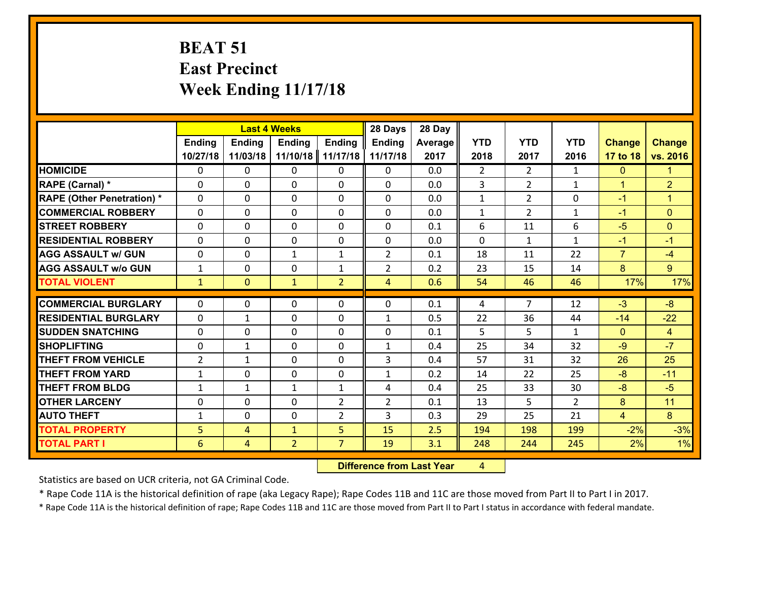## **BEAT 51 East Precinct Week Ending 11/17/18**

|                                   | <b>Last 4 Weeks</b> |               |                |                | 28 Days        | 28 Day  |                |                |                |                      |                |
|-----------------------------------|---------------------|---------------|----------------|----------------|----------------|---------|----------------|----------------|----------------|----------------------|----------------|
|                                   | <b>Ending</b>       | <b>Ending</b> | <b>Ending</b>  | <b>Ending</b>  | <b>Ending</b>  | Average | <b>YTD</b>     | <b>YTD</b>     | <b>YTD</b>     | <b>Change</b>        | Change         |
|                                   | 10/27/18            | 11/03/18      | 11/10/18       | 11/17/18       | 11/17/18       | 2017    | 2018           | 2017           | 2016           | 17 to 18             | vs. 2016       |
| <b>HOMICIDE</b>                   | $\mathbf 0$         | 0             | $\mathbf{0}$   | $\mathbf{0}$   | $\mathbf{0}$   | 0.0     | $\overline{2}$ | $\overline{2}$ | $\mathbf{1}$   | $\mathbf{0}$         | $\mathbf 1$    |
| RAPE (Carnal) *                   | $\Omega$            | 0             | $\Omega$       | 0              | $\Omega$       | 0.0     | $\overline{3}$ | $\overline{2}$ | $\mathbf{1}$   | $\blacktriangleleft$ | $\overline{2}$ |
| <b>RAPE (Other Penetration) *</b> | $\mathbf 0$         | 0             | $\mathbf 0$    | 0              | 0              | 0.0     | $\mathbf{1}$   | $\overline{2}$ | 0              | $-1$                 | $\mathbf{1}$   |
| <b>COMMERCIAL ROBBERY</b>         | $\mathbf 0$         | 0             | $\mathbf{0}$   | 0              | 0              | 0.0     | $\mathbf{1}$   | $\overline{2}$ | $\mathbf{1}$   | $-1$                 | $\overline{0}$ |
| <b>STREET ROBBERY</b>             | $\mathbf 0$         | 0             | $\Omega$       | 0              | $\Omega$       | 0.1     | 6              | 11             | 6              | $-5$                 | $\overline{0}$ |
| <b>RESIDENTIAL ROBBERY</b>        | $\mathbf 0$         | 0             | $\mathbf 0$    | 0              | 0              | 0.0     | $\mathbf 0$    | $\mathbf{1}$   | $\mathbf{1}$   | $-1$                 | $-1$           |
| <b>AGG ASSAULT w/ GUN</b>         | $\mathbf 0$         | 0             | $\mathbf{1}$   | $\mathbf{1}$   | $\overline{2}$ | 0.1     | 18             | 11             | 22             | $\overline{7}$       | $-4$           |
| <b>AGG ASSAULT w/o GUN</b>        | $\mathbf 1$         | 0             | $\mathbf 0$    | $\mathbf{1}$   | $\overline{2}$ | 0.2     | 23             | 15             | 14             | 8                    | 9 <sup>°</sup> |
| <b>TOTAL VIOLENT</b>              | $\mathbf{1}$        | $\mathbf{0}$  | $\mathbf{1}$   | $\overline{2}$ | 4              | 0.6     | 54             | 46             | 46             | 17%                  | 17%            |
|                                   |                     |               |                |                |                |         |                |                |                |                      |                |
| <b>COMMERCIAL BURGLARY</b>        | $\mathbf 0$         | 0             | $\mathbf{0}$   | $\Omega$       | 0              | 0.1     | 4              | $\overline{7}$ | 12             | $-3$                 | $-8$           |
| <b>RESIDENTIAL BURGLARY</b>       | $\Omega$            | $\mathbf{1}$  | $\mathbf{0}$   | $\Omega$       | $\mathbf{1}$   | 0.5     | 22             | 36             | 44             | $-14$                | $-22$          |
| <b>SUDDEN SNATCHING</b>           | $\Omega$            | 0             | $\Omega$       | $\Omega$       | $\Omega$       | 0.1     | 5              | 5              | $\mathbf{1}$   | $\Omega$             | $\overline{4}$ |
| <b>SHOPLIFTING</b>                | $\Omega$            | 1             | $\mathbf{0}$   | $\Omega$       | $\mathbf{1}$   | 0.4     | 25             | 34             | 32             | $-9$                 | $-7$           |
| <b>THEFT FROM VEHICLE</b>         | $\overline{2}$      | $\mathbf{1}$  | $\mathbf{0}$   | $\Omega$       | 3              | 0.4     | 57             | 31             | 32             | 26                   | 25             |
| <b>THEFT FROM YARD</b>            | $\mathbf{1}$        | 0             | $\mathbf 0$    | 0              | $\mathbf{1}$   | 0.2     | 14             | 22             | 25             | $-8$                 | $-11$          |
| <b>THEFT FROM BLDG</b>            | $\mathbf{1}$        | $\mathbf{1}$  | $\mathbf{1}$   | $\mathbf{1}$   | 4              | 0.4     | 25             | 33             | 30             | $-8$                 | $-5$           |
| <b>OTHER LARCENY</b>              | $\mathbf 0$         | 0             | $\mathbf 0$    | $\overline{2}$ | $\overline{2}$ | 0.1     | 13             | 5              | $\overline{2}$ | 8                    | 11             |
| <b>AUTO THEFT</b>                 | $\mathbf{1}$        | 0             | $\mathbf 0$    | $\overline{2}$ | 3              | 0.3     | 29             | 25             | 21             | $\overline{4}$       | 8 <sup>°</sup> |
| <b>TOTAL PROPERTY</b>             | 5                   | 4             | $\mathbf{1}$   | 5              | 15             | 2.5     | 194            | 198            | 199            | $-2%$                | $-3%$          |
| <b>TOTAL PART I</b>               | 6                   | 4             | $\overline{2}$ | $\overline{7}$ | 19             | 3.1     | 248            | 244            | 245            | 2%                   | 1%             |

 **Difference from Last Year**r 4

Statistics are based on UCR criteria, not GA Criminal Code.

\* Rape Code 11A is the historical definition of rape (aka Legacy Rape); Rape Codes 11B and 11C are those moved from Part II to Part I in 2017.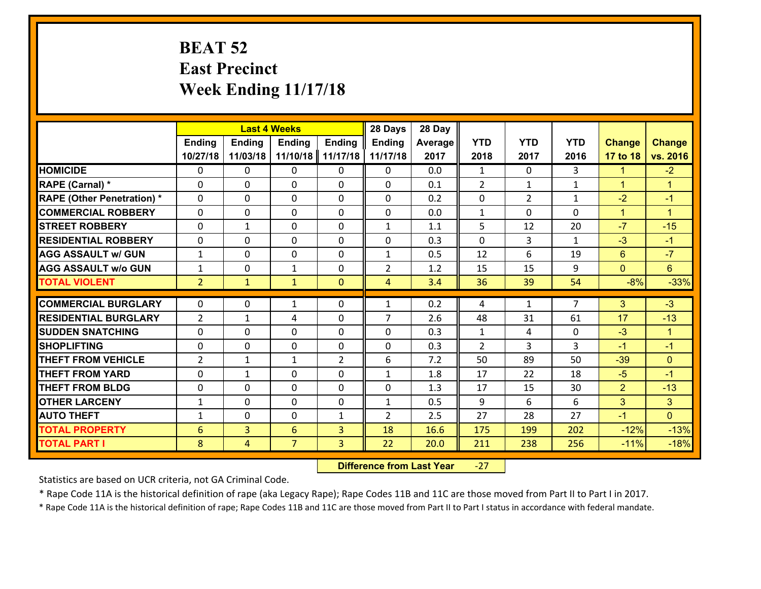## **BEAT 52 East Precinct Week Ending 11/17/18**

|                                   |                | <b>Last 4 Weeks</b> |                |                | 28 Days        | 28 Day  |                |                |                |                |                      |
|-----------------------------------|----------------|---------------------|----------------|----------------|----------------|---------|----------------|----------------|----------------|----------------|----------------------|
|                                   | Ending         | <b>Ending</b>       | <b>Ending</b>  | <b>Ending</b>  | <b>Ending</b>  | Average | <b>YTD</b>     | <b>YTD</b>     | <b>YTD</b>     | <b>Change</b>  | <b>Change</b>        |
|                                   | 10/27/18       | 11/03/18            | 11/10/18       | 11/17/18       | 11/17/18       | 2017    | 2018           | 2017           | 2016           | 17 to 18       | vs. 2016             |
| <b>HOMICIDE</b>                   | $\Omega$       | 0                   | 0              | $\Omega$       | 0              | 0.0     | $\mathbf{1}$   | $\Omega$       | 3              | $\mathbf{1}$   | $-2$                 |
| RAPE (Carnal) *                   | $\mathbf{0}$   | 0                   | $\mathbf{0}$   | 0              | $\Omega$       | 0.1     | 2              | $\mathbf{1}$   | $\mathbf{1}$   | $\mathbf{1}$   | $\mathbf{1}$         |
| <b>RAPE (Other Penetration) *</b> | $\Omega$       | 0                   | $\mathbf{0}$   | $\Omega$       | $\Omega$       | 0.2     | $\Omega$       | $\overline{2}$ | $\mathbf{1}$   | $-2$           | $-1$                 |
| <b>COMMERCIAL ROBBERY</b>         | 0              | 0                   | 0              | 0              | 0              | 0.0     | $\mathbf{1}$   | $\Omega$       | 0              | $\mathbf{1}$   | $\blacktriangleleft$ |
| <b>STREET ROBBERY</b>             | $\Omega$       | $\mathbf{1}$        | 0              | 0              | $\mathbf{1}$   | 1.1     | 5              | 12             | 20             | $-7$           | $-15$                |
| <b>RESIDENTIAL ROBBERY</b>        | $\Omega$       | 0                   | 0              | 0              | 0              | 0.3     | $\Omega$       | 3              | $\mathbf{1}$   | $-3$           | $-1$                 |
| <b>AGG ASSAULT w/ GUN</b>         | $\mathbf{1}$   | 0                   | 0              | 0              | $\mathbf{1}$   | 0.5     | 12             | 6              | 19             | 6              | $-7$                 |
| <b>AGG ASSAULT w/o GUN</b>        | $\mathbf{1}$   | 0                   | $\mathbf{1}$   | 0              | $\overline{2}$ | 1.2     | 15             | 15             | 9              | $\mathbf{0}$   | $6^{\circ}$          |
| <b>TOTAL VIOLENT</b>              | 2 <sup>1</sup> | $\mathbf{1}$        | $\mathbf{1}$   | $\overline{0}$ | $\overline{4}$ | 3.4     | 36             | 39             | 54             | $-8%$          | $-33%$               |
| <b>COMMERCIAL BURGLARY</b>        | $\Omega$       | 0                   | $\mathbf{1}$   | $\Omega$       | $\mathbf{1}$   | 0.2     | 4              | $\mathbf{1}$   | $\overline{7}$ | 3              | $-3$                 |
| <b>RESIDENTIAL BURGLARY</b>       | $\overline{2}$ | $\mathbf{1}$        | 4              | 0              | $\overline{7}$ | 2.6     | 48             | 31             | 61             | 17             | $-13$                |
| <b>SUDDEN SNATCHING</b>           | 0              | 0                   | 0              | 0              | 0              | 0.3     | $\mathbf{1}$   | 4              | 0              | $-3$           | $\blacktriangleleft$ |
| <b>SHOPLIFTING</b>                | 0              | 0                   | 0              | 0              | 0              | 0.3     | $\overline{2}$ | 3              | 3              | $-1$           | $-1$                 |
| <b>THEFT FROM VEHICLE</b>         | $\overline{2}$ | $\mathbf{1}$        | $\mathbf{1}$   | $\overline{2}$ | 6              | 7.2     | 50             | 89             | 50             | $-39$          | $\Omega$             |
| <b>THEFT FROM YARD</b>            | $\mathbf 0$    | $\mathbf{1}$        | 0              | 0              | $\mathbf{1}$   | 1.8     | 17             | 22             | 18             | $-5$           | $-1$                 |
| <b>THEFT FROM BLDG</b>            | 0              | 0                   | 0              | 0              | 0              | 1.3     | 17             | 15             | 30             | $\overline{2}$ | $-13$                |
| <b>OTHER LARCENY</b>              | $\mathbf{1}$   | 0                   | 0              | 0              | $\mathbf{1}$   | 0.5     | 9              | 6              | 6              | 3              | 3 <sup>1</sup>       |
| <b>AUTO THEFT</b>                 | $\mathbf{1}$   | 0                   | $\mathbf{0}$   | $\mathbf{1}$   | $\overline{2}$ | 2.5     | 27             | 28             | 27             | $-1$           | $\overline{0}$       |
| <b>TOTAL PROPERTY</b>             | 6              | 3                   | 6              | 3              | 18             | 16.6    | 175            | 199            | 202            | $-12%$         | $-13%$               |
| <b>TOTAL PART I</b>               | 8              | $\overline{4}$      | $\overline{7}$ | $\overline{3}$ | 22             | 20.0    | 211            | 238            | 256            | $-11%$         | $-18%$               |
|                                   |                |                     |                |                |                |         |                |                |                |                |                      |

 **Difference from Last Year**‐27

Statistics are based on UCR criteria, not GA Criminal Code.

\* Rape Code 11A is the historical definition of rape (aka Legacy Rape); Rape Codes 11B and 11C are those moved from Part II to Part I in 2017.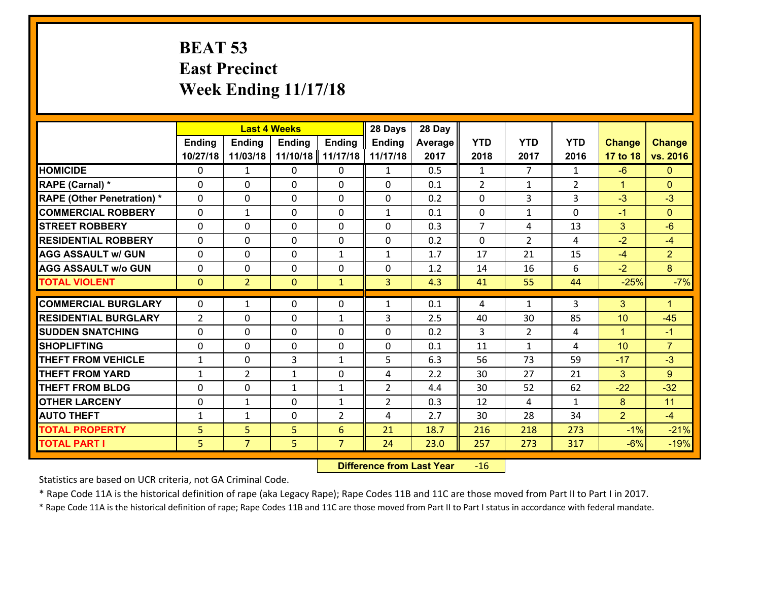## **BEAT 53 East Precinct Week Ending 11/17/18**

|                                   | <b>Last 4 Weeks</b> |                |                |                | 28 Days        | 28 Day  |                |                |                |                      |                |
|-----------------------------------|---------------------|----------------|----------------|----------------|----------------|---------|----------------|----------------|----------------|----------------------|----------------|
|                                   | <b>Ending</b>       | <b>Ending</b>  | <b>Ending</b>  | <b>Ending</b>  | Ending         | Average | <b>YTD</b>     | <b>YTD</b>     | <b>YTD</b>     | <b>Change</b>        | <b>Change</b>  |
|                                   | 10/27/18            | 11/03/18       | 11/10/18       | 11/17/18       | 11/17/18       | 2017    | 2018           | 2017           | 2016           | 17 to 18             | vs. 2016       |
| <b>HOMICIDE</b>                   | $\Omega$            | 1              | $\Omega$       | 0              | $\mathbf{1}$   | 0.5     | $\mathbf{1}$   | $\overline{7}$ | $\mathbf{1}$   | $-6$                 | $\Omega$       |
| RAPE (Carnal) *                   | $\Omega$            | $\Omega$       | $\Omega$       | $\Omega$       | 0              | 0.1     | $\mathcal{L}$  | $\mathbf{1}$   | $\overline{2}$ | $\blacktriangleleft$ | $\Omega$       |
| <b>RAPE (Other Penetration) *</b> | $\Omega$            | 0              | $\mathbf 0$    | 0              | 0              | 0.2     | 0              | 3              | 3              | $-3$                 | $-3$           |
| <b>COMMERCIAL ROBBERY</b>         | $\mathbf 0$         | $\mathbf{1}$   | $\mathbf 0$    | 0              | $\mathbf{1}$   | 0.1     | $\mathbf 0$    | $\mathbf{1}$   | 0              | $-1$                 | $\overline{0}$ |
| <b>STREET ROBBERY</b>             | $\mathbf 0$         | 0              | $\mathbf 0$    | 0              | 0              | 0.3     | $\overline{7}$ | 4              | 13             | 3                    | $-6$           |
| <b>RESIDENTIAL ROBBERY</b>        | $\mathbf 0$         | 0              | $\mathbf 0$    | 0              | 0              | 0.2     | $\mathbf{0}$   | $\overline{2}$ | 4              | $-2$                 | $-4$           |
| <b>AGG ASSAULT w/ GUN</b>         | $\mathbf 0$         | 0              | $\mathbf 0$    | $\mathbf{1}$   | $\mathbf{1}$   | 1.7     | 17             | 21             | 15             | $-4$                 | $\overline{2}$ |
| <b>AGG ASSAULT w/o GUN</b>        | $\mathbf 0$         | 0              | 0              | 0              | 0              | 1.2     | 14             | 16             | 6              | $-2$                 | 8              |
| <b>TOTAL VIOLENT</b>              | $\overline{0}$      | $\overline{2}$ | $\overline{0}$ | $\mathbf{1}$   | $\overline{3}$ | 4.3     | 41             | 55             | 44             | $-25%$               | $-7%$          |
|                                   |                     |                |                |                |                |         |                |                |                |                      |                |
| <b>COMMERCIAL BURGLARY</b>        | $\Omega$            | $\mathbf{1}$   | $\mathbf{0}$   | $\Omega$       | $\mathbf{1}$   | 0.1     | 4              | $\mathbf{1}$   | 3              | 3                    | $\mathbf{1}$   |
| <b>RESIDENTIAL BURGLARY</b>       | $\overline{2}$      | 0              | $\mathbf{0}$   | $\mathbf{1}$   | 3              | 2.5     | 40             | 30             | 85             | 10                   | $-45$          |
| <b>SUDDEN SNATCHING</b>           | $\mathbf 0$         | 0              | $\mathbf{0}$   | 0              | 0              | 0.2     | 3              | $\overline{2}$ | 4              | $\blacktriangleleft$ | $-1$           |
| <b>SHOPLIFTING</b>                | $\mathbf 0$         | 0              | $\mathbf 0$    | 0              | 0              | 0.1     | 11             | $\mathbf{1}$   | 4              | 10                   | $\overline{7}$ |
| <b>THEFT FROM VEHICLE</b>         | $\mathbf{1}$        | 0              | 3              | $\mathbf{1}$   | 5              | 6.3     | 56             | 73             | 59             | $-17$                | $-3$           |
| <b>THEFT FROM YARD</b>            | $\mathbf{1}$        | $\overline{2}$ | $\mathbf{1}$   | 0              | 4              | 2.2     | 30             | 27             | 21             | 3                    | 9              |
| <b>THEFT FROM BLDG</b>            | $\mathbf 0$         | 0              | $\mathbf{1}$   | $\mathbf{1}$   | $\overline{2}$ | 4.4     | 30             | 52             | 62             | $-22$                | $-32$          |
| <b>OTHER LARCENY</b>              | $\mathbf 0$         | $\mathbf{1}$   | $\mathbf 0$    | $\mathbf{1}$   | $\overline{2}$ | 0.3     | 12             | 4              | $\mathbf{1}$   | 8                    | 11             |
| <b>AUTO THEFT</b>                 | $\mathbf{1}$        | $\mathbf{1}$   | $\mathbf 0$    | $\overline{2}$ | 4              | 2.7     | 30             | 28             | 34             | $\overline{2}$       | $-4$           |
| <b>TOTAL PROPERTY</b>             | 5                   | 5              | 5              | 6              | 21             | 18.7    | 216            | 218            | 273            | $-1%$                | $-21%$         |
| <b>TOTAL PART I</b>               | 5                   | $\overline{7}$ | 5              | $\overline{7}$ | 24             | 23.0    | 257            | 273            | 317            | $-6%$                | $-19%$         |

 **Difference from Last Year**r -16

Statistics are based on UCR criteria, not GA Criminal Code.

\* Rape Code 11A is the historical definition of rape (aka Legacy Rape); Rape Codes 11B and 11C are those moved from Part II to Part I in 2017.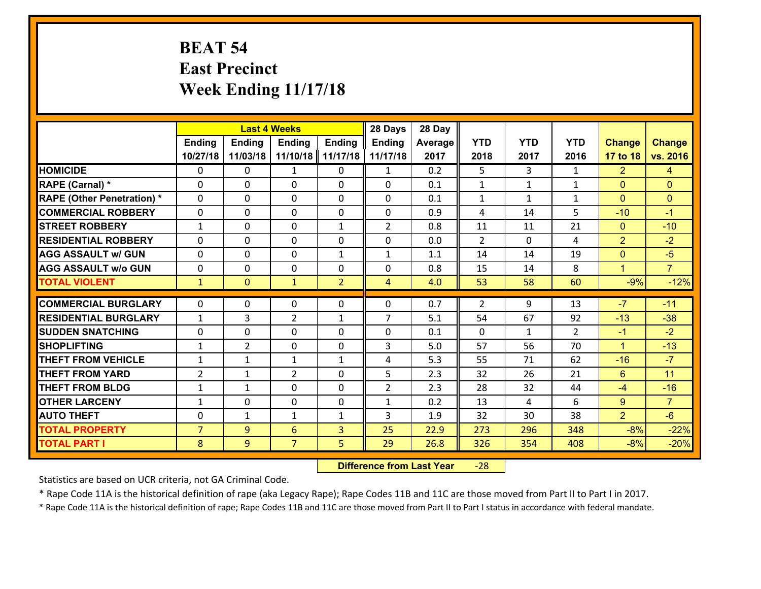## **BEAT 54 East Precinct Week Ending 11/17/18**

|                                   |                | 28 Days<br><b>Last 4 Weeks</b> |                |                |                | 28 Day  |                |              |                |                |                |
|-----------------------------------|----------------|--------------------------------|----------------|----------------|----------------|---------|----------------|--------------|----------------|----------------|----------------|
|                                   | <b>Ending</b>  | <b>Ending</b>                  | <b>Endina</b>  | <b>Ending</b>  | <b>Ending</b>  | Average | <b>YTD</b>     | <b>YTD</b>   | <b>YTD</b>     | <b>Change</b>  | <b>Change</b>  |
|                                   | 10/27/18       | 11/03/18                       | 11/10/18       | 11/17/18       | 11/17/18       | 2017    | 2018           | 2017         | 2016           | 17 to 18       | vs. 2016       |
| <b>HOMICIDE</b>                   | $\Omega$       | 0                              | $\mathbf{1}$   | 0              | $\mathbf{1}$   | 0.2     | 5              | 3            | $\mathbf{1}$   | $\overline{2}$ | 4              |
| <b>RAPE (Carnal) *</b>            | $\Omega$       | $\Omega$                       | $\mathbf 0$    | $\Omega$       | $\Omega$       | 0.1     | $\mathbf{1}$   | $\mathbf{1}$ | $\mathbf{1}$   | $\Omega$       | $\Omega$       |
| <b>RAPE (Other Penetration) *</b> | 0              | 0                              | $\mathbf 0$    | 0              | 0              | 0.1     | $\mathbf{1}$   | $\mathbf{1}$ | $\mathbf{1}$   | $\mathbf{0}$   | $\mathbf{0}$   |
| <b>COMMERCIAL ROBBERY</b>         | 0              | 0                              | $\mathbf 0$    | 0              | 0              | 0.9     | $\overline{4}$ | 14           | 5              | $-10$          | $-1$           |
| <b>STREET ROBBERY</b>             | $\mathbf{1}$   | 0                              | $\mathbf 0$    | $\mathbf{1}$   | $\overline{2}$ | 0.8     | 11             | 11           | 21             | $\mathbf{0}$   | $-10$          |
| <b>RESIDENTIAL ROBBERY</b>        | 0              | 0                              | $\mathbf 0$    | 0              | 0              | 0.0     | $\overline{2}$ | $\Omega$     | 4              | $\overline{2}$ | $-2$           |
| <b>AGG ASSAULT w/ GUN</b>         | 0              | 0                              | $\mathbf 0$    | $\mathbf{1}$   | $\mathbf{1}$   | 1.1     | 14             | 14           | 19             | $\mathbf{0}$   | $-5$           |
| <b>AGG ASSAULT w/o GUN</b>        | 0              | 0                              | $\mathbf 0$    | 0              | $\mathbf 0$    | 0.8     | 15             | 14           | 8              | $\mathbf{1}$   | $\overline{7}$ |
| <b>TOTAL VIOLENT</b>              | $\mathbf{1}$   | $\overline{0}$                 | $\mathbf{1}$   | $\overline{2}$ | $\overline{4}$ | 4.0     | 53             | 58           | 60             | $-9%$          | $-12%$         |
|                                   |                |                                |                |                |                |         |                |              |                |                |                |
| <b>COMMERCIAL BURGLARY</b>        | $\Omega$       | 0                              | $\mathbf{0}$   | $\Omega$       | 0              | 0.7     | $\overline{2}$ | 9            | 13             | $-7$           | $-11$          |
| <b>RESIDENTIAL BURGLARY</b>       | $\mathbf{1}$   | 3                              | $\overline{2}$ | $\mathbf{1}$   | $\overline{7}$ | 5.1     | 54             | 67           | 92             | $-13$          | $-38$          |
| <b>SUDDEN SNATCHING</b>           | 0              | 0                              | $\mathbf 0$    | $\Omega$       | 0              | 0.1     | $\Omega$       | $\mathbf{1}$ | $\overline{2}$ | $-1$           | $-2$           |
| <b>SHOPLIFTING</b>                | $\mathbf{1}$   | $\overline{2}$                 | $\mathbf 0$    | 0              | 3              | 5.0     | 57             | 56           | 70             | $\mathbf{1}$   | $-13$          |
| <b>THEFT FROM VEHICLE</b>         | $\mathbf{1}$   | 1                              | 1              | $\mathbf{1}$   | 4              | 5.3     | 55             | 71           | 62             | $-16$          | $-7$           |
| <b>THEFT FROM YARD</b>            | $\overline{2}$ | 1                              | $\overline{2}$ | 0              | 5              | 2.3     | 32             | 26           | 21             | 6              | 11             |
| <b>THEFT FROM BLDG</b>            | $\mathbf{1}$   | $\mathbf{1}$                   | $\mathbf 0$    | $\Omega$       | $\overline{2}$ | 2.3     | 28             | 32           | 44             | $-4$           | $-16$          |
| <b>OTHER LARCENY</b>              | $\mathbf{1}$   | $\mathbf 0$                    | $\mathbf 0$    | $\mathbf 0$    | $\mathbf{1}$   | 0.2     | 13             | 4            | 6              | 9              | $\overline{7}$ |
| <b>AUTO THEFT</b>                 | $\Omega$       | $\mathbf{1}$                   | $\mathbf{1}$   | $\mathbf{1}$   | 3              | 1.9     | 32             | 30           | 38             | $\overline{2}$ | $-6$           |
| <b>TOTAL PROPERTY</b>             | $\overline{7}$ | 9                              | 6              | $\overline{3}$ | 25             | 22.9    | 273            | 296          | 348            | $-8%$          | $-22%$         |
| <b>TOTAL PART I</b>               | 8              | 9                              | $\overline{7}$ | 5              | 29             | 26.8    | 326            | 354          | 408            | $-8%$          | $-20%$         |

 **Difference from Last Year**‐28

Statistics are based on UCR criteria, not GA Criminal Code.

\* Rape Code 11A is the historical definition of rape (aka Legacy Rape); Rape Codes 11B and 11C are those moved from Part II to Part I in 2017.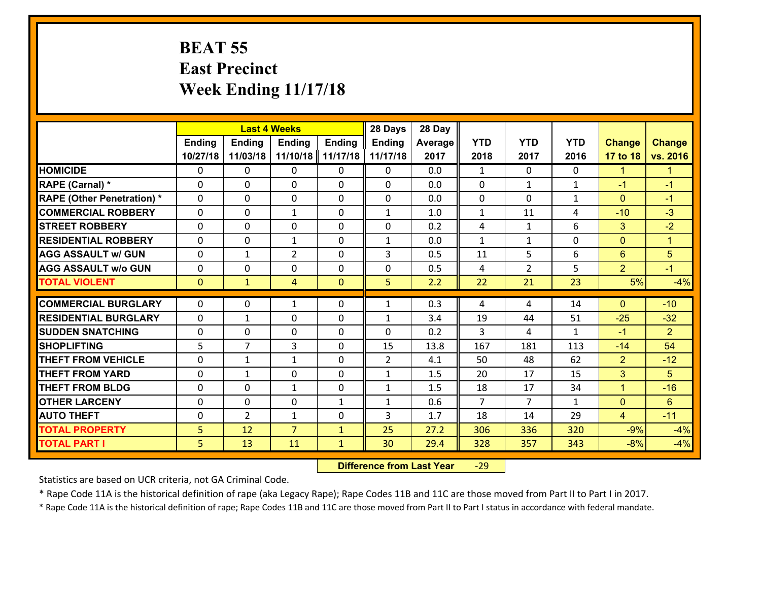#### **BEAT 55 East Precinct Week Ending 11/17/18**

|                                   | <b>Last 4 Weeks</b> |                |                |               | 28 Days        | 28 Day         |                |                |              |                |                      |
|-----------------------------------|---------------------|----------------|----------------|---------------|----------------|----------------|----------------|----------------|--------------|----------------|----------------------|
|                                   | <b>Ending</b>       | Ending         | <b>Ending</b>  | <b>Ending</b> | <b>Ending</b>  | <b>Average</b> | <b>YTD</b>     | <b>YTD</b>     | <b>YTD</b>   | <b>Change</b>  | <b>Change</b>        |
|                                   | 10/27/18            | 11/03/18       | 11/10/18       | 11/17/18      | 11/17/18       | 2017           | 2018           | 2017           | 2016         | 17 to 18       | vs. 2016             |
| <b>HOMICIDE</b>                   | $\Omega$            | 0              | 0              | $\mathbf{0}$  | 0              | 0.0            | $\mathbf{1}$   | $\Omega$       | 0            | $\mathbf{1}$   | $\blacktriangleleft$ |
| <b>RAPE (Carnal) *</b>            | $\Omega$            | $\Omega$       | 0              | $\Omega$      | $\Omega$       | 0.0            | $\Omega$       | $\mathbf{1}$   | $\mathbf{1}$ | $-1$           | $-1$                 |
| <b>RAPE (Other Penetration) *</b> | 0                   | 0              | 0              | 0             | 0              | 0.0            | $\mathbf 0$    | $\Omega$       | $\mathbf{1}$ | $\mathbf{0}$   | $-1$                 |
| <b>COMMERCIAL ROBBERY</b>         | 0                   | 0              | $\mathbf{1}$   | 0             | $\mathbf{1}$   | 1.0            | $\mathbf{1}$   | 11             | 4            | $-10$          | $-3$                 |
| <b>STREET ROBBERY</b>             | 0                   | 0              | 0              | 0             | 0              | 0.2            | 4              | $\mathbf{1}$   | 6            | 3              | $-2$                 |
| <b>RESIDENTIAL ROBBERY</b>        | 0                   | 0              | $\mathbf{1}$   | 0             | 1              | 0.0            | $\mathbf{1}$   | $\mathbf{1}$   | 0            | $\mathbf{0}$   | $\mathbf{1}$         |
| <b>AGG ASSAULT w/ GUN</b>         | 0                   | $\mathbf{1}$   | $\overline{2}$ | 0             | 3              | 0.5            | 11             | 5              | 6            | $6\phantom{1}$ | $5\overline{)}$      |
| <b>AGG ASSAULT W/o GUN</b>        | 0                   | 0              | 0              | 0             | 0              | 0.5            | 4              | $\overline{2}$ | 5            | $\overline{2}$ | $-1$                 |
| <b>TOTAL VIOLENT</b>              | $\overline{0}$      | $\mathbf{1}$   | $\overline{4}$ | $\mathbf{0}$  | 5              | 2.2            | 22             | 21             | 23           | 5%             | $-4%$                |
| <b>COMMERCIAL BURGLARY</b>        | $\Omega$            | 0              | $\mathbf{1}$   | 0             | $\mathbf{1}$   | 0.3            | 4              | 4              | 14           | $\Omega$       | $-10$                |
|                                   |                     |                |                |               |                |                |                |                |              |                |                      |
| <b>RESIDENTIAL BURGLARY</b>       | $\Omega$            | $\mathbf{1}$   | 0              | 0             | 1              | 3.4            | 19             | 44             | 51           | $-25$          | $-32$                |
| <b>SUDDEN SNATCHING</b>           | 0                   | 0              | 0              | 0             | $\Omega$       | 0.2            | 3              | 4              | $\mathbf{1}$ | $-1$           | 2                    |
| <b>SHOPLIFTING</b>                | 5                   | $\overline{7}$ | 3              | 0             | 15             | 13.8           | 167            | 181            | 113          | $-14$          | 54                   |
| <b>THEFT FROM VEHICLE</b>         | 0                   | $\mathbf{1}$   | $\mathbf{1}$   | 0             | $\overline{2}$ | 4.1            | 50             | 48             | 62           | $\overline{2}$ | $-12$                |
| <b>THEFT FROM YARD</b>            | 0                   | 1              | 0              | 0             | 1              | 1.5            | 20             | 17             | 15           | 3              | 5                    |
| <b>THEFT FROM BLDG</b>            | 0                   | 0              | $\mathbf{1}$   | 0             | $\mathbf{1}$   | 1.5            | 18             | 17             | 34           | $\mathbf{1}$   | $-16$                |
| <b>OTHER LARCENY</b>              | $\mathbf 0$         | $\mathbf 0$    | 0              | $\mathbf{1}$  | $\mathbf{1}$   | 0.6            | $\overline{7}$ | $\overline{7}$ | $\mathbf{1}$ | $\overline{0}$ | $6\phantom{1}$       |
| <b>AUTO THEFT</b>                 | $\Omega$            | $\overline{2}$ | $\mathbf{1}$   | 0             | 3              | 1.7            | 18             | 14             | 29           | $\overline{4}$ | $-11$                |
| <b>TOTAL PROPERTY</b>             | 5 <sup>1</sup>      | 12             | $\overline{7}$ | $\mathbf{1}$  | 25             | 27.2           | 306            | 336            | 320          | $-9%$          | $-4%$                |
| <b>TOTAL PART I</b>               | 5                   | 13             | 11             | $\mathbf{1}$  | 30             | 29.4           | 328            | 357            | 343          | $-8%$          | $-4%$                |

 **Difference from Last Year**r -29

Statistics are based on UCR criteria, not GA Criminal Code.

\* Rape Code 11A is the historical definition of rape (aka Legacy Rape); Rape Codes 11B and 11C are those moved from Part II to Part I in 2017.